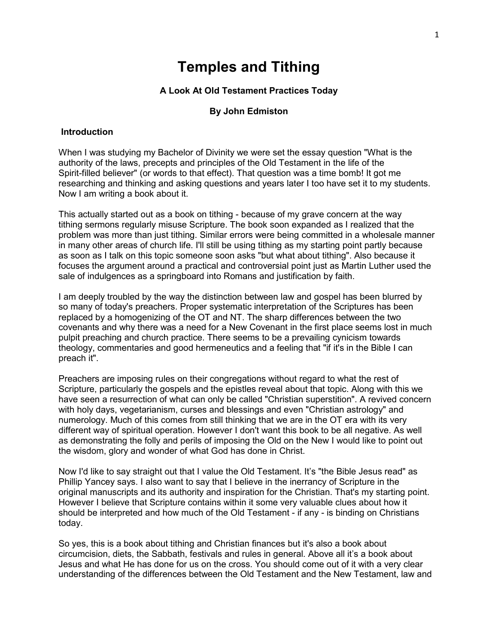# **Temples and Tithing**

#### **A Look At Old Testament Practices Today**

#### **By John Edmiston**

#### **Introduction**

When I was studying my Bachelor of Divinity we were set the essay question "What is the authority of the laws, precepts and principles of the Old Testament in the life of the Spirit-filled believer" (or words to that effect). That question was a time bomb! It got me researching and thinking and asking questions and years later I too have set it to my students. Now I am writing a book about it.

This actually started out as a book on tithing - because of my grave concern at the way tithing sermons regularly misuse Scripture. The book soon expanded as I realized that the problem was more than just tithing. Similar errors were being committed in a wholesale manner in many other areas of church life. I'll still be using tithing as my starting point partly because as soon as I talk on this topic someone soon asks "but what about tithing". Also because it focuses the argument around a practical and controversial point just as Martin Luther used the sale of indulgences as a springboard into Romans and justification by faith.

I am deeply troubled by the way the distinction between law and gospel has been blurred by so many of today's preachers. Proper systematic interpretation of the Scriptures has been replaced by a homogenizing of the OT and NT. The sharp differences between the two covenants and why there was a need for a New Covenant in the first place seems lost in much pulpit preaching and church practice. There seems to be a prevailing cynicism towards theology, commentaries and good hermeneutics and a feeling that "if it's in the Bible I can preach it".

Preachers are imposing rules on their congregations without regard to what the rest of Scripture, particularly the gospels and the epistles reveal about that topic. Along with this we have seen a resurrection of what can only be called "Christian superstition". A revived concern with holy days, vegetarianism, curses and blessings and even "Christian astrology" and numerology. Much of this comes from still thinking that we are in the OT era with its very different way of spiritual operation. However I don't want this book to be all negative. As well as demonstrating the folly and perils of imposing the Old on the New I would like to point out the wisdom, glory and wonder of what God has done in Christ.

Now I'd like to say straight out that I value the Old Testament. It's "the Bible Jesus read" as Phillip Yancey says. I also want to say that I believe in the inerrancy of Scripture in the original manuscripts and its authority and inspiration for the Christian. That's my starting point. However I believe that Scripture contains within it some very valuable clues about how it should be interpreted and how much of the Old Testament - if any - is binding on Christians today.

So yes, this is a book about tithing and Christian finances but it's also a book about circumcision, diets, the Sabbath, festivals and rules in general. Above all it's a book about Jesus and what He has done for us on the cross. You should come out of it with a very clear understanding of the differences between the Old Testament and the New Testament, law and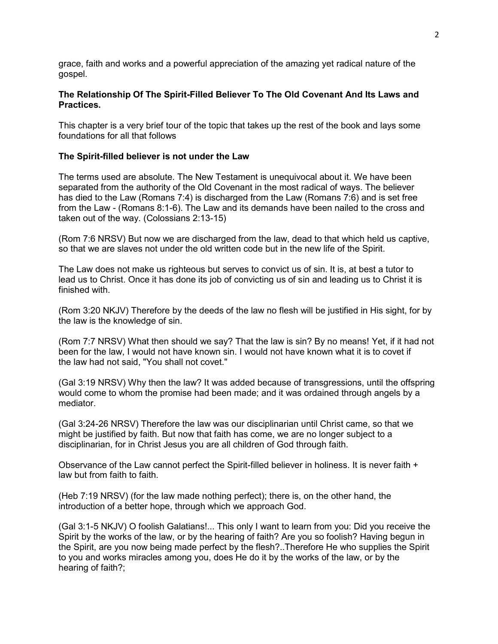grace, faith and works and a powerful appreciation of the amazing yet radical nature of the gospel.

# **The Relationship Of The Spirit-Filled Believer To The Old Covenant And Its Laws and Practices.**

This chapter is a very brief tour of the topic that takes up the rest of the book and lays some foundations for all that follows

## **The Spirit-filled believer is not under the Law**

The terms used are absolute. The New Testament is unequivocal about it. We have been separated from the authority of the Old Covenant in the most radical of ways. The believer has died to the Law (Romans 7:4) is discharged from the Law (Romans 7:6) and is set free from the Law - (Romans 8:1-6). The Law and its demands have been nailed to the cross and taken out of the way. (Colossians 2:13-15)

(Rom 7:6 NRSV) But now we are discharged from the law, dead to that which held us captive, so that we are slaves not under the old written code but in the new life of the Spirit.

The Law does not make us righteous but serves to convict us of sin. It is, at best a tutor to lead us to Christ. Once it has done its job of convicting us of sin and leading us to Christ it is finished with.

(Rom 3:20 NKJV) Therefore by the deeds of the law no flesh will be justified in His sight, for by the law is the knowledge of sin.

(Rom 7:7 NRSV) What then should we say? That the law is sin? By no means! Yet, if it had not been for the law, I would not have known sin. I would not have known what it is to covet if the law had not said, "You shall not covet."

(Gal 3:19 NRSV) Why then the law? It was added because of transgressions, until the offspring would come to whom the promise had been made; and it was ordained through angels by a mediator.

(Gal 3:24-26 NRSV) Therefore the law was our disciplinarian until Christ came, so that we might be justified by faith. But now that faith has come, we are no longer subject to a disciplinarian, for in Christ Jesus you are all children of God through faith.

Observance of the Law cannot perfect the Spirit-filled believer in holiness. It is never faith + law but from faith to faith.

(Heb 7:19 NRSV) (for the law made nothing perfect); there is, on the other hand, the introduction of a better hope, through which we approach God.

(Gal 3:1-5 NKJV) O foolish Galatians!... This only I want to learn from you: Did you receive the Spirit by the works of the law, or by the hearing of faith? Are you so foolish? Having begun in the Spirit, are you now being made perfect by the flesh?..Therefore He who supplies the Spirit to you and works miracles among you, does He do it by the works of the law, or by the hearing of faith?;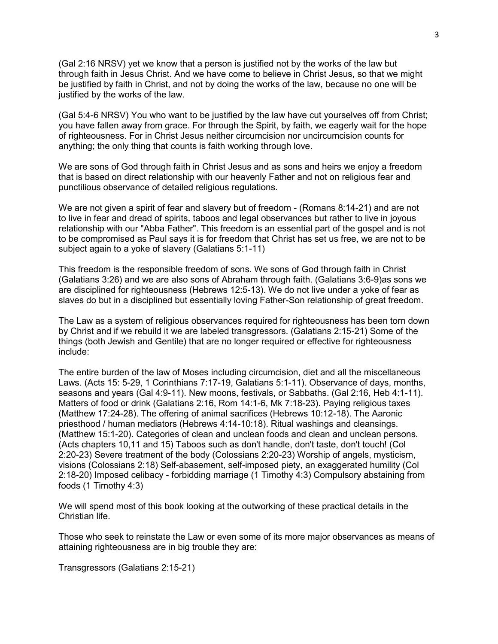(Gal 2:16 NRSV) yet we know that a person is justified not by the works of the law but through faith in Jesus Christ. And we have come to believe in Christ Jesus, so that we might be justified by faith in Christ, and not by doing the works of the law, because no one will be justified by the works of the law.

(Gal 5:4-6 NRSV) You who want to be justified by the law have cut yourselves off from Christ; you have fallen away from grace. For through the Spirit, by faith, we eagerly wait for the hope of righteousness. For in Christ Jesus neither circumcision nor uncircumcision counts for anything; the only thing that counts is faith working through love.

We are sons of God through faith in Christ Jesus and as sons and heirs we enjoy a freedom that is based on direct relationship with our heavenly Father and not on religious fear and punctilious observance of detailed religious regulations.

We are not given a spirit of fear and slavery but of freedom - (Romans 8:14-21) and are not to live in fear and dread of spirits, taboos and legal observances but rather to live in joyous relationship with our "Abba Father". This freedom is an essential part of the gospel and is not to be compromised as Paul says it is for freedom that Christ has set us free, we are not to be subject again to a yoke of slavery (Galatians 5:1-11)

This freedom is the responsible freedom of sons. We sons of God through faith in Christ (Galatians 3:26) and we are also sons of Abraham through faith. (Galatians 3:6-9)as sons we are disciplined for righteousness (Hebrews 12:5-13). We do not live under a yoke of fear as slaves do but in a disciplined but essentially loving Father-Son relationship of great freedom.

The Law as a system of religious observances required for righteousness has been torn down by Christ and if we rebuild it we are labeled transgressors. (Galatians 2:15-21) Some of the things (both Jewish and Gentile) that are no longer required or effective for righteousness include:

The entire burden of the law of Moses including circumcision, diet and all the miscellaneous Laws. (Acts 15: 5-29, 1 Corinthians 7:17-19, Galatians 5:1-11). Observance of days, months, seasons and years (Gal 4:9-11). New moons, festivals, or Sabbaths. (Gal 2:16, Heb 4:1-11). Matters of food or drink (Galatians 2:16, Rom 14:1-6, Mk 7:18-23). Paying religious taxes (Matthew 17:24-28). The offering of animal sacrifices (Hebrews 10:12-18). The Aaronic priesthood / human mediators (Hebrews 4:14-10:18). Ritual washings and cleansings. (Matthew 15:1-20). Categories of clean and unclean foods and clean and unclean persons. (Acts chapters 10,11 and 15) Taboos such as don't handle, don't taste, don't touch! (Col 2:20-23) Severe treatment of the body (Colossians 2:20-23) Worship of angels, mysticism, visions (Colossians 2:18) Self-abasement, self-imposed piety, an exaggerated humility (Col 2:18-20) Imposed celibacy - forbidding marriage (1 Timothy 4:3) Compulsory abstaining from foods (1 Timothy 4:3)

We will spend most of this book looking at the outworking of these practical details in the Christian life.

Those who seek to reinstate the Law or even some of its more major observances as means of attaining righteousness are in big trouble they are:

Transgressors (Galatians 2:15-21)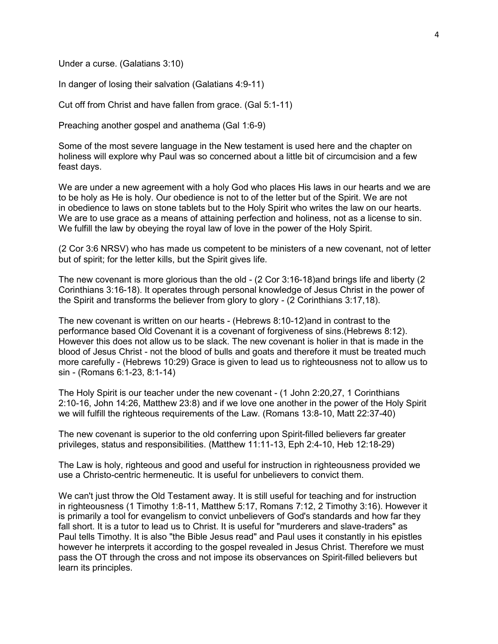Under a curse. (Galatians 3:10)

In danger of losing their salvation (Galatians 4:9-11)

Cut off from Christ and have fallen from grace. (Gal 5:1-11)

Preaching another gospel and anathema (Gal 1:6-9)

Some of the most severe language in the New testament is used here and the chapter on holiness will explore why Paul was so concerned about a little bit of circumcision and a few feast days.

We are under a new agreement with a holy God who places His laws in our hearts and we are to be holy as He is holy. Our obedience is not to of the letter but of the Spirit. We are not in obedience to laws on stone tablets but to the Holy Spirit who writes the law on our hearts. We are to use grace as a means of attaining perfection and holiness, not as a license to sin. We fulfill the law by obeying the royal law of love in the power of the Holy Spirit.

(2 Cor 3:6 NRSV) who has made us competent to be ministers of a new covenant, not of letter but of spirit; for the letter kills, but the Spirit gives life.

The new covenant is more glorious than the old - (2 Cor 3:16-18)and brings life and liberty (2 Corinthians 3:16-18). It operates through personal knowledge of Jesus Christ in the power of the Spirit and transforms the believer from glory to glory - (2 Corinthians 3:17,18).

The new covenant is written on our hearts - (Hebrews 8:10-12)and in contrast to the performance based Old Covenant it is a covenant of forgiveness of sins.(Hebrews 8:12). However this does not allow us to be slack. The new covenant is holier in that is made in the blood of Jesus Christ - not the blood of bulls and goats and therefore it must be treated much more carefully - (Hebrews 10:29) Grace is given to lead us to righteousness not to allow us to sin - (Romans 6:1-23, 8:1-14)

The Holy Spirit is our teacher under the new covenant - (1 John 2:20,27, 1 Corinthians 2:10-16, John 14:26, Matthew 23:8) and if we love one another in the power of the Holy Spirit we will fulfill the righteous requirements of the Law. (Romans 13:8-10, Matt 22:37-40)

The new covenant is superior to the old conferring upon Spirit-filled believers far greater privileges, status and responsibilities. (Matthew 11:11-13, Eph 2:4-10, Heb 12:18-29)

The Law is holy, righteous and good and useful for instruction in righteousness provided we use a Christo-centric hermeneutic. It is useful for unbelievers to convict them.

We can't just throw the Old Testament away. It is still useful for teaching and for instruction in righteousness (1 Timothy 1:8-11, Matthew 5:17, Romans 7:12, 2 Timothy 3:16). However it is primarily a tool for evangelism to convict unbelievers of God's standards and how far they fall short. It is a tutor to lead us to Christ. It is useful for "murderers and slave-traders" as Paul tells Timothy. It is also "the Bible Jesus read" and Paul uses it constantly in his epistles however he interprets it according to the gospel revealed in Jesus Christ. Therefore we must pass the OT through the cross and not impose its observances on Spirit-filled believers but learn its principles.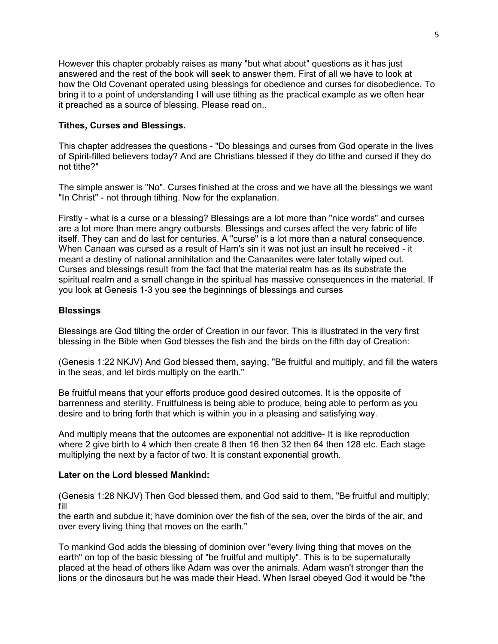However this chapter probably raises as many "but what about" questions as it has just answered and the rest of the book will seek to answer them. First of all we have to look at how the Old Covenant operated using blessings for obedience and curses for disobedience. To bring it to a point of understanding I will use tithing as the practical example as we often hear it preached as a source of blessing. Please read on..

# **Tithes, Curses and Blessings.**

This chapter addresses the questions - "Do blessings and curses from God operate in the lives of Spirit-filled believers today? And are Christians blessed if they do tithe and cursed if they do not tithe?"

The simple answer is "No". Curses finished at the cross and we have all the blessings we want "In Christ" - not through tithing. Now for the explanation.

Firstly - what is a curse or a blessing? Blessings are a lot more than "nice words" and curses are a lot more than mere angry outbursts. Blessings and curses affect the very fabric of life itself. They can and do last for centuries. A "curse" is a lot more than a natural consequence. When Canaan was cursed as a result of Ham's sin it was not just an insult he received - it meant a destiny of national annihilation and the Canaanites were later totally wiped out. Curses and blessings result from the fact that the material realm has as its substrate the spiritual realm and a small change in the spiritual has massive consequences in the material. If you look at Genesis 1-3 you see the beginnings of blessings and curses

#### **Blessings**

Blessings are God tilting the order of Creation in our favor. This is illustrated in the very first blessing in the Bible when God blesses the fish and the birds on the fifth day of Creation:

(Genesis 1:22 NKJV) And God blessed them, saying, "Be fruitful and multiply, and fill the waters in the seas, and let birds multiply on the earth."

Be fruitful means that your efforts produce good desired outcomes. It is the opposite of barrenness and sterility. Fruitfulness is being able to produce, being able to perform as you desire and to bring forth that which is within you in a pleasing and satisfying way.

And multiply means that the outcomes are exponential not additive- It is like reproduction where 2 give birth to 4 which then create 8 then 16 then 32 then 64 then 128 etc. Each stage multiplying the next by a factor of two. It is constant exponential growth.

#### **Later on the Lord blessed Mankind:**

(Genesis 1:28 NKJV) Then God blessed them, and God said to them, "Be fruitful and multiply; fill

the earth and subdue it; have dominion over the fish of the sea, over the birds of the air, and over every living thing that moves on the earth."

To mankind God adds the blessing of dominion over "every living thing that moves on the earth" on top of the basic blessing of "be fruitful and multiply". This is to be supernaturally placed at the head of others like Adam was over the animals. Adam wasn't stronger than the lions or the dinosaurs but he was made their Head. When Israel obeyed God it would be "the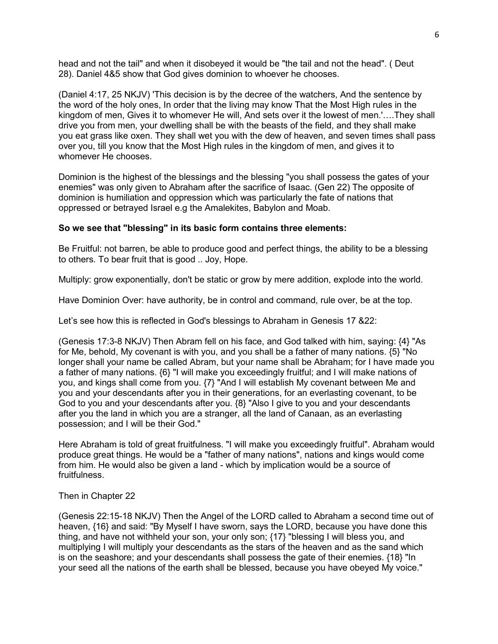head and not the tail" and when it disobeyed it would be "the tail and not the head". ( Deut 28). Daniel 4&5 show that God gives dominion to whoever he chooses.

(Daniel 4:17, 25 NKJV) 'This decision is by the decree of the watchers, And the sentence by the word of the holy ones, In order that the living may know That the Most High rules in the kingdom of men, Gives it to whomever He will, And sets over it the lowest of men.'….They shall drive you from men, your dwelling shall be with the beasts of the field, and they shall make you eat grass like oxen. They shall wet you with the dew of heaven, and seven times shall pass over you, till you know that the Most High rules in the kingdom of men, and gives it to whomever He chooses.

Dominion is the highest of the blessings and the blessing "you shall possess the gates of your enemies" was only given to Abraham after the sacrifice of Isaac. (Gen 22) The opposite of dominion is humiliation and oppression which was particularly the fate of nations that oppressed or betrayed Israel e.g the Amalekites, Babylon and Moab.

#### **So we see that "blessing" in its basic form contains three elements:**

Be Fruitful: not barren, be able to produce good and perfect things, the ability to be a blessing to others. To bear fruit that is good .. Joy, Hope.

Multiply: grow exponentially, don't be static or grow by mere addition, explode into the world.

Have Dominion Over: have authority, be in control and command, rule over, be at the top.

Let's see how this is reflected in God's blessings to Abraham in Genesis 17 &22:

(Genesis 17:3-8 NKJV) Then Abram fell on his face, and God talked with him, saying: {4} "As for Me, behold, My covenant is with you, and you shall be a father of many nations. {5} "No longer shall your name be called Abram, but your name shall be Abraham; for I have made you a father of many nations. {6} "I will make you exceedingly fruitful; and I will make nations of you, and kings shall come from you. {7} "And I will establish My covenant between Me and you and your descendants after you in their generations, for an everlasting covenant, to be God to you and your descendants after you. {8} "Also I give to you and your descendants after you the land in which you are a stranger, all the land of Canaan, as an everlasting possession; and I will be their God."

Here Abraham is told of great fruitfulness. "I will make you exceedingly fruitful". Abraham would produce great things. He would be a "father of many nations", nations and kings would come from him. He would also be given a land - which by implication would be a source of fruitfulness.

#### Then in Chapter 22

(Genesis 22:15-18 NKJV) Then the Angel of the LORD called to Abraham a second time out of heaven, {16} and said: "By Myself I have sworn, says the LORD, because you have done this thing, and have not withheld your son, your only son; {17} "blessing I will bless you, and multiplying I will multiply your descendants as the stars of the heaven and as the sand which is on the seashore; and your descendants shall possess the gate of their enemies. {18} "In your seed all the nations of the earth shall be blessed, because you have obeyed My voice."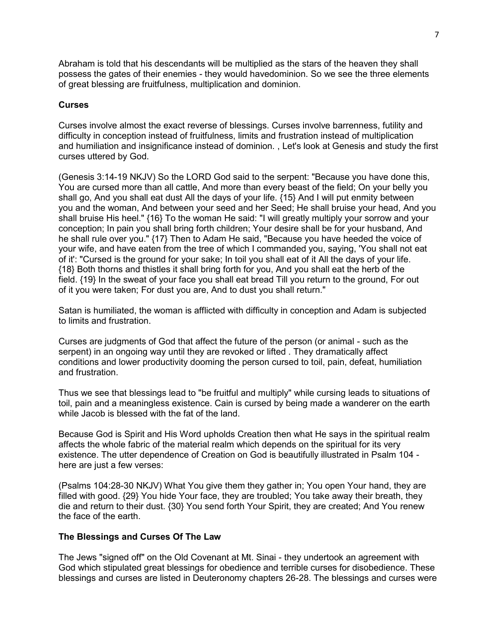Abraham is told that his descendants will be multiplied as the stars of the heaven they shall possess the gates of their enemies - they would havedominion. So we see the three elements of great blessing are fruitfulness, multiplication and dominion.

# **Curses**

Curses involve almost the exact reverse of blessings. Curses involve barrenness, futility and difficulty in conception instead of fruitfulness, limits and frustration instead of multiplication and humiliation and insignificance instead of dominion. , Let's look at Genesis and study the first curses uttered by God.

(Genesis 3:14-19 NKJV) So the LORD God said to the serpent: "Because you have done this, You are cursed more than all cattle, And more than every beast of the field; On your belly you shall go, And you shall eat dust All the days of your life. {15} And I will put enmity between you and the woman, And between your seed and her Seed; He shall bruise your head, And you shall bruise His heel." {16} To the woman He said: "I will greatly multiply your sorrow and your conception; In pain you shall bring forth children; Your desire shall be for your husband, And he shall rule over you." {17} Then to Adam He said, "Because you have heeded the voice of your wife, and have eaten from the tree of which I commanded you, saying, 'You shall not eat of it': "Cursed is the ground for your sake; In toil you shall eat of it All the days of your life. {18} Both thorns and thistles it shall bring forth for you, And you shall eat the herb of the field. {19} In the sweat of your face you shall eat bread Till you return to the ground, For out of it you were taken; For dust you are, And to dust you shall return."

Satan is humiliated, the woman is afflicted with difficulty in conception and Adam is subjected to limits and frustration.

Curses are judgments of God that affect the future of the person (or animal - such as the serpent) in an ongoing way until they are revoked or lifted . They dramatically affect conditions and lower productivity dooming the person cursed to toil, pain, defeat, humiliation and frustration.

Thus we see that blessings lead to "be fruitful and multiply" while cursing leads to situations of toil, pain and a meaningless existence. Cain is cursed by being made a wanderer on the earth while Jacob is blessed with the fat of the land.

Because God is Spirit and His Word upholds Creation then what He says in the spiritual realm affects the whole fabric of the material realm which depends on the spiritual for its very existence. The utter dependence of Creation on God is beautifully illustrated in Psalm 104 here are just a few verses:

(Psalms 104:28-30 NKJV) What You give them they gather in; You open Your hand, they are filled with good. {29} You hide Your face, they are troubled; You take away their breath, they die and return to their dust. {30} You send forth Your Spirit, they are created; And You renew the face of the earth.

#### **The Blessings and Curses Of The Law**

The Jews "signed off" on the Old Covenant at Mt. Sinai - they undertook an agreement with God which stipulated great blessings for obedience and terrible curses for disobedience. These blessings and curses are listed in Deuteronomy chapters 26-28. The blessings and curses were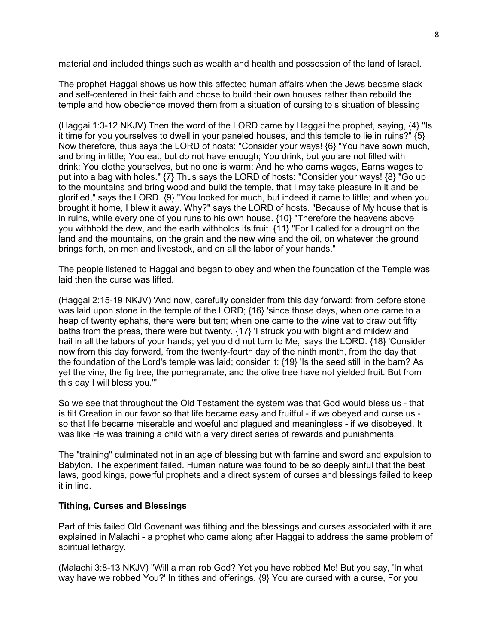material and included things such as wealth and health and possession of the land of Israel.

The prophet Haggai shows us how this affected human affairs when the Jews became slack and self-centered in their faith and chose to build their own houses rather than rebuild the temple and how obedience moved them from a situation of cursing to s situation of blessing

(Haggai 1:3-12 NKJV) Then the word of the LORD came by Haggai the prophet, saying, {4} "Is it time for you yourselves to dwell in your paneled houses, and this temple to lie in ruins?" {5} Now therefore, thus says the LORD of hosts: "Consider your ways! {6} "You have sown much, and bring in little; You eat, but do not have enough; You drink, but you are not filled with drink; You clothe yourselves, but no one is warm; And he who earns wages, Earns wages to put into a bag with holes." {7} Thus says the LORD of hosts: "Consider your ways! {8} "Go up to the mountains and bring wood and build the temple, that I may take pleasure in it and be glorified," says the LORD. {9} "You looked for much, but indeed it came to little; and when you brought it home, I blew it away. Why?" says the LORD of hosts. "Because of My house that is in ruins, while every one of you runs to his own house. {10} "Therefore the heavens above you withhold the dew, and the earth withholds its fruit. {11} "For I called for a drought on the land and the mountains, on the grain and the new wine and the oil, on whatever the ground brings forth, on men and livestock, and on all the labor of your hands."

The people listened to Haggai and began to obey and when the foundation of the Temple was laid then the curse was lifted.

(Haggai 2:15-19 NKJV) 'And now, carefully consider from this day forward: from before stone was laid upon stone in the temple of the LORD; {16} 'since those days, when one came to a heap of twenty ephahs, there were but ten; when one came to the wine vat to draw out fifty baths from the press, there were but twenty. {17} 'I struck you with blight and mildew and hail in all the labors of your hands; yet you did not turn to Me,' says the LORD. {18} 'Consider now from this day forward, from the twenty-fourth day of the ninth month, from the day that the foundation of the Lord's temple was laid; consider it: {19} 'Is the seed still in the barn? As yet the vine, the fig tree, the pomegranate, and the olive tree have not yielded fruit. But from this day I will bless you.'"

So we see that throughout the Old Testament the system was that God would bless us - that is tilt Creation in our favor so that life became easy and fruitful - if we obeyed and curse us so that life became miserable and woeful and plagued and meaningless - if we disobeyed. It was like He was training a child with a very direct series of rewards and punishments.

The "training" culminated not in an age of blessing but with famine and sword and expulsion to Babylon. The experiment failed. Human nature was found to be so deeply sinful that the best laws, good kings, powerful prophets and a direct system of curses and blessings failed to keep it in line.

# **Tithing, Curses and Blessings**

Part of this failed Old Covenant was tithing and the blessings and curses associated with it are explained in Malachi - a prophet who came along after Haggai to address the same problem of spiritual lethargy.

(Malachi 3:8-13 NKJV) "Will a man rob God? Yet you have robbed Me! But you say, 'In what way have we robbed You?' In tithes and offerings. {9} You are cursed with a curse, For you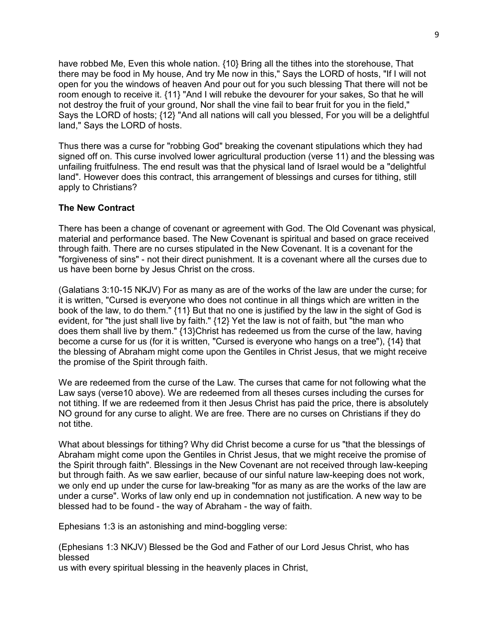have robbed Me, Even this whole nation. {10} Bring all the tithes into the storehouse, That there may be food in My house, And try Me now in this," Says the LORD of hosts, "If I will not open for you the windows of heaven And pour out for you such blessing That there will not be room enough to receive it. {11} "And I will rebuke the devourer for your sakes, So that he will not destroy the fruit of your ground, Nor shall the vine fail to bear fruit for you in the field," Says the LORD of hosts; {12} "And all nations will call you blessed, For you will be a delightful land," Says the LORD of hosts.

Thus there was a curse for "robbing God" breaking the covenant stipulations which they had signed off on. This curse involved lower agricultural production (verse 11) and the blessing was unfailing fruitfulness. The end result was that the physical land of Israel would be a "delightful land". However does this contract, this arrangement of blessings and curses for tithing, still apply to Christians?

## **The New Contract**

There has been a change of covenant or agreement with God. The Old Covenant was physical, material and performance based. The New Covenant is spiritual and based on grace received through faith. There are no curses stipulated in the New Covenant. It is a covenant for the "forgiveness of sins" - not their direct punishment. It is a covenant where all the curses due to us have been borne by Jesus Christ on the cross.

(Galatians 3:10-15 NKJV) For as many as are of the works of the law are under the curse; for it is written, "Cursed is everyone who does not continue in all things which are written in the book of the law, to do them." {11} But that no one is justified by the law in the sight of God is evident, for "the just shall live by faith." {12} Yet the law is not of faith, but "the man who does them shall live by them." {13}Christ has redeemed us from the curse of the law, having become a curse for us (for it is written, "Cursed is everyone who hangs on a tree"), {14} that the blessing of Abraham might come upon the Gentiles in Christ Jesus, that we might receive the promise of the Spirit through faith.

We are redeemed from the curse of the Law. The curses that came for not following what the Law says (verse10 above). We are redeemed from all theses curses including the curses for not tithing. If we are redeemed from it then Jesus Christ has paid the price, there is absolutely NO ground for any curse to alight. We are free. There are no curses on Christians if they do not tithe.

What about blessings for tithing? Why did Christ become a curse for us "that the blessings of Abraham might come upon the Gentiles in Christ Jesus, that we might receive the promise of the Spirit through faith". Blessings in the New Covenant are not received through law-keeping but through faith. As we saw earlier, because of our sinful nature law-keeping does not work, we only end up under the curse for law-breaking "for as many as are the works of the law are under a curse". Works of law only end up in condemnation not justification. A new way to be blessed had to be found - the way of Abraham - the way of faith.

Ephesians 1:3 is an astonishing and mind-boggling verse:

(Ephesians 1:3 NKJV) Blessed be the God and Father of our Lord Jesus Christ, who has blessed

us with every spiritual blessing in the heavenly places in Christ,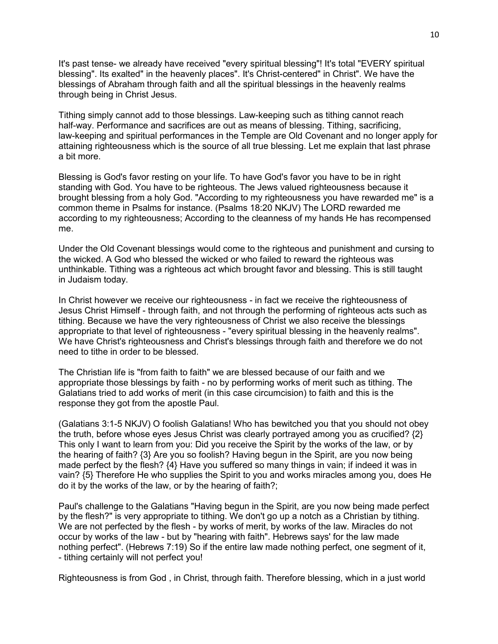It's past tense- we already have received "every spiritual blessing"! It's total "EVERY spiritual blessing". Its exalted" in the heavenly places". It's Christ-centered" in Christ". We have the blessings of Abraham through faith and all the spiritual blessings in the heavenly realms through being in Christ Jesus.

Tithing simply cannot add to those blessings. Law-keeping such as tithing cannot reach half-way. Performance and sacrifices are out as means of blessing. Tithing, sacrificing, law-keeping and spiritual performances in the Temple are Old Covenant and no longer apply for attaining righteousness which is the source of all true blessing. Let me explain that last phrase a bit more.

Blessing is God's favor resting on your life. To have God's favor you have to be in right standing with God. You have to be righteous. The Jews valued righteousness because it brought blessing from a holy God. "According to my righteousness you have rewarded me" is a common theme in Psalms for instance. (Psalms 18:20 NKJV) The LORD rewarded me according to my righteousness; According to the cleanness of my hands He has recompensed me.

Under the Old Covenant blessings would come to the righteous and punishment and cursing to the wicked. A God who blessed the wicked or who failed to reward the righteous was unthinkable. Tithing was a righteous act which brought favor and blessing. This is still taught in Judaism today.

In Christ however we receive our righteousness - in fact we receive the righteousness of Jesus Christ Himself - through faith, and not through the performing of righteous acts such as tithing. Because we have the very righteousness of Christ we also receive the blessings appropriate to that level of righteousness - "every spiritual blessing in the heavenly realms". We have Christ's righteousness and Christ's blessings through faith and therefore we do not need to tithe in order to be blessed.

The Christian life is "from faith to faith" we are blessed because of our faith and we appropriate those blessings by faith - no by performing works of merit such as tithing. The Galatians tried to add works of merit (in this case circumcision) to faith and this is the response they got from the apostle Paul.

(Galatians 3:1-5 NKJV) O foolish Galatians! Who has bewitched you that you should not obey the truth, before whose eyes Jesus Christ was clearly portrayed among you as crucified? {2} This only I want to learn from you: Did you receive the Spirit by the works of the law, or by the hearing of faith? {3} Are you so foolish? Having begun in the Spirit, are you now being made perfect by the flesh?  ${4}$  Have you suffered so many things in vain; if indeed it was in vain? {5} Therefore He who supplies the Spirit to you and works miracles among you, does He do it by the works of the law, or by the hearing of faith?;

Paul's challenge to the Galatians "Having begun in the Spirit, are you now being made perfect by the flesh?" is very appropriate to tithing. We don't go up a notch as a Christian by tithing. We are not perfected by the flesh - by works of merit, by works of the law. Miracles do not occur by works of the law - but by "hearing with faith". Hebrews says' for the law made nothing perfect". (Hebrews 7:19) So if the entire law made nothing perfect, one segment of it, - tithing certainly will not perfect you!

Righteousness is from God , in Christ, through faith. Therefore blessing, which in a just world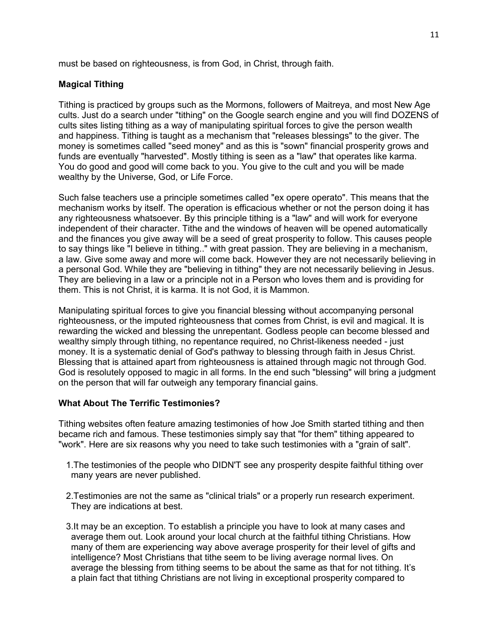must be based on righteousness, is from God, in Christ, through faith.

# **Magical Tithing**

Tithing is practiced by groups such as the Mormons, followers of Maitreya, and most New Age cults. Just do a search under "tithing" on the Google search engine and you will find DOZENS of cults sites listing tithing as a way of manipulating spiritual forces to give the person wealth and happiness. Tithing is taught as a mechanism that "releases blessings" to the giver. The money is sometimes called "seed money" and as this is "sown" financial prosperity grows and funds are eventually "harvested". Mostly tithing is seen as a "law" that operates like karma. You do good and good will come back to you. You give to the cult and you will be made wealthy by the Universe, God, or Life Force.

Such false teachers use a principle sometimes called "ex opere operato". This means that the mechanism works by itself. The operation is efficacious whether or not the person doing it has any righteousness whatsoever. By this principle tithing is a "law" and will work for everyone independent of their character. Tithe and the windows of heaven will be opened automatically and the finances you give away will be a seed of great prosperity to follow. This causes people to say things like "I believe in tithing.." with great passion. They are believing in a mechanism, a law. Give some away and more will come back. However they are not necessarily believing in a personal God. While they are "believing in tithing" they are not necessarily believing in Jesus. They are believing in a law or a principle not in a Person who loves them and is providing for them. This is not Christ, it is karma. It is not God, it is Mammon.

Manipulating spiritual forces to give you financial blessing without accompanying personal righteousness, or the imputed righteousness that comes from Christ, is evil and magical. It is rewarding the wicked and blessing the unrepentant. Godless people can become blessed and wealthy simply through tithing, no repentance required, no Christ-likeness needed - just money. It is a systematic denial of God's pathway to blessing through faith in Jesus Christ. Blessing that is attained apart from righteousness is attained through magic not through God. God is resolutely opposed to magic in all forms. In the end such "blessing" will bring a judgment on the person that will far outweigh any temporary financial gains.

# **What About The Terrific Testimonies?**

Tithing websites often feature amazing testimonies of how Joe Smith started tithing and then became rich and famous. These testimonies simply say that "for them" tithing appeared to "work". Here are six reasons why you need to take such testimonies with a "grain of salt".

- 1.The testimonies of the people who DIDN'T see any prosperity despite faithful tithing over many years are never published.
- 2.Testimonies are not the same as "clinical trials" or a properly run research experiment. They are indications at best.
- 3.It may be an exception. To establish a principle you have to look at many cases and average them out. Look around your local church at the faithful tithing Christians. How many of them are experiencing way above average prosperity for their level of gifts and intelligence? Most Christians that tithe seem to be living average normal lives. On average the blessing from tithing seems to be about the same as that for not tithing. It's a plain fact that tithing Christians are not living in exceptional prosperity compared to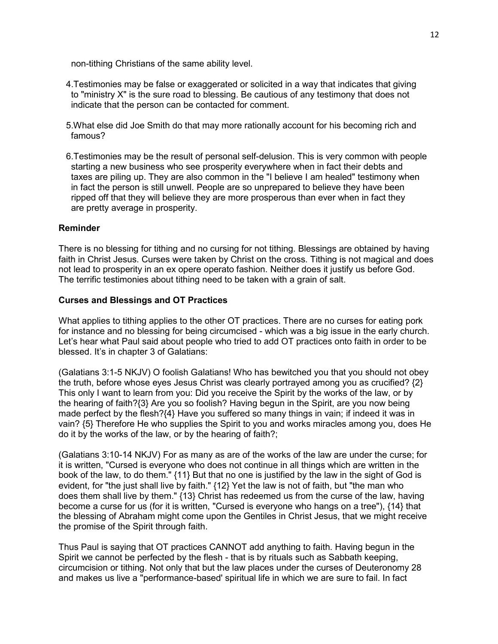non-tithing Christians of the same ability level.

- 4.Testimonies may be false or exaggerated or solicited in a way that indicates that giving to "ministry X" is the sure road to blessing. Be cautious of any testimony that does not indicate that the person can be contacted for comment.
- 5.What else did Joe Smith do that may more rationally account for his becoming rich and famous?
- 6.Testimonies may be the result of personal self-delusion. This is very common with people starting a new business who see prosperity everywhere when in fact their debts and taxes are piling up. They are also common in the "I believe I am healed" testimony when in fact the person is still unwell. People are so unprepared to believe they have been ripped off that they will believe they are more prosperous than ever when in fact they are pretty average in prosperity.

#### **Reminder**

There is no blessing for tithing and no cursing for not tithing. Blessings are obtained by having faith in Christ Jesus. Curses were taken by Christ on the cross. Tithing is not magical and does not lead to prosperity in an ex opere operato fashion. Neither does it justify us before God. The terrific testimonies about tithing need to be taken with a grain of salt.

#### **Curses and Blessings and OT Practices**

What applies to tithing applies to the other OT practices. There are no curses for eating pork for instance and no blessing for being circumcised - which was a big issue in the early church. Let's hear what Paul said about people who tried to add OT practices onto faith in order to be blessed. It's in chapter 3 of Galatians:

(Galatians 3:1-5 NKJV) O foolish Galatians! Who has bewitched you that you should not obey the truth, before whose eyes Jesus Christ was clearly portrayed among you as crucified? {2} This only I want to learn from you: Did you receive the Spirit by the works of the law, or by the hearing of faith?{3} Are you so foolish? Having begun in the Spirit, are you now being made perfect by the flesh?{4} Have you suffered so many things in vain; if indeed it was in vain? {5} Therefore He who supplies the Spirit to you and works miracles among you, does He do it by the works of the law, or by the hearing of faith?;

(Galatians 3:10-14 NKJV) For as many as are of the works of the law are under the curse; for it is written, "Cursed is everyone who does not continue in all things which are written in the book of the law, to do them." {11} But that no one is justified by the law in the sight of God is evident, for "the just shall live by faith." {12} Yet the law is not of faith, but "the man who does them shall live by them." {13} Christ has redeemed us from the curse of the law, having become a curse for us (for it is written, "Cursed is everyone who hangs on a tree"), {14} that the blessing of Abraham might come upon the Gentiles in Christ Jesus, that we might receive the promise of the Spirit through faith.

Thus Paul is saying that OT practices CANNOT add anything to faith. Having begun in the Spirit we cannot be perfected by the flesh - that is by rituals such as Sabbath keeping, circumcision or tithing. Not only that but the law places under the curses of Deuteronomy 28 and makes us live a "performance-based' spiritual life in which we are sure to fail. In fact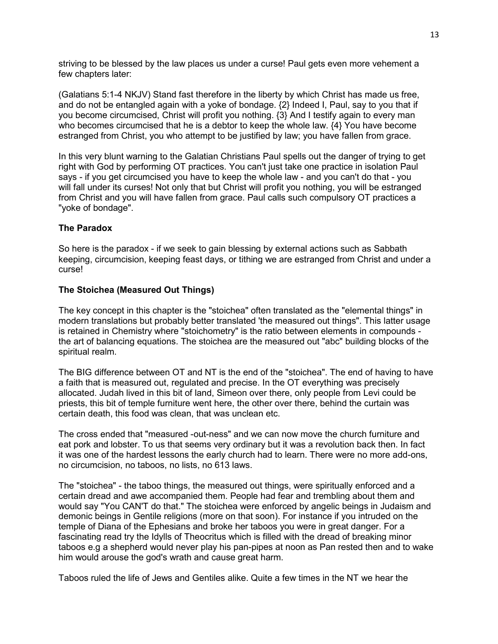striving to be blessed by the law places us under a curse! Paul gets even more vehement a few chapters later:

(Galatians 5:1-4 NKJV) Stand fast therefore in the liberty by which Christ has made us free, and do not be entangled again with a yoke of bondage. {2} Indeed I, Paul, say to you that if you become circumcised, Christ will profit you nothing. {3} And I testify again to every man who becomes circumcised that he is a debtor to keep the whole law.  $\{4\}$  You have become estranged from Christ, you who attempt to be justified by law; you have fallen from grace.

In this very blunt warning to the Galatian Christians Paul spells out the danger of trying to get right with God by performing OT practices. You can't just take one practice in isolation Paul says - if you get circumcised you have to keep the whole law - and you can't do that - you will fall under its curses! Not only that but Christ will profit you nothing, you will be estranged from Christ and you will have fallen from grace. Paul calls such compulsory OT practices a "yoke of bondage".

## **The Paradox**

So here is the paradox - if we seek to gain blessing by external actions such as Sabbath keeping, circumcision, keeping feast days, or tithing we are estranged from Christ and under a curse!

## **The Stoichea (Measured Out Things)**

The key concept in this chapter is the "stoichea" often translated as the "elemental things" in modern translations but probably better translated 'the measured out things". This latter usage is retained in Chemistry where "stoichometry" is the ratio between elements in compounds the art of balancing equations. The stoichea are the measured out "abc" building blocks of the spiritual realm.

The BIG difference between OT and NT is the end of the "stoichea". The end of having to have a faith that is measured out, regulated and precise. In the OT everything was precisely allocated. Judah lived in this bit of land, Simeon over there, only people from Levi could be priests, this bit of temple furniture went here, the other over there, behind the curtain was certain death, this food was clean, that was unclean etc.

The cross ended that "measured -out-ness" and we can now move the church furniture and eat pork and lobster. To us that seems very ordinary but it was a revolution back then. In fact it was one of the hardest lessons the early church had to learn. There were no more add-ons, no circumcision, no taboos, no lists, no 613 laws.

The "stoichea" - the taboo things, the measured out things, were spiritually enforced and a certain dread and awe accompanied them. People had fear and trembling about them and would say "You CAN'T do that." The stoichea were enforced by angelic beings in Judaism and demonic beings in Gentile religions (more on that soon). For instance if you intruded on the temple of Diana of the Ephesians and broke her taboos you were in great danger. For a fascinating read try the Idylls of Theocritus which is filled with the dread of breaking minor taboos e.g a shepherd would never play his pan-pipes at noon as Pan rested then and to wake him would arouse the god's wrath and cause great harm.

Taboos ruled the life of Jews and Gentiles alike. Quite a few times in the NT we hear the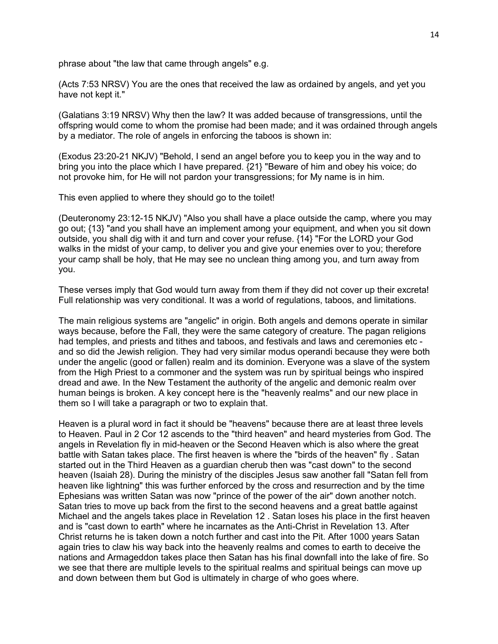phrase about "the law that came through angels" e.g.

(Acts 7:53 NRSV) You are the ones that received the law as ordained by angels, and yet you have not kept it."

(Galatians 3:19 NRSV) Why then the law? It was added because of transgressions, until the offspring would come to whom the promise had been made; and it was ordained through angels by a mediator. The role of angels in enforcing the taboos is shown in:

(Exodus 23:20-21 NKJV) "Behold, I send an angel before you to keep you in the way and to bring you into the place which I have prepared. {21} "Beware of him and obey his voice; do not provoke him, for He will not pardon your transgressions; for My name is in him.

This even applied to where they should go to the toilet!

(Deuteronomy 23:12-15 NKJV) "Also you shall have a place outside the camp, where you may go out; {13} "and you shall have an implement among your equipment, and when you sit down outside, you shall dig with it and turn and cover your refuse. {14} "For the LORD your God walks in the midst of your camp, to deliver you and give your enemies over to you; therefore your camp shall be holy, that He may see no unclean thing among you, and turn away from you.

These verses imply that God would turn away from them if they did not cover up their excreta! Full relationship was very conditional. It was a world of regulations, taboos, and limitations.

The main religious systems are "angelic" in origin. Both angels and demons operate in similar ways because, before the Fall, they were the same category of creature. The pagan religions had temples, and priests and tithes and taboos, and festivals and laws and ceremonies etc and so did the Jewish religion. They had very similar modus operandi because they were both under the angelic (good or fallen) realm and its dominion. Everyone was a slave of the system from the High Priest to a commoner and the system was run by spiritual beings who inspired dread and awe. In the New Testament the authority of the angelic and demonic realm over human beings is broken. A key concept here is the "heavenly realms" and our new place in them so I will take a paragraph or two to explain that.

Heaven is a plural word in fact it should be "heavens" because there are at least three levels to Heaven. Paul in 2 Cor 12 ascends to the "third heaven" and heard mysteries from God. The angels in Revelation fly in mid-heaven or the Second Heaven which is also where the great battle with Satan takes place. The first heaven is where the "birds of the heaven" fly . Satan started out in the Third Heaven as a guardian cherub then was "cast down" to the second heaven (Isaiah 28). During the ministry of the disciples Jesus saw another fall "Satan fell from heaven like lightning" this was further enforced by the cross and resurrection and by the time Ephesians was written Satan was now "prince of the power of the air" down another notch. Satan tries to move up back from the first to the second heavens and a great battle against Michael and the angels takes place in Revelation 12 . Satan loses his place in the first heaven and is "cast down to earth" where he incarnates as the Anti-Christ in Revelation 13. After Christ returns he is taken down a notch further and cast into the Pit. After 1000 years Satan again tries to claw his way back into the heavenly realms and comes to earth to deceive the nations and Armageddon takes place then Satan has his final downfall into the lake of fire. So we see that there are multiple levels to the spiritual realms and spiritual beings can move up and down between them but God is ultimately in charge of who goes where.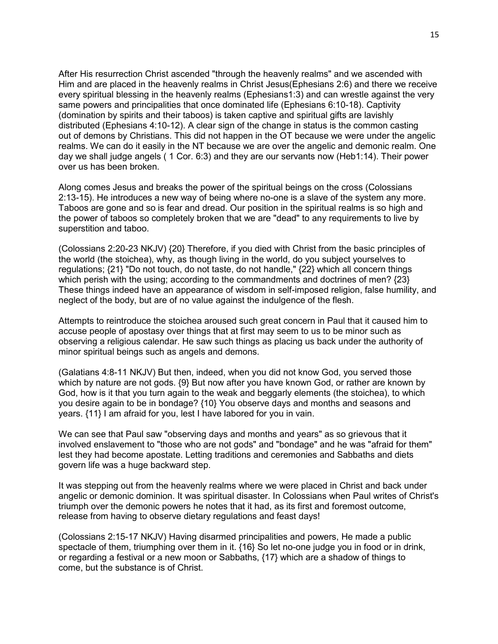After His resurrection Christ ascended "through the heavenly realms" and we ascended with Him and are placed in the heavenly realms in Christ Jesus(Ephesians 2:6) and there we receive every spiritual blessing in the heavenly realms (Ephesians1:3) and can wrestle against the very same powers and principalities that once dominated life (Ephesians 6:10-18). Captivity (domination by spirits and their taboos) is taken captive and spiritual gifts are lavishly distributed (Ephesians 4:10-12). A clear sign of the change in status is the common casting out of demons by Christians. This did not happen in the OT because we were under the angelic realms. We can do it easily in the NT because we are over the angelic and demonic realm. One day we shall judge angels ( 1 Cor. 6:3) and they are our servants now (Heb1:14). Their power over us has been broken.

Along comes Jesus and breaks the power of the spiritual beings on the cross (Colossians 2:13-15). He introduces a new way of being where no-one is a slave of the system any more. Taboos are gone and so is fear and dread. Our position in the spiritual realms is so high and the power of taboos so completely broken that we are "dead" to any requirements to live by superstition and taboo.

(Colossians 2:20-23 NKJV) {20} Therefore, if you died with Christ from the basic principles of the world (the stoichea), why, as though living in the world, do you subject yourselves to regulations; {21} "Do not touch, do not taste, do not handle," {22} which all concern things which perish with the using; according to the commandments and doctrines of men? {23} These things indeed have an appearance of wisdom in self-imposed religion, false humility, and neglect of the body, but are of no value against the indulgence of the flesh.

Attempts to reintroduce the stoichea aroused such great concern in Paul that it caused him to accuse people of apostasy over things that at first may seem to us to be minor such as observing a religious calendar. He saw such things as placing us back under the authority of minor spiritual beings such as angels and demons.

(Galatians 4:8-11 NKJV) But then, indeed, when you did not know God, you served those which by nature are not gods. {9} But now after you have known God, or rather are known by God, how is it that you turn again to the weak and beggarly elements (the stoichea), to which you desire again to be in bondage? {10} You observe days and months and seasons and years. {11} I am afraid for you, lest I have labored for you in vain.

We can see that Paul saw "observing days and months and years" as so grievous that it involved enslavement to "those who are not gods" and "bondage" and he was "afraid for them" lest they had become apostate. Letting traditions and ceremonies and Sabbaths and diets govern life was a huge backward step.

It was stepping out from the heavenly realms where we were placed in Christ and back under angelic or demonic dominion. It was spiritual disaster. In Colossians when Paul writes of Christ's triumph over the demonic powers he notes that it had, as its first and foremost outcome, release from having to observe dietary regulations and feast days!

(Colossians 2:15-17 NKJV) Having disarmed principalities and powers, He made a public spectacle of them, triumphing over them in it. {16} So let no-one judge you in food or in drink, or regarding a festival or a new moon or Sabbaths, {17} which are a shadow of things to come, but the substance is of Christ.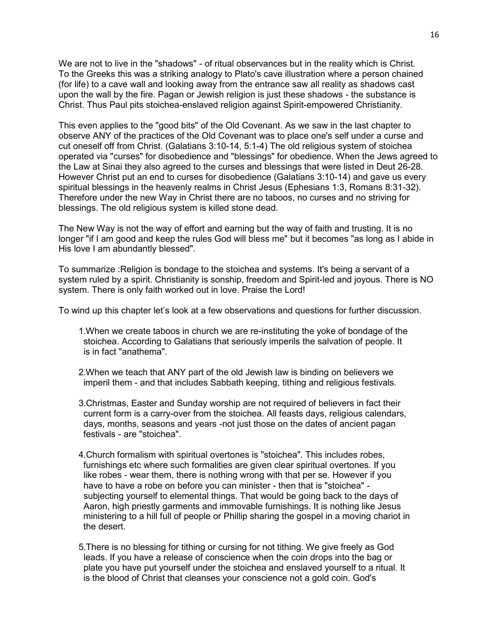We are not to live in the "shadows" - of ritual observances but in the reality which is Christ. To the Greeks this was a striking analogy to Plato's cave illustration where a person chained (for life) to a cave wall and looking away from the entrance saw all reality as shadows cast upon the wall by the fire. Pagan or Jewish religion is just these shadows - the substance is Christ. Thus Paul pits stoichea-enslaved religion against Spirit-empowered Christianity.

This even applies to the "good bits" of the Old Covenant. As we saw in the last chapter to observe ANY of the practices of the Old Covenant was to place one's self under a curse and cut oneself off from Christ. (Galatians 3:10-14, 5:1-4) The old religious system of stoichea operated via "curses" for disobedience and "blessings" for obedience. When the Jews agreed to the Law at Sinai they also agreed to the curses and blessings that were listed in Deut 26-28. However Christ put an end to curses for disobedience (Galatians 3:10-14) and gave us every spiritual blessings in the heavenly realms in Christ Jesus (Ephesians 1:3, Romans 8:31-32). Therefore under the new Way in Christ there are no taboos, no curses and no striving for blessings. The old religious system is killed stone dead.

The New Way is not the way of effort and earning but the way of faith and trusting. It is no longer "if I am good and keep the rules God will bless me" but it becomes "as long as I abide in His love I am abundantly blessed".

To summarize :Religion is bondage to the stoichea and systems. It's being a servant of a system ruled by a spirit. Christianity is sonship, freedom and Spirit-led and joyous. There is NO system. There is only faith worked out in love. Praise the Lord!

To wind up this chapter let's look at a few observations and questions for further discussion.

- 1.When we create taboos in church we are re-instituting the yoke of bondage of the stoichea. According to Galatians that seriously imperils the salvation of people. It is in fact "anathema".
- 2.When we teach that ANY part of the old Jewish law is binding on believers we imperil them - and that includes Sabbath keeping, tithing and religious festivals.
- 3.Christmas, Easter and Sunday worship are not required of believers in fact their current form is a carry-over from the stoichea. All feasts days, religious calendars, days, months, seasons and years -not just those on the dates of ancient pagan festivals - are "stoichea".
- 4.Church formalism with spiritual overtones is "stoichea". This includes robes, furnishings etc where such formalities are given clear spiritual overtones. If you like robes - wear them, there is nothing wrong with that per se. However if you have to have a robe on before you can minister - then that is "stoichea" subjecting yourself to elemental things. That would be going back to the days of Aaron, high priestly garments and immovable furnishings. It is nothing like Jesus ministering to a hill full of people or Phillip sharing the gospel in a moving chariot in the desert.
- 5.There is no blessing for tithing or cursing for not tithing. We give freely as God leads. If you have a release of conscience when the coin drops into the bag or plate you have put yourself under the stoichea and enslaved yourself to a ritual. It is the blood of Christ that cleanses your conscience not a gold coin. God's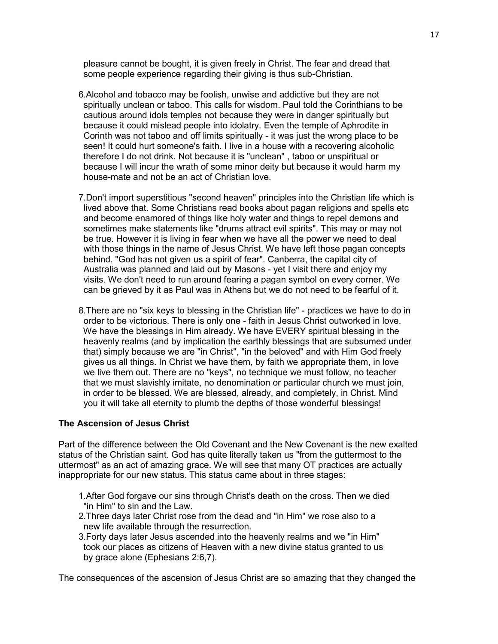pleasure cannot be bought, it is given freely in Christ. The fear and dread that some people experience regarding their giving is thus sub-Christian.

- 6.Alcohol and tobacco may be foolish, unwise and addictive but they are not spiritually unclean or taboo. This calls for wisdom. Paul told the Corinthians to be cautious around idols temples not because they were in danger spiritually but because it could mislead people into idolatry. Even the temple of Aphrodite in Corinth was not taboo and off limits spiritually - it was just the wrong place to be seen! It could hurt someone's faith. I live in a house with a recovering alcoholic therefore I do not drink. Not because it is "unclean" , taboo or unspiritual or because I will incur the wrath of some minor deity but because it would harm my house-mate and not be an act of Christian love.
- 7.Don't import superstitious "second heaven" principles into the Christian life which is lived above that. Some Christians read books about pagan religions and spells etc and become enamored of things like holy water and things to repel demons and sometimes make statements like "drums attract evil spirits". This may or may not be true. However it is living in fear when we have all the power we need to deal with those things in the name of Jesus Christ. We have left those pagan concepts behind. "God has not given us a spirit of fear". Canberra, the capital city of Australia was planned and laid out by Masons - yet I visit there and enjoy my visits. We don't need to run around fearing a pagan symbol on every corner. We can be grieved by it as Paul was in Athens but we do not need to be fearful of it.
- 8.There are no "six keys to blessing in the Christian life" practices we have to do in order to be victorious. There is only one - faith in Jesus Christ outworked in love. We have the blessings in Him already. We have EVERY spiritual blessing in the heavenly realms (and by implication the earthly blessings that are subsumed under that) simply because we are "in Christ", "in the beloved" and with Him God freely gives us all things. In Christ we have them, by faith we appropriate them, in love we live them out. There are no "keys", no technique we must follow, no teacher that we must slavishly imitate, no denomination or particular church we must join, in order to be blessed. We are blessed, already, and completely, in Christ. Mind you it will take all eternity to plumb the depths of those wonderful blessings!

#### **The Ascension of Jesus Christ**

Part of the difference between the Old Covenant and the New Covenant is the new exalted status of the Christian saint. God has quite literally taken us "from the guttermost to the uttermost" as an act of amazing grace. We will see that many OT practices are actually inappropriate for our new status. This status came about in three stages:

- 1.After God forgave our sins through Christ's death on the cross. Then we died "in Him" to sin and the Law.
- 2.Three days later Christ rose from the dead and "in Him" we rose also to a new life available through the resurrection.
- 3.Forty days later Jesus ascended into the heavenly realms and we "in Him" took our places as citizens of Heaven with a new divine status granted to us by grace alone (Ephesians 2:6,7).

The consequences of the ascension of Jesus Christ are so amazing that they changed the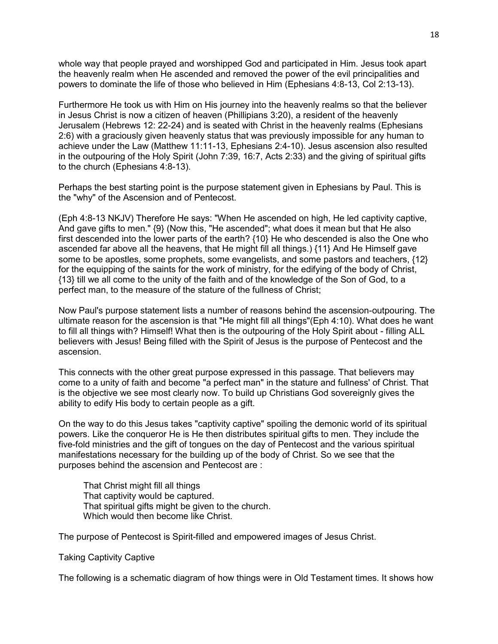whole way that people prayed and worshipped God and participated in Him. Jesus took apart the heavenly realm when He ascended and removed the power of the evil principalities and powers to dominate the life of those who believed in Him (Ephesians 4:8-13, Col 2:13-13).

Furthermore He took us with Him on His journey into the heavenly realms so that the believer in Jesus Christ is now a citizen of heaven (Phillipians 3:20), a resident of the heavenly Jerusalem (Hebrews 12: 22-24) and is seated with Christ in the heavenly realms (Ephesians 2:6) with a graciously given heavenly status that was previously impossible for any human to achieve under the Law (Matthew 11:11-13, Ephesians 2:4-10). Jesus ascension also resulted in the outpouring of the Holy Spirit (John 7:39, 16:7, Acts 2:33) and the giving of spiritual gifts to the church (Ephesians 4:8-13).

Perhaps the best starting point is the purpose statement given in Ephesians by Paul. This is the "why" of the Ascension and of Pentecost.

(Eph 4:8-13 NKJV) Therefore He says: "When He ascended on high, He led captivity captive, And gave gifts to men." {9} (Now this, "He ascended"; what does it mean but that He also first descended into the lower parts of the earth? {10} He who descended is also the One who ascended far above all the heavens, that He might fill all things.) {11} And He Himself gave some to be apostles, some prophets, some evangelists, and some pastors and teachers, {12} for the equipping of the saints for the work of ministry, for the edifying of the body of Christ, {13} till we all come to the unity of the faith and of the knowledge of the Son of God, to a perfect man, to the measure of the stature of the fullness of Christ;

Now Paul's purpose statement lists a number of reasons behind the ascension-outpouring. The ultimate reason for the ascension is that "He might fill all things"(Eph 4:10). What does he want to fill all things with? Himself! What then is the outpouring of the Holy Spirit about - filling ALL believers with Jesus! Being filled with the Spirit of Jesus is the purpose of Pentecost and the ascension.

This connects with the other great purpose expressed in this passage. That believers may come to a unity of faith and become "a perfect man" in the stature and fullness' of Christ. That is the objective we see most clearly now. To build up Christians God sovereignly gives the ability to edify His body to certain people as a gift.

On the way to do this Jesus takes "captivity captive" spoiling the demonic world of its spiritual powers. Like the conqueror He is He then distributes spiritual gifts to men. They include the five-fold ministries and the gift of tongues on the day of Pentecost and the various spiritual manifestations necessary for the building up of the body of Christ. So we see that the purposes behind the ascension and Pentecost are :

 That Christ might fill all things That captivity would be captured. That spiritual gifts might be given to the church. Which would then become like Christ.

The purpose of Pentecost is Spirit-filled and empowered images of Jesus Christ.

#### Taking Captivity Captive

The following is a schematic diagram of how things were in Old Testament times. It shows how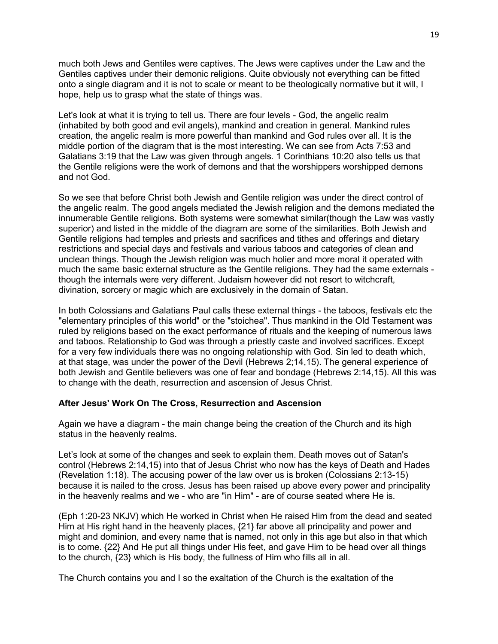much both Jews and Gentiles were captives. The Jews were captives under the Law and the Gentiles captives under their demonic religions. Quite obviously not everything can be fitted onto a single diagram and it is not to scale or meant to be theologically normative but it will, I hope, help us to grasp what the state of things was.

Let's look at what it is trying to tell us. There are four levels - God, the angelic realm (inhabited by both good and evil angels), mankind and creation in general. Mankind rules creation, the angelic realm is more powerful than mankind and God rules over all. It is the middle portion of the diagram that is the most interesting. We can see from Acts 7:53 and Galatians 3:19 that the Law was given through angels. 1 Corinthians 10:20 also tells us that the Gentile religions were the work of demons and that the worshippers worshipped demons and not God.

So we see that before Christ both Jewish and Gentile religion was under the direct control of the angelic realm. The good angels mediated the Jewish religion and the demons mediated the innumerable Gentile religions. Both systems were somewhat similar(though the Law was vastly superior) and listed in the middle of the diagram are some of the similarities. Both Jewish and Gentile religions had temples and priests and sacrifices and tithes and offerings and dietary restrictions and special days and festivals and various taboos and categories of clean and unclean things. Though the Jewish religion was much holier and more moral it operated with much the same basic external structure as the Gentile religions. They had the same externals though the internals were very different. Judaism however did not resort to witchcraft, divination, sorcery or magic which are exclusively in the domain of Satan.

In both Colossians and Galatians Paul calls these external things - the taboos, festivals etc the "elementary principles of this world" or the "stoichea". Thus mankind in the Old Testament was ruled by religions based on the exact performance of rituals and the keeping of numerous laws and taboos. Relationship to God was through a priestly caste and involved sacrifices. Except for a very few individuals there was no ongoing relationship with God. Sin led to death which, at that stage, was under the power of the Devil (Hebrews 2;14,15). The general experience of both Jewish and Gentile believers was one of fear and bondage (Hebrews 2:14,15). All this was to change with the death, resurrection and ascension of Jesus Christ.

#### **After Jesus' Work On The Cross, Resurrection and Ascension**

Again we have a diagram - the main change being the creation of the Church and its high status in the heavenly realms.

Let's look at some of the changes and seek to explain them. Death moves out of Satan's control (Hebrews 2:14,15) into that of Jesus Christ who now has the keys of Death and Hades (Revelation 1:18). The accusing power of the law over us is broken (Colossians 2:13-15) because it is nailed to the cross. Jesus has been raised up above every power and principality in the heavenly realms and we - who are "in Him" - are of course seated where He is.

(Eph 1:20-23 NKJV) which He worked in Christ when He raised Him from the dead and seated Him at His right hand in the heavenly places, {21} far above all principality and power and might and dominion, and every name that is named, not only in this age but also in that which is to come. {22} And He put all things under His feet, and gave Him to be head over all things to the church, {23} which is His body, the fullness of Him who fills all in all.

The Church contains you and I so the exaltation of the Church is the exaltation of the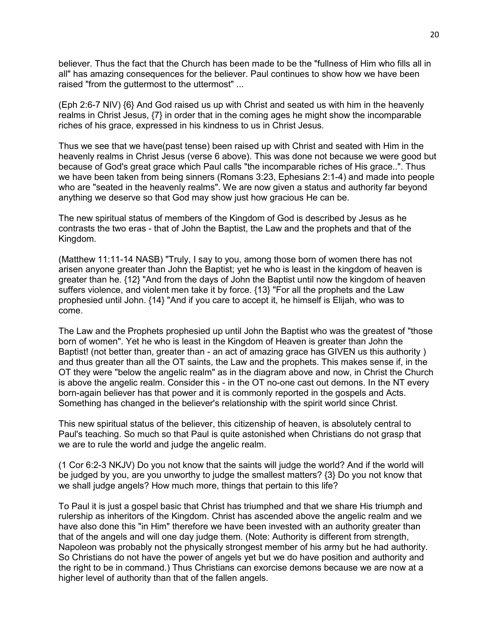believer. Thus the fact that the Church has been made to be the "fullness of Him who fills all in all" has amazing consequences for the believer. Paul continues to show how we have been raised "from the guttermost to the uttermost" ...

(Eph 2:6-7 NIV) {6} And God raised us up with Christ and seated us with him in the heavenly realms in Christ Jesus, {7} in order that in the coming ages he might show the incomparable riches of his grace, expressed in his kindness to us in Christ Jesus.

Thus we see that we have(past tense) been raised up with Christ and seated with Him in the heavenly realms in Christ Jesus (verse 6 above). This was done not because we were good but because of God's great grace which Paul calls "the incomparable riches of His grace..". Thus we have been taken from being sinners (Romans 3:23, Ephesians 2:1-4) and made into people who are "seated in the heavenly realms". We are now given a status and authority far beyond anything we deserve so that God may show just how gracious He can be.

The new spiritual status of members of the Kingdom of God is described by Jesus as he contrasts the two eras - that of John the Baptist, the Law and the prophets and that of the Kingdom.

(Matthew 11:11-14 NASB) "Truly, I say to you, among those born of women there has not arisen anyone greater than John the Baptist; yet he who is least in the kingdom of heaven is greater than he. {12} "And from the days of John the Baptist until now the kingdom of heaven suffers violence, and violent men take it by force. {13} "For all the prophets and the Law prophesied until John. {14} "And if you care to accept it, he himself is Elijah, who was to come.

The Law and the Prophets prophesied up until John the Baptist who was the greatest of "those born of women". Yet he who is least in the Kingdom of Heaven is greater than John the Baptist! (not better than, greater than - an act of amazing grace has GIVEN us this authority ) and thus greater than all the OT saints, the Law and the prophets. This makes sense if, in the OT they were "below the angelic realm" as in the diagram above and now, in Christ the Church is above the angelic realm. Consider this - in the OT no-one cast out demons. In the NT every born-again believer has that power and it is commonly reported in the gospels and Acts. Something has changed in the believer's relationship with the spirit world since Christ.

This new spiritual status of the believer, this citizenship of heaven, is absolutely central to Paul's teaching. So much so that Paul is quite astonished when Christians do not grasp that we are to rule the world and judge the angelic realm.

(1 Cor 6:2-3 NKJV) Do you not know that the saints will judge the world? And if the world will be judged by you, are you unworthy to judge the smallest matters? {3} Do you not know that we shall judge angels? How much more, things that pertain to this life?

To Paul it is just a gospel basic that Christ has triumphed and that we share His triumph and rulership as inheritors of the Kingdom. Christ has ascended above the angelic realm and we have also done this "in Him" therefore we have been invested with an authority greater than that of the angels and will one day judge them. (Note: Authority is different from strength, Napoleon was probably not the physically strongest member of his army but he had authority. So Christians do not have the power of angels yet but we do have position and authority and the right to be in command.) Thus Christians can exorcise demons because we are now at a higher level of authority than that of the fallen angels.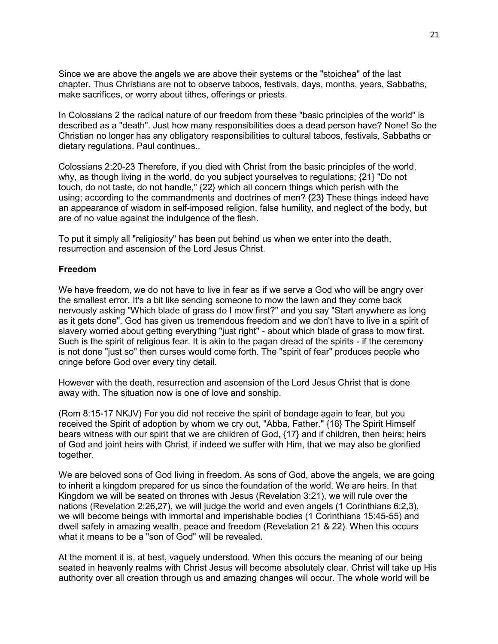Since we are above the angels we are above their systems or the "stoichea" of the last chapter. Thus Christians are not to observe taboos, festivals, days, months, years, Sabbaths, make sacrifices, or worry about tithes, offerings or priests.

In Colossians 2 the radical nature of our freedom from these "basic principles of the world" is described as a "death". Just how many responsibilities does a dead person have? None! So the Christian no longer has any obligatory responsibilities to cultural taboos, festivals, Sabbaths or dietary regulations. Paul continues..

Colossians 2:20-23 Therefore, if you died with Christ from the basic principles of the world, why, as though living in the world, do you subject yourselves to regulations; {21} "Do not touch, do not taste, do not handle," {22} which all concern things which perish with the using; according to the commandments and doctrines of men? {23} These things indeed have an appearance of wisdom in self-imposed religion, false humility, and neglect of the body, but are of no value against the indulgence of the flesh.

To put it simply all "religiosity" has been put behind us when we enter into the death, resurrection and ascension of the Lord Jesus Christ.

#### **Freedom**

We have freedom, we do not have to live in fear as if we serve a God who will be angry over the smallest error. It's a bit like sending someone to mow the lawn and they come back nervously asking "Which blade of grass do I mow first?" and you say "Start anywhere as long as it gets done". God has given us tremendous freedom and we don't have to live in a spirit of slavery worried about getting everything "just right" - about which blade of grass to mow first. Such is the spirit of religious fear. It is akin to the pagan dread of the spirits - if the ceremony is not done "just so" then curses would come forth. The "spirit of fear" produces people who cringe before God over every tiny detail.

However with the death, resurrection and ascension of the Lord Jesus Christ that is done away with. The situation now is one of love and sonship.

(Rom 8:15-17 NKJV) For you did not receive the spirit of bondage again to fear, but you received the Spirit of adoption by whom we cry out, "Abba, Father." {16} The Spirit Himself bears witness with our spirit that we are children of God, {17} and if children, then heirs; heirs of God and joint heirs with Christ, if indeed we suffer with Him, that we may also be glorified together.

We are beloved sons of God living in freedom. As sons of God, above the angels, we are going to inherit a kingdom prepared for us since the foundation of the world. We are heirs. In that Kingdom we will be seated on thrones with Jesus (Revelation 3:21), we will rule over the nations (Revelation 2:26,27), we will judge the world and even angels (1 Corinthians 6:2,3), we will become beings with immortal and imperishable bodies (1 Corinthians 15:45-55) and dwell safely in amazing wealth, peace and freedom (Revelation 21 & 22). When this occurs what it means to be a "son of God" will be revealed.

At the moment it is, at best, vaguely understood. When this occurs the meaning of our being seated in heavenly realms with Christ Jesus will become absolutely clear. Christ will take up His authority over all creation through us and amazing changes will occur. The whole world will be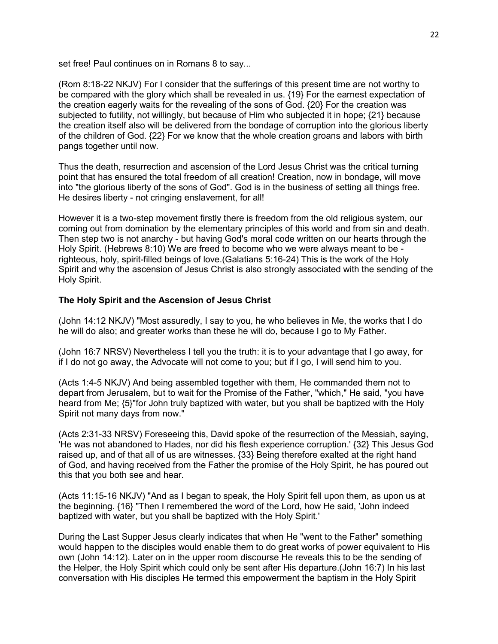set free! Paul continues on in Romans 8 to say...

(Rom 8:18-22 NKJV) For I consider that the sufferings of this present time are not worthy to be compared with the glory which shall be revealed in us. {19} For the earnest expectation of the creation eagerly waits for the revealing of the sons of God. {20} For the creation was subjected to futility, not willingly, but because of Him who subjected it in hope; {21} because the creation itself also will be delivered from the bondage of corruption into the glorious liberty of the children of God. {22} For we know that the whole creation groans and labors with birth pangs together until now.

Thus the death, resurrection and ascension of the Lord Jesus Christ was the critical turning point that has ensured the total freedom of all creation! Creation, now in bondage, will move into "the glorious liberty of the sons of God". God is in the business of setting all things free. He desires liberty - not cringing enslavement, for all!

However it is a two-step movement firstly there is freedom from the old religious system, our coming out from domination by the elementary principles of this world and from sin and death. Then step two is not anarchy - but having God's moral code written on our hearts through the Holy Spirit. (Hebrews 8:10) We are freed to become who we were always meant to be righteous, holy, spirit-filled beings of love.(Galatians 5:16-24) This is the work of the Holy Spirit and why the ascension of Jesus Christ is also strongly associated with the sending of the Holy Spirit.

# **The Holy Spirit and the Ascension of Jesus Christ**

(John 14:12 NKJV) "Most assuredly, I say to you, he who believes in Me, the works that I do he will do also; and greater works than these he will do, because I go to My Father.

(John 16:7 NRSV) Nevertheless I tell you the truth: it is to your advantage that I go away, for if I do not go away, the Advocate will not come to you; but if I go, I will send him to you.

(Acts 1:4-5 NKJV) And being assembled together with them, He commanded them not to depart from Jerusalem, but to wait for the Promise of the Father, "which," He said, "you have heard from Me; {5}"for John truly baptized with water, but you shall be baptized with the Holy Spirit not many days from now."

(Acts 2:31-33 NRSV) Foreseeing this, David spoke of the resurrection of the Messiah, saying, 'He was not abandoned to Hades, nor did his flesh experience corruption.' {32} This Jesus God raised up, and of that all of us are witnesses. {33} Being therefore exalted at the right hand of God, and having received from the Father the promise of the Holy Spirit, he has poured out this that you both see and hear.

(Acts 11:15-16 NKJV) "And as I began to speak, the Holy Spirit fell upon them, as upon us at the beginning. {16} "Then I remembered the word of the Lord, how He said, 'John indeed baptized with water, but you shall be baptized with the Holy Spirit.'

During the Last Supper Jesus clearly indicates that when He "went to the Father" something would happen to the disciples would enable them to do great works of power equivalent to His own (John 14:12). Later on in the upper room discourse He reveals this to be the sending of the Helper, the Holy Spirit which could only be sent after His departure.(John 16:7) In his last conversation with His disciples He termed this empowerment the baptism in the Holy Spirit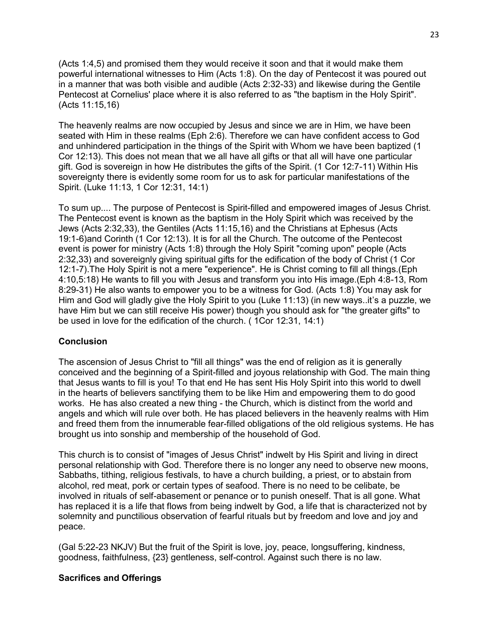(Acts 1:4,5) and promised them they would receive it soon and that it would make them powerful international witnesses to Him (Acts 1:8). On the day of Pentecost it was poured out in a manner that was both visible and audible (Acts 2:32-33) and likewise during the Gentile Pentecost at Cornelius' place where it is also referred to as "the baptism in the Holy Spirit". (Acts 11:15,16)

The heavenly realms are now occupied by Jesus and since we are in Him, we have been seated with Him in these realms (Eph 2:6). Therefore we can have confident access to God and unhindered participation in the things of the Spirit with Whom we have been baptized (1 Cor 12:13). This does not mean that we all have all gifts or that all will have one particular gift. God is sovereign in how He distributes the gifts of the Spirit. (1 Cor 12:7-11) Within His sovereignty there is evidently some room for us to ask for particular manifestations of the Spirit. (Luke 11:13, 1 Cor 12:31, 14:1)

To sum up.... The purpose of Pentecost is Spirit-filled and empowered images of Jesus Christ. The Pentecost event is known as the baptism in the Holy Spirit which was received by the Jews (Acts 2:32,33), the Gentiles (Acts 11:15,16) and the Christians at Ephesus (Acts 19:1-6)and Corinth (1 Cor 12:13). It is for all the Church. The outcome of the Pentecost event is power for ministry (Acts 1:8) through the Holy Spirit "coming upon" people (Acts 2:32,33) and sovereignly giving spiritual gifts for the edification of the body of Christ (1 Cor 12:1-7).The Holy Spirit is not a mere "experience". He is Christ coming to fill all things.(Eph 4:10,5:18) He wants to fill you with Jesus and transform you into His image.(Eph 4:8-13, Rom 8:29-31) He also wants to empower you to be a witness for God. (Acts 1:8) You may ask for Him and God will gladly give the Holy Spirit to you (Luke 11:13) (in new ways..it's a puzzle, we have Him but we can still receive His power) though you should ask for "the greater gifts" to be used in love for the edification of the church. ( 1Cor 12:31, 14:1)

# **Conclusion**

The ascension of Jesus Christ to "fill all things" was the end of religion as it is generally conceived and the beginning of a Spirit-filled and joyous relationship with God. The main thing that Jesus wants to fill is you! To that end He has sent His Holy Spirit into this world to dwell in the hearts of believers sanctifying them to be like Him and empowering them to do good works. He has also created a new thing - the Church, which is distinct from the world and angels and which will rule over both. He has placed believers in the heavenly realms with Him and freed them from the innumerable fear-filled obligations of the old religious systems. He has brought us into sonship and membership of the household of God.

This church is to consist of "images of Jesus Christ" indwelt by His Spirit and living in direct personal relationship with God. Therefore there is no longer any need to observe new moons, Sabbaths, tithing, religious festivals, to have a church building, a priest, or to abstain from alcohol, red meat, pork or certain types of seafood. There is no need to be celibate, be involved in rituals of self-abasement or penance or to punish oneself. That is all gone. What has replaced it is a life that flows from being indwelt by God, a life that is characterized not by solemnity and punctilious observation of fearful rituals but by freedom and love and joy and peace.

(Gal 5:22-23 NKJV) But the fruit of the Spirit is love, joy, peace, longsuffering, kindness, goodness, faithfulness, {23} gentleness, self-control. Against such there is no law.

#### **Sacrifices and Offerings**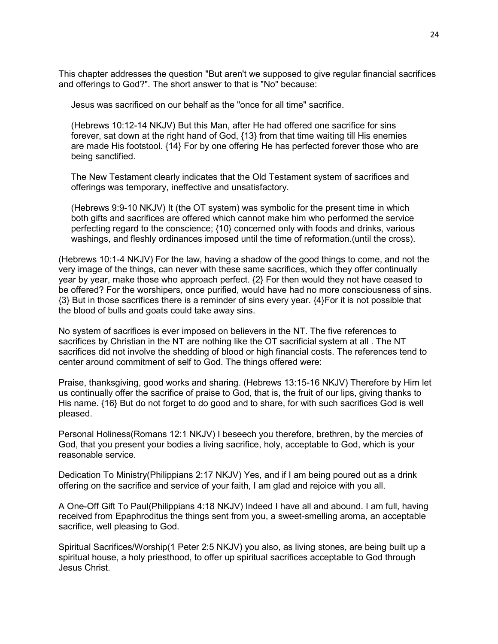This chapter addresses the question "But aren't we supposed to give regular financial sacrifices and offerings to God?". The short answer to that is "No" because:

Jesus was sacrificed on our behalf as the "once for all time" sacrifice.

 (Hebrews 10:12-14 NKJV) But this Man, after He had offered one sacrifice for sins forever, sat down at the right hand of God, {13} from that time waiting till His enemies are made His footstool. {14} For by one offering He has perfected forever those who are being sanctified.

 The New Testament clearly indicates that the Old Testament system of sacrifices and offerings was temporary, ineffective and unsatisfactory.

 (Hebrews 9:9-10 NKJV) It (the OT system) was symbolic for the present time in which both gifts and sacrifices are offered which cannot make him who performed the service perfecting regard to the conscience; {10} concerned only with foods and drinks, various washings, and fleshly ordinances imposed until the time of reformation.(until the cross).

(Hebrews 10:1-4 NKJV) For the law, having a shadow of the good things to come, and not the very image of the things, can never with these same sacrifices, which they offer continually year by year, make those who approach perfect. {2} For then would they not have ceased to be offered? For the worshipers, once purified, would have had no more consciousness of sins. {3} But in those sacrifices there is a reminder of sins every year. {4}For it is not possible that the blood of bulls and goats could take away sins.

No system of sacrifices is ever imposed on believers in the NT. The five references to sacrifices by Christian in the NT are nothing like the OT sacrificial system at all . The NT sacrifices did not involve the shedding of blood or high financial costs. The references tend to center around commitment of self to God. The things offered were:

Praise, thanksgiving, good works and sharing. (Hebrews 13:15-16 NKJV) Therefore by Him let us continually offer the sacrifice of praise to God, that is, the fruit of our lips, giving thanks to His name. {16} But do not forget to do good and to share, for with such sacrifices God is well pleased.

Personal Holiness(Romans 12:1 NKJV) I beseech you therefore, brethren, by the mercies of God, that you present your bodies a living sacrifice, holy, acceptable to God, which is your reasonable service.

Dedication To Ministry(Philippians 2:17 NKJV) Yes, and if I am being poured out as a drink offering on the sacrifice and service of your faith, I am glad and rejoice with you all.

A One-Off Gift To Paul(Philippians 4:18 NKJV) Indeed I have all and abound. I am full, having received from Epaphroditus the things sent from you, a sweet-smelling aroma, an acceptable sacrifice, well pleasing to God.

Spiritual Sacrifices/Worship(1 Peter 2:5 NKJV) you also, as living stones, are being built up a spiritual house, a holy priesthood, to offer up spiritual sacrifices acceptable to God through Jesus Christ.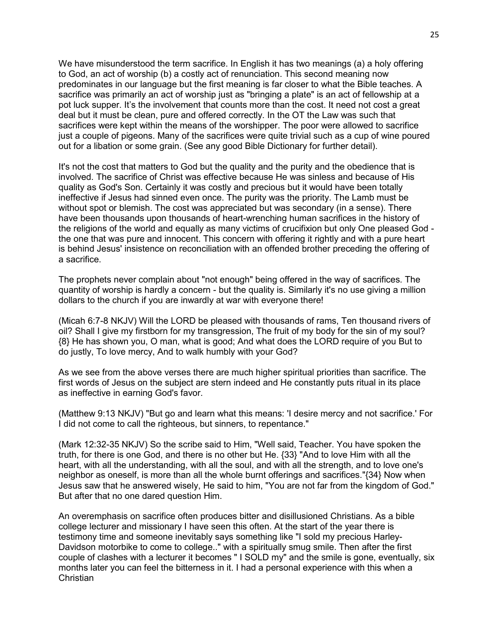We have misunderstood the term sacrifice. In English it has two meanings (a) a holy offering to God, an act of worship (b) a costly act of renunciation. This second meaning now predominates in our language but the first meaning is far closer to what the Bible teaches. A sacrifice was primarily an act of worship just as "bringing a plate" is an act of fellowship at a pot luck supper. It's the involvement that counts more than the cost. It need not cost a great deal but it must be clean, pure and offered correctly. In the OT the Law was such that sacrifices were kept within the means of the worshipper. The poor were allowed to sacrifice just a couple of pigeons. Many of the sacrifices were quite trivial such as a cup of wine poured out for a libation or some grain. (See any good Bible Dictionary for further detail).

It's not the cost that matters to God but the quality and the purity and the obedience that is involved. The sacrifice of Christ was effective because He was sinless and because of His quality as God's Son. Certainly it was costly and precious but it would have been totally ineffective if Jesus had sinned even once. The purity was the priority. The Lamb must be without spot or blemish. The cost was appreciated but was secondary (in a sense). There have been thousands upon thousands of heart-wrenching human sacrifices in the history of the religions of the world and equally as many victims of crucifixion but only One pleased God the one that was pure and innocent. This concern with offering it rightly and with a pure heart is behind Jesus' insistence on reconciliation with an offended brother preceding the offering of a sacrifice.

The prophets never complain about "not enough" being offered in the way of sacrifices. The quantity of worship is hardly a concern - but the quality is. Similarly it's no use giving a million dollars to the church if you are inwardly at war with everyone there!

(Micah 6:7-8 NKJV) Will the LORD be pleased with thousands of rams, Ten thousand rivers of oil? Shall I give my firstborn for my transgression, The fruit of my body for the sin of my soul? {8} He has shown you, O man, what is good; And what does the LORD require of you But to do justly, To love mercy, And to walk humbly with your God?

As we see from the above verses there are much higher spiritual priorities than sacrifice. The first words of Jesus on the subject are stern indeed and He constantly puts ritual in its place as ineffective in earning God's favor.

(Matthew 9:13 NKJV) "But go and learn what this means: 'I desire mercy and not sacrifice.' For I did not come to call the righteous, but sinners, to repentance."

(Mark 12:32-35 NKJV) So the scribe said to Him, "Well said, Teacher. You have spoken the truth, for there is one God, and there is no other but He. {33} "And to love Him with all the heart, with all the understanding, with all the soul, and with all the strength, and to love one's neighbor as oneself, is more than all the whole burnt offerings and sacrifices."{34} Now when Jesus saw that he answered wisely, He said to him, "You are not far from the kingdom of God." But after that no one dared question Him.

An overemphasis on sacrifice often produces bitter and disillusioned Christians. As a bible college lecturer and missionary I have seen this often. At the start of the year there is testimony time and someone inevitably says something like "I sold my precious Harley-Davidson motorbike to come to college.." with a spiritually smug smile. Then after the first couple of clashes with a lecturer it becomes " I SOLD my" and the smile is gone, eventually, six months later you can feel the bitterness in it. I had a personal experience with this when a Christian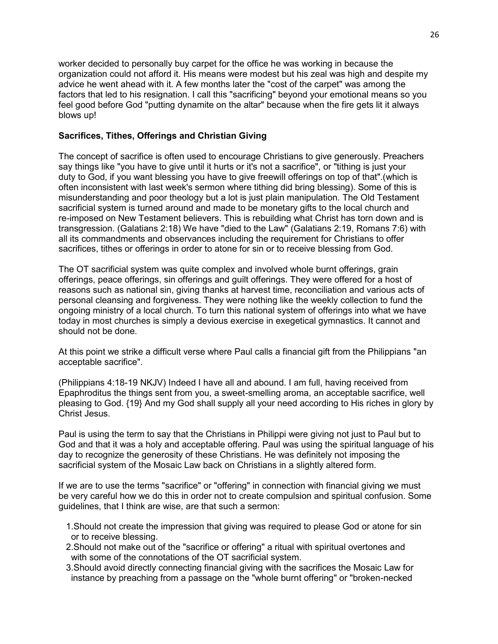worker decided to personally buy carpet for the office he was working in because the organization could not afford it. His means were modest but his zeal was high and despite my advice he went ahead with it. A few months later the "cost of the carpet" was among the factors that led to his resignation. I call this "sacrificing" beyond your emotional means so you feel good before God "putting dynamite on the altar" because when the fire gets lit it always blows up!

# **Sacrifices, Tithes, Offerings and Christian Giving**

The concept of sacrifice is often used to encourage Christians to give generously. Preachers say things like "you have to give until it hurts or it's not a sacrifice", or "tithing is just your duty to God, if you want blessing you have to give freewill offerings on top of that".(which is often inconsistent with last week's sermon where tithing did bring blessing). Some of this is misunderstanding and poor theology but a lot is just plain manipulation. The Old Testament sacrificial system is turned around and made to be monetary gifts to the local church and re-imposed on New Testament believers. This is rebuilding what Christ has torn down and is transgression. (Galatians 2:18) We have "died to the Law" (Galatians 2:19, Romans 7:6) with all its commandments and observances including the requirement for Christians to offer sacrifices, tithes or offerings in order to atone for sin or to receive blessing from God.

The OT sacrificial system was quite complex and involved whole burnt offerings, grain offerings, peace offerings, sin offerings and guilt offerings. They were offered for a host of reasons such as national sin, giving thanks at harvest time, reconciliation and various acts of personal cleansing and forgiveness. They were nothing like the weekly collection to fund the ongoing ministry of a local church. To turn this national system of offerings into what we have today in most churches is simply a devious exercise in exegetical gymnastics. It cannot and should not be done.

At this point we strike a difficult verse where Paul calls a financial gift from the Philippians "an acceptable sacrifice".

(Philippians 4:18-19 NKJV) Indeed I have all and abound. I am full, having received from Epaphroditus the things sent from you, a sweet-smelling aroma, an acceptable sacrifice, well pleasing to God. {19} And my God shall supply all your need according to His riches in glory by Christ Jesus.

Paul is using the term to say that the Christians in Philippi were giving not just to Paul but to God and that it was a holy and acceptable offering. Paul was using the spiritual language of his day to recognize the generosity of these Christians. He was definitely not imposing the sacrificial system of the Mosaic Law back on Christians in a slightly altered form.

If we are to use the terms "sacrifice" or "offering" in connection with financial giving we must be very careful how we do this in order not to create compulsion and spiritual confusion. Some guidelines, that I think are wise, are that such a sermon:

- 1.Should not create the impression that giving was required to please God or atone for sin or to receive blessing.
- 2.Should not make out of the "sacrifice or offering" a ritual with spiritual overtones and with some of the connotations of the OT sacrificial system.
- 3.Should avoid directly connecting financial giving with the sacrifices the Mosaic Law for instance by preaching from a passage on the "whole burnt offering" or "broken-necked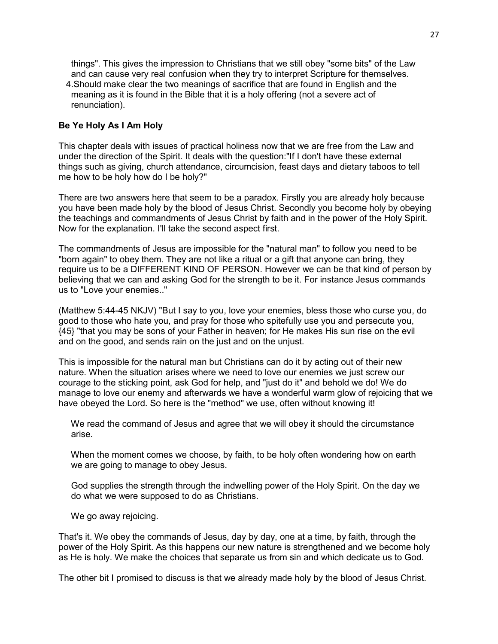things". This gives the impression to Christians that we still obey "some bits" of the Law and can cause very real confusion when they try to interpret Scripture for themselves. 4.Should make clear the two meanings of sacrifice that are found in English and the meaning as it is found in the Bible that it is a holy offering (not a severe act of renunciation).

## **Be Ye Holy As I Am Holy**

This chapter deals with issues of practical holiness now that we are free from the Law and under the direction of the Spirit. It deals with the question:"If I don't have these external things such as giving, church attendance, circumcision, feast days and dietary taboos to tell me how to be holy how do I be holy?"

There are two answers here that seem to be a paradox. Firstly you are already holy because you have been made holy by the blood of Jesus Christ. Secondly you become holy by obeying the teachings and commandments of Jesus Christ by faith and in the power of the Holy Spirit. Now for the explanation. I'll take the second aspect first.

The commandments of Jesus are impossible for the "natural man" to follow you need to be "born again" to obey them. They are not like a ritual or a gift that anyone can bring, they require us to be a DIFFERENT KIND OF PERSON. However we can be that kind of person by believing that we can and asking God for the strength to be it. For instance Jesus commands us to "Love your enemies.."

(Matthew 5:44-45 NKJV) "But I say to you, love your enemies, bless those who curse you, do good to those who hate you, and pray for those who spitefully use you and persecute you, {45} "that you may be sons of your Father in heaven; for He makes His sun rise on the evil and on the good, and sends rain on the just and on the unjust.

This is impossible for the natural man but Christians can do it by acting out of their new nature. When the situation arises where we need to love our enemies we just screw our courage to the sticking point, ask God for help, and "just do it" and behold we do! We do manage to love our enemy and afterwards we have a wonderful warm glow of rejoicing that we have obeyed the Lord. So here is the "method" we use, often without knowing it!

 We read the command of Jesus and agree that we will obey it should the circumstance arise.

 When the moment comes we choose, by faith, to be holy often wondering how on earth we are going to manage to obey Jesus.

 God supplies the strength through the indwelling power of the Holy Spirit. On the day we do what we were supposed to do as Christians.

We go away rejoicing.

That's it. We obey the commands of Jesus, day by day, one at a time, by faith, through the power of the Holy Spirit. As this happens our new nature is strengthened and we become holy as He is holy. We make the choices that separate us from sin and which dedicate us to God.

The other bit I promised to discuss is that we already made holy by the blood of Jesus Christ.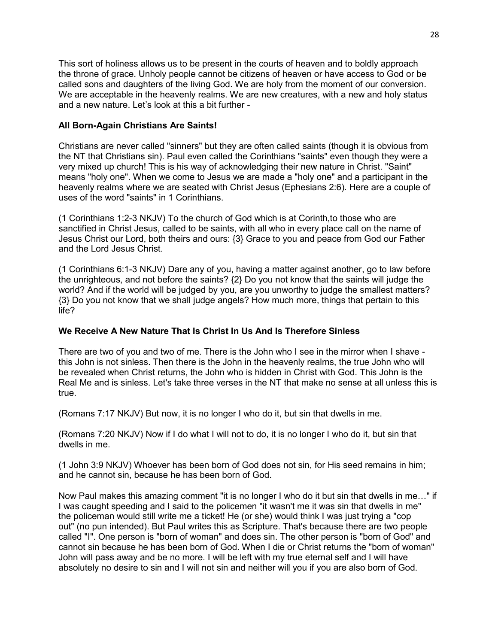This sort of holiness allows us to be present in the courts of heaven and to boldly approach the throne of grace. Unholy people cannot be citizens of heaven or have access to God or be called sons and daughters of the living God. We are holy from the moment of our conversion. We are acceptable in the heavenly realms. We are new creatures, with a new and holy status and a new nature. Let's look at this a bit further -

# **All Born-Again Christians Are Saints!**

Christians are never called "sinners" but they are often called saints (though it is obvious from the NT that Christians sin). Paul even called the Corinthians "saints" even though they were a very mixed up church! This is his way of acknowledging their new nature in Christ. "Saint" means "holy one". When we come to Jesus we are made a "holy one" and a participant in the heavenly realms where we are seated with Christ Jesus (Ephesians 2:6). Here are a couple of uses of the word "saints" in 1 Corinthians.

(1 Corinthians 1:2-3 NKJV) To the church of God which is at Corinth,to those who are sanctified in Christ Jesus, called to be saints, with all who in every place call on the name of Jesus Christ our Lord, both theirs and ours: {3} Grace to you and peace from God our Father and the Lord Jesus Christ.

(1 Corinthians 6:1-3 NKJV) Dare any of you, having a matter against another, go to law before the unrighteous, and not before the saints? {2} Do you not know that the saints will judge the world? And if the world will be judged by you, are you unworthy to judge the smallest matters? {3} Do you not know that we shall judge angels? How much more, things that pertain to this life?

# **We Receive A New Nature That Is Christ In Us And Is Therefore Sinless**

There are two of you and two of me. There is the John who I see in the mirror when I shave this John is not sinless. Then there is the John in the heavenly realms, the true John who will be revealed when Christ returns, the John who is hidden in Christ with God. This John is the Real Me and is sinless. Let's take three verses in the NT that make no sense at all unless this is true.

(Romans 7:17 NKJV) But now, it is no longer I who do it, but sin that dwells in me.

(Romans 7:20 NKJV) Now if I do what I will not to do, it is no longer I who do it, but sin that dwells in me.

(1 John 3:9 NKJV) Whoever has been born of God does not sin, for His seed remains in him; and he cannot sin, because he has been born of God.

Now Paul makes this amazing comment "it is no longer I who do it but sin that dwells in me…" if I was caught speeding and I said to the policemen "it wasn't me it was sin that dwells in me" the policeman would still write me a ticket! He (or she) would think I was just trying a "cop out" (no pun intended). But Paul writes this as Scripture. That's because there are two people called "I". One person is "born of woman" and does sin. The other person is "born of God" and cannot sin because he has been born of God. When I die or Christ returns the "born of woman" John will pass away and be no more. I will be left with my true eternal self and I will have absolutely no desire to sin and I will not sin and neither will you if you are also born of God.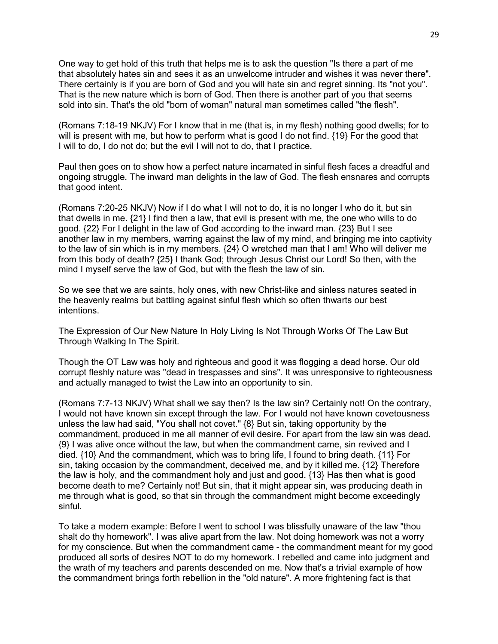One way to get hold of this truth that helps me is to ask the question "Is there a part of me that absolutely hates sin and sees it as an unwelcome intruder and wishes it was never there". There certainly is if you are born of God and you will hate sin and regret sinning. Its "not you". That is the new nature which is born of God. Then there is another part of you that seems sold into sin. That's the old "born of woman" natural man sometimes called "the flesh".

(Romans 7:18-19 NKJV) For I know that in me (that is, in my flesh) nothing good dwells; for to will is present with me, but how to perform what is good I do not find. {19} For the good that I will to do, I do not do; but the evil I will not to do, that I practice.

Paul then goes on to show how a perfect nature incarnated in sinful flesh faces a dreadful and ongoing struggle. The inward man delights in the law of God. The flesh ensnares and corrupts that good intent.

(Romans 7:20-25 NKJV) Now if I do what I will not to do, it is no longer I who do it, but sin that dwells in me. {21} I find then a law, that evil is present with me, the one who wills to do good. {22} For I delight in the law of God according to the inward man. {23} But I see another law in my members, warring against the law of my mind, and bringing me into captivity to the law of sin which is in my members. {24} O wretched man that I am! Who will deliver me from this body of death? {25} I thank God; through Jesus Christ our Lord! So then, with the mind I myself serve the law of God, but with the flesh the law of sin.

So we see that we are saints, holy ones, with new Christ-like and sinless natures seated in the heavenly realms but battling against sinful flesh which so often thwarts our best intentions.

The Expression of Our New Nature In Holy Living Is Not Through Works Of The Law But Through Walking In The Spirit.

Though the OT Law was holy and righteous and good it was flogging a dead horse. Our old corrupt fleshly nature was "dead in trespasses and sins". It was unresponsive to righteousness and actually managed to twist the Law into an opportunity to sin.

(Romans 7:7-13 NKJV) What shall we say then? Is the law sin? Certainly not! On the contrary, I would not have known sin except through the law. For I would not have known covetousness unless the law had said, "You shall not covet." {8} But sin, taking opportunity by the commandment, produced in me all manner of evil desire. For apart from the law sin was dead. {9} I was alive once without the law, but when the commandment came, sin revived and I died. {10} And the commandment, which was to bring life, I found to bring death. {11} For sin, taking occasion by the commandment, deceived me, and by it killed me. {12} Therefore the law is holy, and the commandment holy and just and good. {13} Has then what is good become death to me? Certainly not! But sin, that it might appear sin, was producing death in me through what is good, so that sin through the commandment might become exceedingly sinful.

To take a modern example: Before I went to school I was blissfully unaware of the law "thou shalt do thy homework". I was alive apart from the law. Not doing homework was not a worry for my conscience. But when the commandment came - the commandment meant for my good produced all sorts of desires NOT to do my homework. I rebelled and came into judgment and the wrath of my teachers and parents descended on me. Now that's a trivial example of how the commandment brings forth rebellion in the "old nature". A more frightening fact is that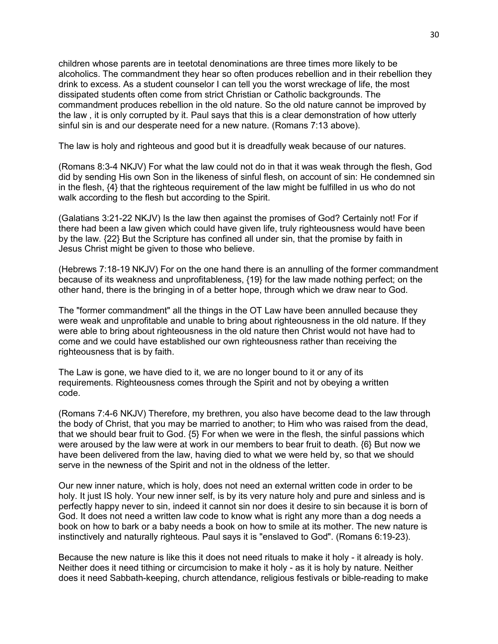children whose parents are in teetotal denominations are three times more likely to be alcoholics. The commandment they hear so often produces rebellion and in their rebellion they drink to excess. As a student counselor I can tell you the worst wreckage of life, the most dissipated students often come from strict Christian or Catholic backgrounds. The commandment produces rebellion in the old nature. So the old nature cannot be improved by the law , it is only corrupted by it. Paul says that this is a clear demonstration of how utterly sinful sin is and our desperate need for a new nature. (Romans 7:13 above).

The law is holy and righteous and good but it is dreadfully weak because of our natures.

(Romans 8:3-4 NKJV) For what the law could not do in that it was weak through the flesh, God did by sending His own Son in the likeness of sinful flesh, on account of sin: He condemned sin in the flesh, {4} that the righteous requirement of the law might be fulfilled in us who do not walk according to the flesh but according to the Spirit.

(Galatians 3:21-22 NKJV) Is the law then against the promises of God? Certainly not! For if there had been a law given which could have given life, truly righteousness would have been by the law. {22} But the Scripture has confined all under sin, that the promise by faith in Jesus Christ might be given to those who believe.

(Hebrews 7:18-19 NKJV) For on the one hand there is an annulling of the former commandment because of its weakness and unprofitableness, {19} for the law made nothing perfect; on the other hand, there is the bringing in of a better hope, through which we draw near to God.

The "former commandment" all the things in the OT Law have been annulled because they were weak and unprofitable and unable to bring about righteousness in the old nature. If they were able to bring about righteousness in the old nature then Christ would not have had to come and we could have established our own righteousness rather than receiving the righteousness that is by faith.

The Law is gone, we have died to it, we are no longer bound to it or any of its requirements. Righteousness comes through the Spirit and not by obeying a written code.

(Romans 7:4-6 NKJV) Therefore, my brethren, you also have become dead to the law through the body of Christ, that you may be married to another; to Him who was raised from the dead, that we should bear fruit to God. {5} For when we were in the flesh, the sinful passions which were aroused by the law were at work in our members to bear fruit to death. {6} But now we have been delivered from the law, having died to what we were held by, so that we should serve in the newness of the Spirit and not in the oldness of the letter.

Our new inner nature, which is holy, does not need an external written code in order to be holy. It just IS holy. Your new inner self, is by its very nature holy and pure and sinless and is perfectly happy never to sin, indeed it cannot sin nor does it desire to sin because it is born of God. It does not need a written law code to know what is right any more than a dog needs a book on how to bark or a baby needs a book on how to smile at its mother. The new nature is instinctively and naturally righteous. Paul says it is "enslaved to God". (Romans 6:19-23).

Because the new nature is like this it does not need rituals to make it holy - it already is holy. Neither does it need tithing or circumcision to make it holy - as it is holy by nature. Neither does it need Sabbath-keeping, church attendance, religious festivals or bible-reading to make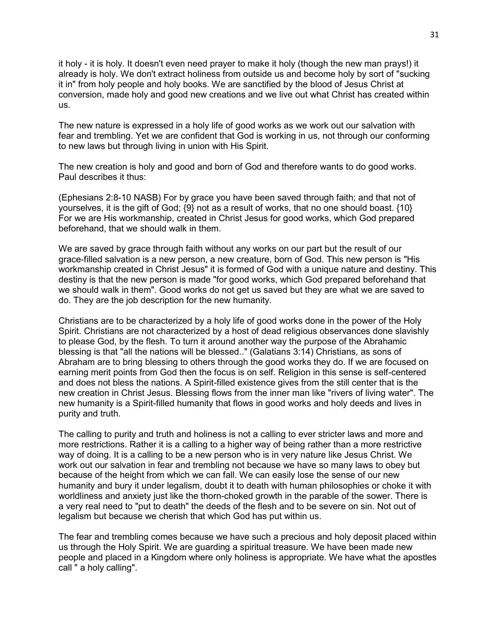it holy - it is holy. It doesn't even need prayer to make it holy (though the new man prays!) it already is holy. We don't extract holiness from outside us and become holy by sort of "sucking it in" from holy people and holy books. We are sanctified by the blood of Jesus Christ at conversion, made holy and good new creations and we live out what Christ has created within us.

The new nature is expressed in a holy life of good works as we work out our salvation with fear and trembling. Yet we are confident that God is working in us, not through our conforming to new laws but through living in union with His Spirit.

The new creation is holy and good and born of God and therefore wants to do good works. Paul describes it thus:

(Ephesians 2:8-10 NASB) For by grace you have been saved through faith; and that not of yourselves, it is the gift of God; {9} not as a result of works, that no one should boast. {10} For we are His workmanship, created in Christ Jesus for good works, which God prepared beforehand, that we should walk in them.

We are saved by grace through faith without any works on our part but the result of our grace-filled salvation is a new person, a new creature, born of God. This new person is "His workmanship created in Christ Jesus" it is formed of God with a unique nature and destiny. This destiny is that the new person is made "for good works, which God prepared beforehand that we should walk in them". Good works do not get us saved but they are what we are saved to do. They are the job description for the new humanity.

Christians are to be characterized by a holy life of good works done in the power of the Holy Spirit. Christians are not characterized by a host of dead religious observances done slavishly to please God, by the flesh. To turn it around another way the purpose of the Abrahamic blessing is that "all the nations will be blessed.." (Galatians 3:14) Christians, as sons of Abraham are to bring blessing to others through the good works they do. If we are focused on earning merit points from God then the focus is on self. Religion in this sense is self-centered and does not bless the nations. A Spirit-filled existence gives from the still center that is the new creation in Christ Jesus. Blessing flows from the inner man like "rivers of living water". The new humanity is a Spirit-filled humanity that flows in good works and holy deeds and lives in purity and truth.

The calling to purity and truth and holiness is not a calling to ever stricter laws and more and more restrictions. Rather it is a calling to a higher way of being rather than a more restrictive way of doing. It is a calling to be a new person who is in very nature like Jesus Christ. We work out our salvation in fear and trembling not because we have so many laws to obey but because of the height from which we can fall. We can easily lose the sense of our new humanity and bury it under legalism, doubt it to death with human philosophies or choke it with worldliness and anxiety just like the thorn-choked growth in the parable of the sower. There is a very real need to "put to death" the deeds of the flesh and to be severe on sin. Not out of legalism but because we cherish that which God has put within us.

The fear and trembling comes because we have such a precious and holy deposit placed within us through the Holy Spirit. We are guarding a spiritual treasure. We have been made new people and placed in a Kingdom where only holiness is appropriate. We have what the apostles call " a holy calling".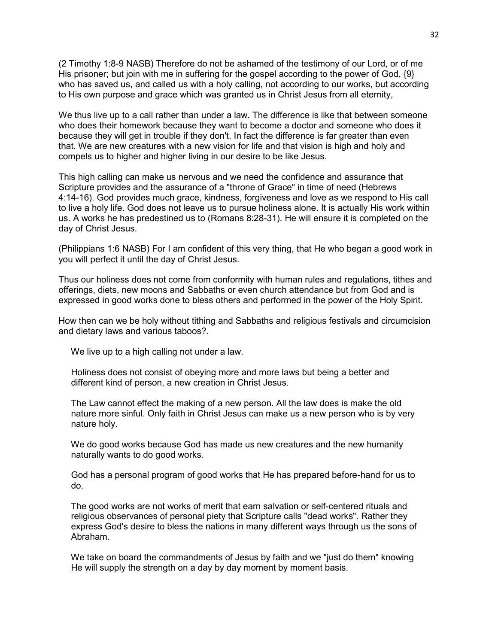(2 Timothy 1:8-9 NASB) Therefore do not be ashamed of the testimony of our Lord, or of me His prisoner; but join with me in suffering for the gospel according to the power of God,  $\{9\}$ who has saved us, and called us with a holy calling, not according to our works, but according to His own purpose and grace which was granted us in Christ Jesus from all eternity,

We thus live up to a call rather than under a law. The difference is like that between someone who does their homework because they want to become a doctor and someone who does it because they will get in trouble if they don't. In fact the difference is far greater than even that. We are new creatures with a new vision for life and that vision is high and holy and compels us to higher and higher living in our desire to be like Jesus.

This high calling can make us nervous and we need the confidence and assurance that Scripture provides and the assurance of a "throne of Grace" in time of need (Hebrews 4:14-16). God provides much grace, kindness, forgiveness and love as we respond to His call to live a holy life. God does not leave us to pursue holiness alone. It is actually His work within us. A works he has predestined us to (Romans 8:28-31). He will ensure it is completed on the day of Christ Jesus.

(Philippians 1:6 NASB) For I am confident of this very thing, that He who began a good work in you will perfect it until the day of Christ Jesus.

Thus our holiness does not come from conformity with human rules and regulations, tithes and offerings, diets, new moons and Sabbaths or even church attendance but from God and is expressed in good works done to bless others and performed in the power of the Holy Spirit.

How then can we be holy without tithing and Sabbaths and religious festivals and circumcision and dietary laws and various taboos?.

We live up to a high calling not under a law.

 Holiness does not consist of obeying more and more laws but being a better and different kind of person, a new creation in Christ Jesus.

 The Law cannot effect the making of a new person. All the law does is make the old nature more sinful. Only faith in Christ Jesus can make us a new person who is by very nature holy.

 We do good works because God has made us new creatures and the new humanity naturally wants to do good works.

 God has a personal program of good works that He has prepared before-hand for us to do.

 The good works are not works of merit that earn salvation or self-centered rituals and religious observances of personal piety that Scripture calls "dead works". Rather they express God's desire to bless the nations in many different ways through us the sons of Abraham.

 We take on board the commandments of Jesus by faith and we "just do them" knowing He will supply the strength on a day by day moment by moment basis.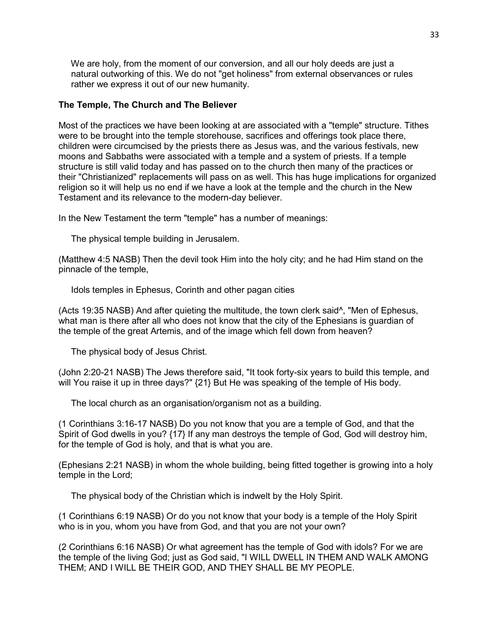We are holy, from the moment of our conversion, and all our holy deeds are just a natural outworking of this. We do not "get holiness" from external observances or rules rather we express it out of our new humanity.

# **The Temple, The Church and The Believer**

Most of the practices we have been looking at are associated with a "temple" structure. Tithes were to be brought into the temple storehouse, sacrifices and offerings took place there, children were circumcised by the priests there as Jesus was, and the various festivals, new moons and Sabbaths were associated with a temple and a system of priests. If a temple structure is still valid today and has passed on to the church then many of the practices or their "Christianized" replacements will pass on as well. This has huge implications for organized religion so it will help us no end if we have a look at the temple and the church in the New Testament and its relevance to the modern-day believer.

In the New Testament the term "temple" has a number of meanings:

The physical temple building in Jerusalem.

(Matthew 4:5 NASB) Then the devil took Him into the holy city; and he had Him stand on the pinnacle of the temple,

Idols temples in Ephesus, Corinth and other pagan cities

(Acts 19:35 NASB) And after quieting the multitude, the town clerk said^, "Men of Ephesus, what man is there after all who does not know that the city of the Ephesians is guardian of the temple of the great Artemis, and of the image which fell down from heaven?

The physical body of Jesus Christ.

(John 2:20-21 NASB) The Jews therefore said, "It took forty-six years to build this temple, and will You raise it up in three days?" {21} But He was speaking of the temple of His body.

The local church as an organisation/organism not as a building.

(1 Corinthians 3:16-17 NASB) Do you not know that you are a temple of God, and that the Spirit of God dwells in you? {17} If any man destroys the temple of God, God will destroy him, for the temple of God is holy, and that is what you are.

(Ephesians 2:21 NASB) in whom the whole building, being fitted together is growing into a holy temple in the Lord;

The physical body of the Christian which is indwelt by the Holy Spirit.

(1 Corinthians 6:19 NASB) Or do you not know that your body is a temple of the Holy Spirit who is in you, whom you have from God, and that you are not your own?

(2 Corinthians 6:16 NASB) Or what agreement has the temple of God with idols? For we are the temple of the living God; just as God said, "I WILL DWELL IN THEM AND WALK AMONG THEM; AND I WILL BE THEIR GOD, AND THEY SHALL BE MY PEOPLE.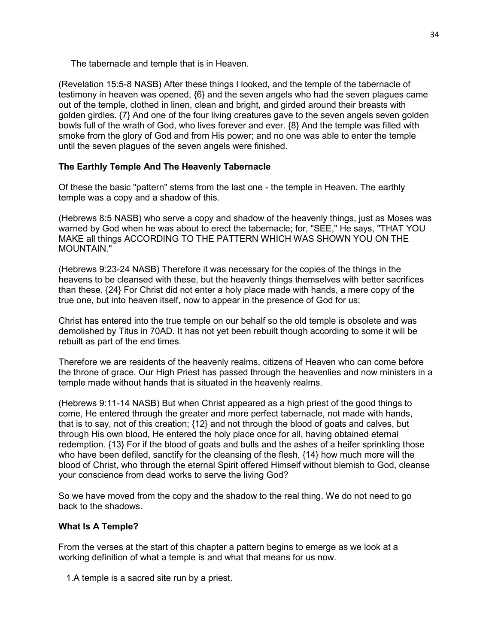The tabernacle and temple that is in Heaven.

(Revelation 15:5-8 NASB) After these things I looked, and the temple of the tabernacle of testimony in heaven was opened, {6} and the seven angels who had the seven plagues came out of the temple, clothed in linen, clean and bright, and girded around their breasts with golden girdles. {7} And one of the four living creatures gave to the seven angels seven golden bowls full of the wrath of God, who lives forever and ever. {8} And the temple was filled with smoke from the glory of God and from His power; and no one was able to enter the temple until the seven plagues of the seven angels were finished.

# **The Earthly Temple And The Heavenly Tabernacle**

Of these the basic "pattern" stems from the last one - the temple in Heaven. The earthly temple was a copy and a shadow of this.

(Hebrews 8:5 NASB) who serve a copy and shadow of the heavenly things, just as Moses was warned by God when he was about to erect the tabernacle; for, "SEE," He says, "THAT YOU MAKE all things ACCORDING TO THE PATTERN WHICH WAS SHOWN YOU ON THE MOUNTAIN."

(Hebrews 9:23-24 NASB) Therefore it was necessary for the copies of the things in the heavens to be cleansed with these, but the heavenly things themselves with better sacrifices than these. {24} For Christ did not enter a holy place made with hands, a mere copy of the true one, but into heaven itself, now to appear in the presence of God for us;

Christ has entered into the true temple on our behalf so the old temple is obsolete and was demolished by Titus in 70AD. It has not yet been rebuilt though according to some it will be rebuilt as part of the end times.

Therefore we are residents of the heavenly realms, citizens of Heaven who can come before the throne of grace. Our High Priest has passed through the heavenlies and now ministers in a temple made without hands that is situated in the heavenly realms.

(Hebrews 9:11-14 NASB) But when Christ appeared as a high priest of the good things to come, He entered through the greater and more perfect tabernacle, not made with hands, that is to say, not of this creation; {12} and not through the blood of goats and calves, but through His own blood, He entered the holy place once for all, having obtained eternal redemption. {13} For if the blood of goats and bulls and the ashes of a heifer sprinkling those who have been defiled, sanctify for the cleansing of the flesh, {14} how much more will the blood of Christ, who through the eternal Spirit offered Himself without blemish to God, cleanse your conscience from dead works to serve the living God?

So we have moved from the copy and the shadow to the real thing. We do not need to go back to the shadows.

# **What Is A Temple?**

From the verses at the start of this chapter a pattern begins to emerge as we look at a working definition of what a temple is and what that means for us now.

1.A temple is a sacred site run by a priest.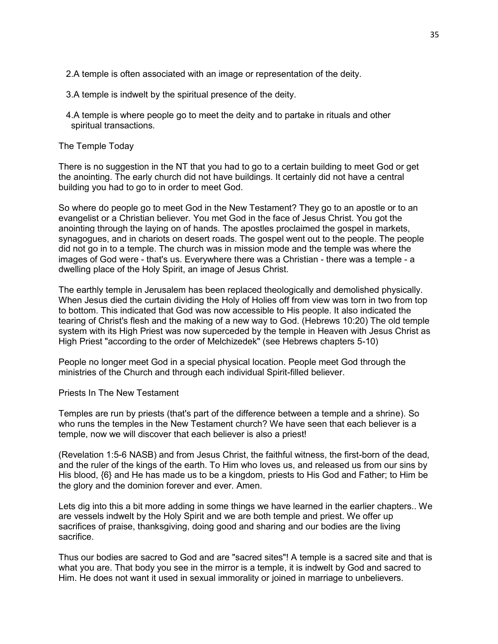2.A temple is often associated with an image or representation of the deity.

- 3.A temple is indwelt by the spiritual presence of the deity.
- 4.A temple is where people go to meet the deity and to partake in rituals and other spiritual transactions.

## The Temple Today

There is no suggestion in the NT that you had to go to a certain building to meet God or get the anointing. The early church did not have buildings. It certainly did not have a central building you had to go to in order to meet God.

So where do people go to meet God in the New Testament? They go to an apostle or to an evangelist or a Christian believer. You met God in the face of Jesus Christ. You got the anointing through the laying on of hands. The apostles proclaimed the gospel in markets, synagogues, and in chariots on desert roads. The gospel went out to the people. The people did not go in to a temple. The church was in mission mode and the temple was where the images of God were - that's us. Everywhere there was a Christian - there was a temple - a dwelling place of the Holy Spirit, an image of Jesus Christ.

The earthly temple in Jerusalem has been replaced theologically and demolished physically. When Jesus died the curtain dividing the Holy of Holies off from view was torn in two from top to bottom. This indicated that God was now accessible to His people. It also indicated the tearing of Christ's flesh and the making of a new way to God. (Hebrews 10:20) The old temple system with its High Priest was now superceded by the temple in Heaven with Jesus Christ as High Priest "according to the order of Melchizedek" (see Hebrews chapters 5-10)

People no longer meet God in a special physical location. People meet God through the ministries of the Church and through each individual Spirit-filled believer.

#### Priests In The New Testament

Temples are run by priests (that's part of the difference between a temple and a shrine). So who runs the temples in the New Testament church? We have seen that each believer is a temple, now we will discover that each believer is also a priest!

(Revelation 1:5-6 NASB) and from Jesus Christ, the faithful witness, the first-born of the dead, and the ruler of the kings of the earth. To Him who loves us, and released us from our sins by His blood, {6} and He has made us to be a kingdom, priests to His God and Father; to Him be the glory and the dominion forever and ever. Amen.

Lets dig into this a bit more adding in some things we have learned in the earlier chapters.. We are vessels indwelt by the Holy Spirit and we are both temple and priest. We offer up sacrifices of praise, thanksgiving, doing good and sharing and our bodies are the living sacrifice.

Thus our bodies are sacred to God and are "sacred sites"! A temple is a sacred site and that is what you are. That body you see in the mirror is a temple, it is indwelt by God and sacred to Him. He does not want it used in sexual immorality or joined in marriage to unbelievers.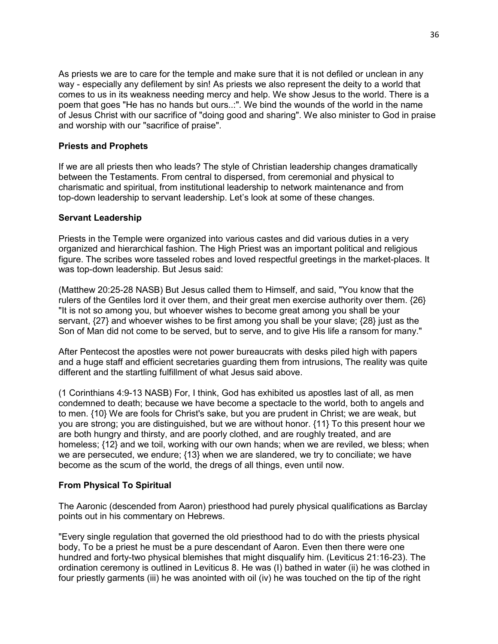As priests we are to care for the temple and make sure that it is not defiled or unclean in any way - especially any defilement by sin! As priests we also represent the deity to a world that comes to us in its weakness needing mercy and help. We show Jesus to the world. There is a poem that goes "He has no hands but ours..:". We bind the wounds of the world in the name of Jesus Christ with our sacrifice of "doing good and sharing". We also minister to God in praise and worship with our "sacrifice of praise".

## **Priests and Prophets**

If we are all priests then who leads? The style of Christian leadership changes dramatically between the Testaments. From central to dispersed, from ceremonial and physical to charismatic and spiritual, from institutional leadership to network maintenance and from top-down leadership to servant leadership. Let's look at some of these changes.

## **Servant Leadership**

Priests in the Temple were organized into various castes and did various duties in a very organized and hierarchical fashion. The High Priest was an important political and religious figure. The scribes wore tasseled robes and loved respectful greetings in the market-places. It was top-down leadership. But Jesus said:

(Matthew 20:25-28 NASB) But Jesus called them to Himself, and said, "You know that the rulers of the Gentiles lord it over them, and their great men exercise authority over them. {26} "It is not so among you, but whoever wishes to become great among you shall be your servant, {27} and whoever wishes to be first among you shall be your slave; {28} just as the Son of Man did not come to be served, but to serve, and to give His life a ransom for many."

After Pentecost the apostles were not power bureaucrats with desks piled high with papers and a huge staff and efficient secretaries guarding them from intrusions, The reality was quite different and the startling fulfillment of what Jesus said above.

(1 Corinthians 4:9-13 NASB) For, I think, God has exhibited us apostles last of all, as men condemned to death; because we have become a spectacle to the world, both to angels and to men. {10} We are fools for Christ's sake, but you are prudent in Christ; we are weak, but you are strong; you are distinguished, but we are without honor. {11} To this present hour we are both hungry and thirsty, and are poorly clothed, and are roughly treated, and are homeless; {12} and we toil, working with our own hands; when we are reviled, we bless; when we are persecuted, we endure; {13} when we are slandered, we try to conciliate; we have become as the scum of the world, the dregs of all things, even until now.

# **From Physical To Spiritual**

The Aaronic (descended from Aaron) priesthood had purely physical qualifications as Barclay points out in his commentary on Hebrews.

"Every single regulation that governed the old priesthood had to do with the priests physical body, To be a priest he must be a pure descendant of Aaron. Even then there were one hundred and forty-two physical blemishes that might disqualify him. (Leviticus 21:16-23). The ordination ceremony is outlined in Leviticus 8. He was (I) bathed in water (ii) he was clothed in four priestly garments (iii) he was anointed with oil (iv) he was touched on the tip of the right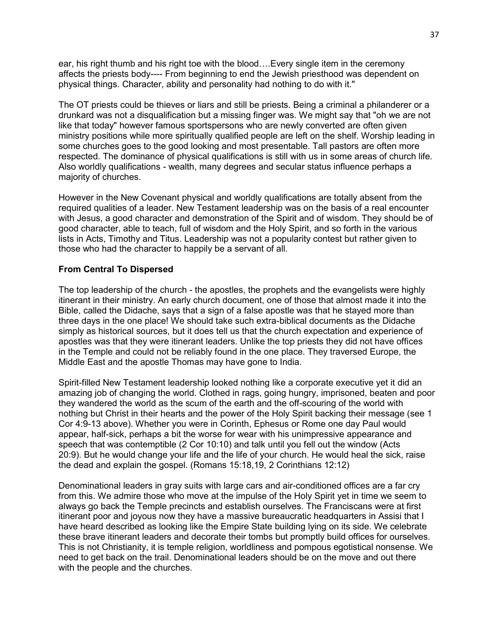ear, his right thumb and his right toe with the blood….Every single item in the ceremony affects the priests body---- From beginning to end the Jewish priesthood was dependent on physical things. Character, ability and personality had nothing to do with it."

The OT priests could be thieves or liars and still be priests. Being a criminal a philanderer or a drunkard was not a disqualification but a missing finger was. We might say that "oh we are not like that today" however famous sportspersons who are newly converted are often given ministry positions while more spiritually qualified people are left on the shelf. Worship leading in some churches goes to the good looking and most presentable. Tall pastors are often more respected. The dominance of physical qualifications is still with us in some areas of church life. Also worldly qualifications - wealth, many degrees and secular status influence perhaps a majority of churches.

However in the New Covenant physical and worldly qualifications are totally absent from the required qualities of a leader. New Testament leadership was on the basis of a real encounter with Jesus, a good character and demonstration of the Spirit and of wisdom. They should be of good character, able to teach, full of wisdom and the Holy Spirit, and so forth in the various lists in Acts, Timothy and Titus. Leadership was not a popularity contest but rather given to those who had the character to happily be a servant of all.

#### **From Central To Dispersed**

The top leadership of the church - the apostles, the prophets and the evangelists were highly itinerant in their ministry. An early church document, one of those that almost made it into the Bible, called the Didache, says that a sign of a false apostle was that he stayed more than three days in the one place! We should take such extra-biblical documents as the Didache simply as historical sources, but it does tell us that the church expectation and experience of apostles was that they were itinerant leaders. Unlike the top priests they did not have offices in the Temple and could not be reliably found in the one place. They traversed Europe, the Middle East and the apostle Thomas may have gone to India.

Spirit-filled New Testament leadership looked nothing like a corporate executive yet it did an amazing job of changing the world. Clothed in rags, going hungry, imprisoned, beaten and poor they wandered the world as the scum of the earth and the off-scouring of the world with nothing but Christ in their hearts and the power of the Holy Spirit backing their message (see 1 Cor 4:9-13 above). Whether you were in Corinth, Ephesus or Rome one day Paul would appear, half-sick, perhaps a bit the worse for wear with his unimpressive appearance and speech that was contemptible (2 Cor 10:10) and talk until you fell out the window (Acts 20:9). But he would change your life and the life of your church. He would heal the sick, raise the dead and explain the gospel. (Romans 15:18,19, 2 Corinthians 12:12)

Denominational leaders in gray suits with large cars and air-conditioned offices are a far cry from this. We admire those who move at the impulse of the Holy Spirit yet in time we seem to always go back the Temple precincts and establish ourselves. The Franciscans were at first itinerant poor and joyous now they have a massive bureaucratic headquarters in Assisi that I have heard described as looking like the Empire State building lying on its side. We celebrate these brave itinerant leaders and decorate their tombs but promptly build offices for ourselves. This is not Christianity, it is temple religion, worldliness and pompous egotistical nonsense. We need to get back on the trail. Denominational leaders should be on the move and out there with the people and the churches.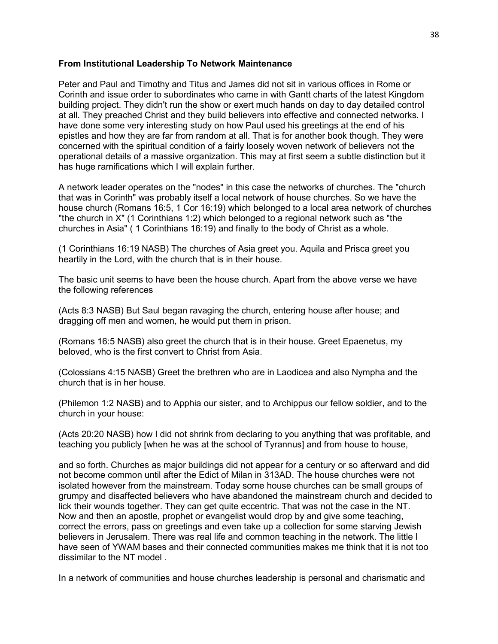### **From Institutional Leadership To Network Maintenance**

Peter and Paul and Timothy and Titus and James did not sit in various offices in Rome or Corinth and issue order to subordinates who came in with Gantt charts of the latest Kingdom building project. They didn't run the show or exert much hands on day to day detailed control at all. They preached Christ and they build believers into effective and connected networks. I have done some very interesting study on how Paul used his greetings at the end of his epistles and how they are far from random at all. That is for another book though. They were concerned with the spiritual condition of a fairly loosely woven network of believers not the operational details of a massive organization. This may at first seem a subtle distinction but it has huge ramifications which I will explain further.

A network leader operates on the "nodes" in this case the networks of churches. The "church that was in Corinth" was probably itself a local network of house churches. So we have the house church (Romans 16:5, 1 Cor 16:19) which belonged to a local area network of churches "the church in X" (1 Corinthians 1:2) which belonged to a regional network such as "the churches in Asia" ( 1 Corinthians 16:19) and finally to the body of Christ as a whole.

(1 Corinthians 16:19 NASB) The churches of Asia greet you. Aquila and Prisca greet you heartily in the Lord, with the church that is in their house.

The basic unit seems to have been the house church. Apart from the above verse we have the following references

(Acts 8:3 NASB) But Saul began ravaging the church, entering house after house; and dragging off men and women, he would put them in prison.

(Romans 16:5 NASB) also greet the church that is in their house. Greet Epaenetus, my beloved, who is the first convert to Christ from Asia.

(Colossians 4:15 NASB) Greet the brethren who are in Laodicea and also Nympha and the church that is in her house.

(Philemon 1:2 NASB) and to Apphia our sister, and to Archippus our fellow soldier, and to the church in your house:

(Acts 20:20 NASB) how I did not shrink from declaring to you anything that was profitable, and teaching you publicly [when he was at the school of Tyrannus] and from house to house,

and so forth. Churches as major buildings did not appear for a century or so afterward and did not become common until after the Edict of Milan in 313AD. The house churches were not isolated however from the mainstream. Today some house churches can be small groups of grumpy and disaffected believers who have abandoned the mainstream church and decided to lick their wounds together. They can get quite eccentric. That was not the case in the NT. Now and then an apostle, prophet or evangelist would drop by and give some teaching, correct the errors, pass on greetings and even take up a collection for some starving Jewish believers in Jerusalem. There was real life and common teaching in the network. The little I have seen of YWAM bases and their connected communities makes me think that it is not too dissimilar to the NT model .

In a network of communities and house churches leadership is personal and charismatic and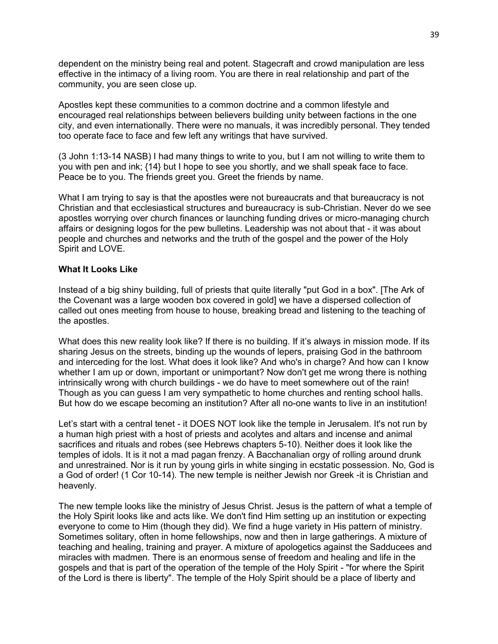dependent on the ministry being real and potent. Stagecraft and crowd manipulation are less effective in the intimacy of a living room. You are there in real relationship and part of the community, you are seen close up.

Apostles kept these communities to a common doctrine and a common lifestyle and encouraged real relationships between believers building unity between factions in the one city, and even internationally. There were no manuals, it was incredibly personal. They tended too operate face to face and few left any writings that have survived.

(3 John 1:13-14 NASB) I had many things to write to you, but I am not willing to write them to you with pen and ink; {14} but I hope to see you shortly, and we shall speak face to face. Peace be to you. The friends greet you. Greet the friends by name.

What I am trying to say is that the apostles were not bureaucrats and that bureaucracy is not Christian and that ecclesiastical structures and bureaucracy is sub-Christian. Never do we see apostles worrying over church finances or launching funding drives or micro-managing church affairs or designing logos for the pew bulletins. Leadership was not about that - it was about people and churches and networks and the truth of the gospel and the power of the Holy Spirit and LOVE.

### **What It Looks Like**

Instead of a big shiny building, full of priests that quite literally "put God in a box". [The Ark of the Covenant was a large wooden box covered in gold] we have a dispersed collection of called out ones meeting from house to house, breaking bread and listening to the teaching of the apostles.

What does this new reality look like? If there is no building. If it's always in mission mode. If its sharing Jesus on the streets, binding up the wounds of lepers, praising God in the bathroom and interceding for the lost. What does it look like? And who's in charge? And how can I know whether I am up or down, important or unimportant? Now don't get me wrong there is nothing intrinsically wrong with church buildings - we do have to meet somewhere out of the rain! Though as you can guess I am very sympathetic to home churches and renting school halls. But how do we escape becoming an institution? After all no-one wants to live in an institution!

Let's start with a central tenet - it DOES NOT look like the temple in Jerusalem. It's not run by a human high priest with a host of priests and acolytes and altars and incense and animal sacrifices and rituals and robes (see Hebrews chapters 5-10). Neither does it look like the temples of idols. It is it not a mad pagan frenzy. A Bacchanalian orgy of rolling around drunk and unrestrained. Nor is it run by young girls in white singing in ecstatic possession. No, God is a God of order! (1 Cor 10-14). The new temple is neither Jewish nor Greek -it is Christian and heavenly.

The new temple looks like the ministry of Jesus Christ. Jesus is the pattern of what a temple of the Holy Spirit looks like and acts like. We don't find Him setting up an institution or expecting everyone to come to Him (though they did). We find a huge variety in His pattern of ministry. Sometimes solitary, often in home fellowships, now and then in large gatherings. A mixture of teaching and healing, training and prayer. A mixture of apologetics against the Sadducees and miracles with madmen. There is an enormous sense of freedom and healing and life in the gospels and that is part of the operation of the temple of the Holy Spirit - "for where the Spirit of the Lord is there is liberty". The temple of the Holy Spirit should be a place of liberty and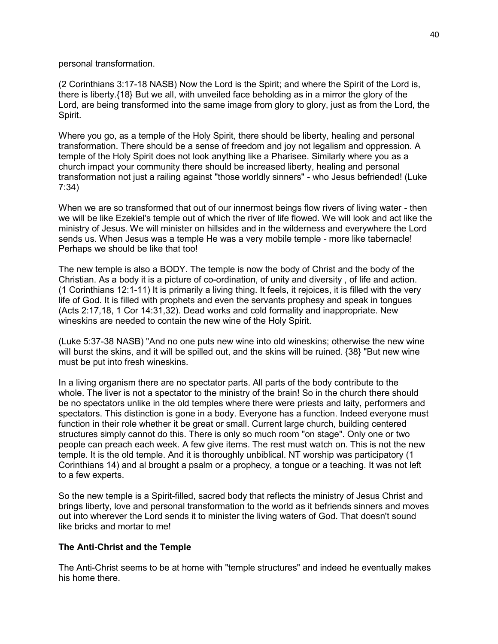personal transformation.

(2 Corinthians 3:17-18 NASB) Now the Lord is the Spirit; and where the Spirit of the Lord is, there is liberty.{18} But we all, with unveiled face beholding as in a mirror the glory of the Lord, are being transformed into the same image from glory to glory, just as from the Lord, the Spirit.

Where you go, as a temple of the Holy Spirit, there should be liberty, healing and personal transformation. There should be a sense of freedom and joy not legalism and oppression. A temple of the Holy Spirit does not look anything like a Pharisee. Similarly where you as a church impact your community there should be increased liberty, healing and personal transformation not just a railing against "those worldly sinners" - who Jesus befriended! (Luke 7:34)

When we are so transformed that out of our innermost beings flow rivers of living water - then we will be like Ezekiel's temple out of which the river of life flowed. We will look and act like the ministry of Jesus. We will minister on hillsides and in the wilderness and everywhere the Lord sends us. When Jesus was a temple He was a very mobile temple - more like tabernacle! Perhaps we should be like that too!

The new temple is also a BODY. The temple is now the body of Christ and the body of the Christian. As a body it is a picture of co-ordination, of unity and diversity , of life and action. (1 Corinthians 12:1-11) It is primarily a living thing. It feels, it rejoices, it is filled with the very life of God. It is filled with prophets and even the servants prophesy and speak in tongues (Acts 2:17,18, 1 Cor 14:31,32). Dead works and cold formality and inappropriate. New wineskins are needed to contain the new wine of the Holy Spirit.

(Luke 5:37-38 NASB) "And no one puts new wine into old wineskins; otherwise the new wine will burst the skins, and it will be spilled out, and the skins will be ruined. {38} "But new wine must be put into fresh wineskins.

In a living organism there are no spectator parts. All parts of the body contribute to the whole. The liver is not a spectator to the ministry of the brain! So in the church there should be no spectators unlike in the old temples where there were priests and laity, performers and spectators. This distinction is gone in a body. Everyone has a function. Indeed everyone must function in their role whether it be great or small. Current large church, building centered structures simply cannot do this. There is only so much room "on stage". Only one or two people can preach each week. A few give items. The rest must watch on. This is not the new temple. It is the old temple. And it is thoroughly unbiblical. NT worship was participatory (1 Corinthians 14) and al brought a psalm or a prophecy, a tongue or a teaching. It was not left to a few experts.

So the new temple is a Spirit-filled, sacred body that reflects the ministry of Jesus Christ and brings liberty, love and personal transformation to the world as it befriends sinners and moves out into wherever the Lord sends it to minister the living waters of God. That doesn't sound like bricks and mortar to me!

## **The Anti-Christ and the Temple**

The Anti-Christ seems to be at home with "temple structures" and indeed he eventually makes his home there.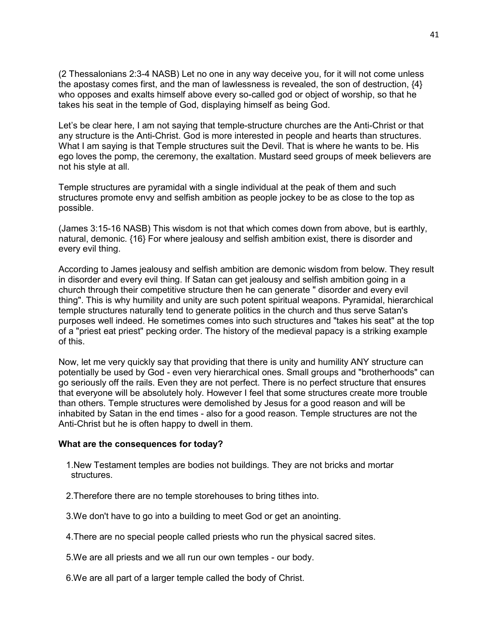(2 Thessalonians 2:3-4 NASB) Let no one in any way deceive you, for it will not come unless the apostasy comes first, and the man of lawlessness is revealed, the son of destruction, {4} who opposes and exalts himself above every so-called god or object of worship, so that he takes his seat in the temple of God, displaying himself as being God.

Let's be clear here, I am not saying that temple-structure churches are the Anti-Christ or that any structure is the Anti-Christ. God is more interested in people and hearts than structures. What I am saying is that Temple structures suit the Devil. That is where he wants to be. His ego loves the pomp, the ceremony, the exaltation. Mustard seed groups of meek believers are not his style at all.

Temple structures are pyramidal with a single individual at the peak of them and such structures promote envy and selfish ambition as people jockey to be as close to the top as possible.

(James 3:15-16 NASB) This wisdom is not that which comes down from above, but is earthly, natural, demonic. {16} For where jealousy and selfish ambition exist, there is disorder and every evil thing.

According to James jealousy and selfish ambition are demonic wisdom from below. They result in disorder and every evil thing. If Satan can get jealousy and selfish ambition going in a church through their competitive structure then he can generate " disorder and every evil thing". This is why humility and unity are such potent spiritual weapons. Pyramidal, hierarchical temple structures naturally tend to generate politics in the church and thus serve Satan's purposes well indeed. He sometimes comes into such structures and "takes his seat" at the top of a "priest eat priest" pecking order. The history of the medieval papacy is a striking example of this.

Now, let me very quickly say that providing that there is unity and humility ANY structure can potentially be used by God - even very hierarchical ones. Small groups and "brotherhoods" can go seriously off the rails. Even they are not perfect. There is no perfect structure that ensures that everyone will be absolutely holy. However I feel that some structures create more trouble than others. Temple structures were demolished by Jesus for a good reason and will be inhabited by Satan in the end times - also for a good reason. Temple structures are not the Anti-Christ but he is often happy to dwell in them.

#### **What are the consequences for today?**

- 1.New Testament temples are bodies not buildings. They are not bricks and mortar structures.
- 2.Therefore there are no temple storehouses to bring tithes into.
- 3.We don't have to go into a building to meet God or get an anointing.
- 4.There are no special people called priests who run the physical sacred sites.
- 5.We are all priests and we all run our own temples our body.
- 6.We are all part of a larger temple called the body of Christ.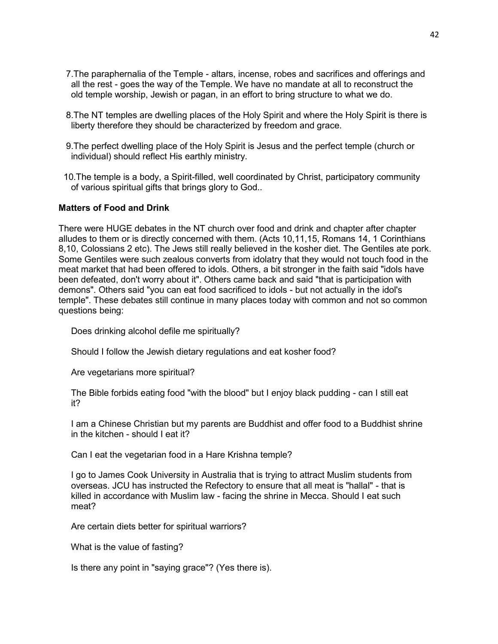- 7.The paraphernalia of the Temple altars, incense, robes and sacrifices and offerings and all the rest - goes the way of the Temple. We have no mandate at all to reconstruct the old temple worship, Jewish or pagan, in an effort to bring structure to what we do.
- 8.The NT temples are dwelling places of the Holy Spirit and where the Holy Spirit is there is liberty therefore they should be characterized by freedom and grace.
- 9.The perfect dwelling place of the Holy Spirit is Jesus and the perfect temple (church or individual) should reflect His earthly ministry.
- 10.The temple is a body, a Spirit-filled, well coordinated by Christ, participatory community of various spiritual gifts that brings glory to God..

### **Matters of Food and Drink**

There were HUGE debates in the NT church over food and drink and chapter after chapter alludes to them or is directly concerned with them. (Acts 10,11,15, Romans 14, 1 Corinthians 8,10, Colossians 2 etc). The Jews still really believed in the kosher diet. The Gentiles ate pork. Some Gentiles were such zealous converts from idolatry that they would not touch food in the meat market that had been offered to idols. Others, a bit stronger in the faith said "idols have been defeated, don't worry about it". Others came back and said "that is participation with demons". Others said "you can eat food sacrificed to idols - but not actually in the idol's temple". These debates still continue in many places today with common and not so common questions being:

Does drinking alcohol defile me spiritually?

Should I follow the Jewish dietary regulations and eat kosher food?

Are vegetarians more spiritual?

 The Bible forbids eating food "with the blood" but I enjoy black pudding - can I still eat it?

 I am a Chinese Christian but my parents are Buddhist and offer food to a Buddhist shrine in the kitchen - should I eat it?

Can I eat the vegetarian food in a Hare Krishna temple?

 I go to James Cook University in Australia that is trying to attract Muslim students from overseas. JCU has instructed the Refectory to ensure that all meat is "hallal" - that is killed in accordance with Muslim law - facing the shrine in Mecca. Should I eat such meat?

Are certain diets better for spiritual warriors?

What is the value of fasting?

Is there any point in "saying grace"? (Yes there is).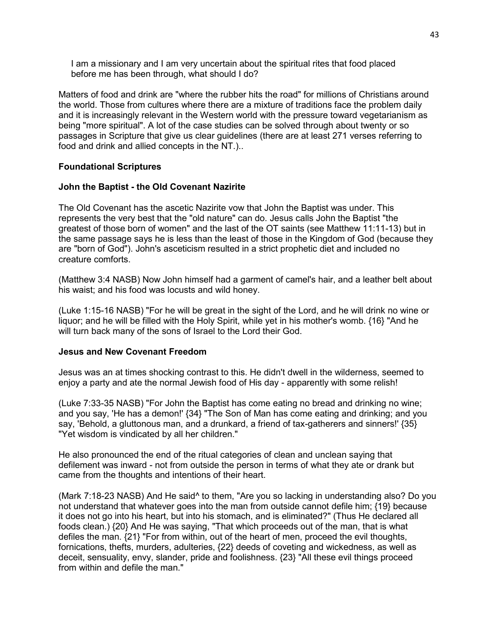I am a missionary and I am very uncertain about the spiritual rites that food placed before me has been through, what should I do?

Matters of food and drink are "where the rubber hits the road" for millions of Christians around the world. Those from cultures where there are a mixture of traditions face the problem daily and it is increasingly relevant in the Western world with the pressure toward vegetarianism as being "more spiritual". A lot of the case studies can be solved through about twenty or so passages in Scripture that give us clear guidelines (there are at least 271 verses referring to food and drink and allied concepts in the NT.)..

### **Foundational Scriptures**

### **John the Baptist - the Old Covenant Nazirite**

The Old Covenant has the ascetic Nazirite vow that John the Baptist was under. This represents the very best that the "old nature" can do. Jesus calls John the Baptist "the greatest of those born of women" and the last of the OT saints (see Matthew 11:11-13) but in the same passage says he is less than the least of those in the Kingdom of God (because they are "born of God"). John's asceticism resulted in a strict prophetic diet and included no creature comforts.

(Matthew 3:4 NASB) Now John himself had a garment of camel's hair, and a leather belt about his waist; and his food was locusts and wild honey.

(Luke 1:15-16 NASB) "For he will be great in the sight of the Lord, and he will drink no wine or liquor; and he will be filled with the Holy Spirit, while yet in his mother's womb. {16} "And he will turn back many of the sons of Israel to the Lord their God.

### **Jesus and New Covenant Freedom**

Jesus was an at times shocking contrast to this. He didn't dwell in the wilderness, seemed to enjoy a party and ate the normal Jewish food of His day - apparently with some relish!

(Luke 7:33-35 NASB) "For John the Baptist has come eating no bread and drinking no wine; and you say, 'He has a demon!' {34} "The Son of Man has come eating and drinking; and you say, 'Behold, a gluttonous man, and a drunkard, a friend of tax-gatherers and sinners!' {35} "Yet wisdom is vindicated by all her children."

He also pronounced the end of the ritual categories of clean and unclean saying that defilement was inward - not from outside the person in terms of what they ate or drank but came from the thoughts and intentions of their heart.

(Mark 7:18-23 NASB) And He said^ to them, "Are you so lacking in understanding also? Do you not understand that whatever goes into the man from outside cannot defile him; {19} because it does not go into his heart, but into his stomach, and is eliminated?" (Thus He declared all foods clean.) {20} And He was saying, "That which proceeds out of the man, that is what defiles the man. {21} "For from within, out of the heart of men, proceed the evil thoughts, fornications, thefts, murders, adulteries, {22} deeds of coveting and wickedness, as well as deceit, sensuality, envy, slander, pride and foolishness. {23} "All these evil things proceed from within and defile the man."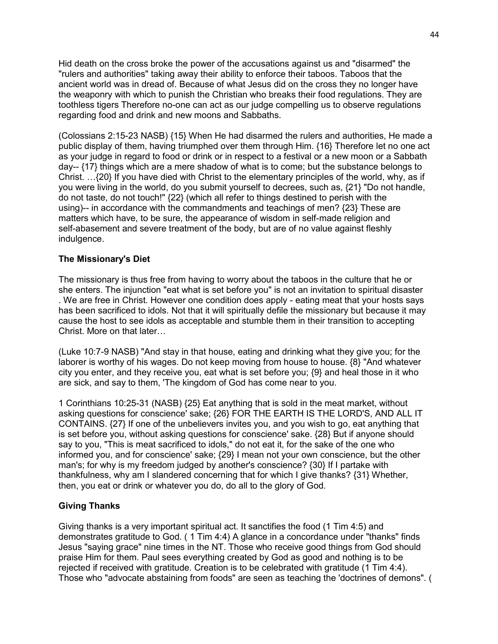Hid death on the cross broke the power of the accusations against us and "disarmed" the "rulers and authorities" taking away their ability to enforce their taboos. Taboos that the ancient world was in dread of. Because of what Jesus did on the cross they no longer have the weaponry with which to punish the Christian who breaks their food regulations. They are toothless tigers Therefore no-one can act as our judge compelling us to observe regulations regarding food and drink and new moons and Sabbaths.

(Colossians 2:15-23 NASB) {15} When He had disarmed the rulers and authorities, He made a public display of them, having triumphed over them through Him. {16} Therefore let no one act as your judge in regard to food or drink or in respect to a festival or a new moon or a Sabbath day-- {17} things which are a mere shadow of what is to come; but the substance belongs to Christ. …{20} If you have died with Christ to the elementary principles of the world, why, as if you were living in the world, do you submit yourself to decrees, such as, {21} "Do not handle, do not taste, do not touch!" {22} (which all refer to things destined to perish with the using)-- in accordance with the commandments and teachings of men? {23} These are matters which have, to be sure, the appearance of wisdom in self-made religion and self-abasement and severe treatment of the body, but are of no value against fleshly indulgence.

## **The Missionary's Diet**

The missionary is thus free from having to worry about the taboos in the culture that he or she enters. The injunction "eat what is set before you" is not an invitation to spiritual disaster . We are free in Christ. However one condition does apply - eating meat that your hosts says has been sacrificed to idols. Not that it will spiritually defile the missionary but because it may cause the host to see idols as acceptable and stumble them in their transition to accepting Christ. More on that later…

(Luke 10:7-9 NASB) "And stay in that house, eating and drinking what they give you; for the laborer is worthy of his wages. Do not keep moving from house to house. {8} "And whatever city you enter, and they receive you, eat what is set before you; {9} and heal those in it who are sick, and say to them, 'The kingdom of God has come near to you.

1 Corinthians 10:25-31 (NASB) {25} Eat anything that is sold in the meat market, without asking questions for conscience' sake; {26} FOR THE EARTH IS THE LORD'S, AND ALL IT CONTAINS. {27} If one of the unbelievers invites you, and you wish to go, eat anything that is set before you, without asking questions for conscience' sake. {28} But if anyone should say to you, "This is meat sacrificed to idols," do not eat it, for the sake of the one who informed you, and for conscience' sake; {29} I mean not your own conscience, but the other man's; for why is my freedom judged by another's conscience? {30} If I partake with thankfulness, why am I slandered concerning that for which I give thanks? {31} Whether, then, you eat or drink or whatever you do, do all to the glory of God.

## **Giving Thanks**

Giving thanks is a very important spiritual act. It sanctifies the food (1 Tim 4:5) and demonstrates gratitude to God. ( 1 Tim 4:4) A glance in a concordance under "thanks" finds Jesus "saying grace" nine times in the NT. Those who receive good things from God should praise Him for them. Paul sees everything created by God as good and nothing is to be rejected if received with gratitude. Creation is to be celebrated with gratitude (1 Tim 4:4). Those who "advocate abstaining from foods" are seen as teaching the 'doctrines of demons". (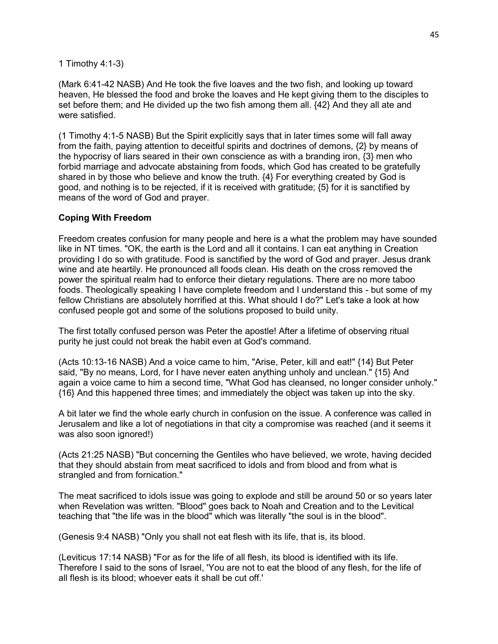1 Timothy 4:1-3)

(Mark 6:41-42 NASB) And He took the five loaves and the two fish, and looking up toward heaven, He blessed the food and broke the loaves and He kept giving them to the disciples to set before them; and He divided up the two fish among them all. {42} And they all ate and were satisfied.

(1 Timothy 4:1-5 NASB) But the Spirit explicitly says that in later times some will fall away from the faith, paying attention to deceitful spirits and doctrines of demons, {2} by means of the hypocrisy of liars seared in their own conscience as with a branding iron, {3} men who forbid marriage and advocate abstaining from foods, which God has created to be gratefully shared in by those who believe and know the truth. {4} For everything created by God is good, and nothing is to be rejected, if it is received with gratitude; {5} for it is sanctified by means of the word of God and prayer.

### **Coping With Freedom**

Freedom creates confusion for many people and here is a what the problem may have sounded like in NT times. "OK, the earth is the Lord and all it contains. I can eat anything in Creation providing I do so with gratitude. Food is sanctified by the word of God and prayer. Jesus drank wine and ate heartily. He pronounced all foods clean. His death on the cross removed the power the spiritual realm had to enforce their dietary regulations. There are no more taboo foods. Theologically speaking I have complete freedom and I understand this - but some of my fellow Christians are absolutely horrified at this. What should I do?" Let's take a look at how confused people got and some of the solutions proposed to build unity.

The first totally confused person was Peter the apostle! After a lifetime of observing ritual purity he just could not break the habit even at God's command.

(Acts 10:13-16 NASB) And a voice came to him, "Arise, Peter, kill and eat!" {14} But Peter said, "By no means, Lord, for I have never eaten anything unholy and unclean." {15} And again a voice came to him a second time, "What God has cleansed, no longer consider unholy." {16} And this happened three times; and immediately the object was taken up into the sky.

A bit later we find the whole early church in confusion on the issue. A conference was called in Jerusalem and like a lot of negotiations in that city a compromise was reached (and it seems it was also soon ignored!)

(Acts 21:25 NASB) "But concerning the Gentiles who have believed, we wrote, having decided that they should abstain from meat sacrificed to idols and from blood and from what is strangled and from fornication."

The meat sacrificed to idols issue was going to explode and still be around 50 or so years later when Revelation was written. "Blood" goes back to Noah and Creation and to the Levitical teaching that "the life was in the blood" which was literally "the soul is in the blood".

(Genesis 9:4 NASB) "Only you shall not eat flesh with its life, that is, its blood.

(Leviticus 17:14 NASB) "For as for the life of all flesh, its blood is identified with its life. Therefore I said to the sons of Israel, 'You are not to eat the blood of any flesh, for the life of all flesh is its blood; whoever eats it shall be cut off.'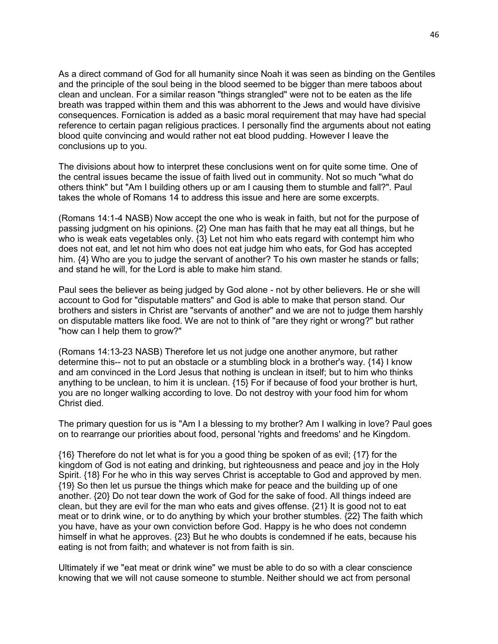As a direct command of God for all humanity since Noah it was seen as binding on the Gentiles and the principle of the soul being in the blood seemed to be bigger than mere taboos about clean and unclean. For a similar reason "things strangled" were not to be eaten as the life breath was trapped within them and this was abhorrent to the Jews and would have divisive consequences. Fornication is added as a basic moral requirement that may have had special reference to certain pagan religious practices. I personally find the arguments about not eating blood quite convincing and would rather not eat blood pudding. However I leave the conclusions up to you.

The divisions about how to interpret these conclusions went on for quite some time. One of the central issues became the issue of faith lived out in community. Not so much "what do others think" but "Am I building others up or am I causing them to stumble and fall?". Paul takes the whole of Romans 14 to address this issue and here are some excerpts.

(Romans 14:1-4 NASB) Now accept the one who is weak in faith, but not for the purpose of passing judgment on his opinions. {2} One man has faith that he may eat all things, but he who is weak eats vegetables only. {3} Let not him who eats regard with contempt him who does not eat, and let not him who does not eat judge him who eats, for God has accepted him. {4} Who are you to judge the servant of another? To his own master he stands or falls; and stand he will, for the Lord is able to make him stand.

Paul sees the believer as being judged by God alone - not by other believers. He or she will account to God for "disputable matters" and God is able to make that person stand. Our brothers and sisters in Christ are "servants of another" and we are not to judge them harshly on disputable matters like food. We are not to think of "are they right or wrong?" but rather "how can I help them to grow?"

(Romans 14:13-23 NASB) Therefore let us not judge one another anymore, but rather determine this-- not to put an obstacle or a stumbling block in a brother's way. {14} I know and am convinced in the Lord Jesus that nothing is unclean in itself; but to him who thinks anything to be unclean, to him it is unclean. {15} For if because of food your brother is hurt, you are no longer walking according to love. Do not destroy with your food him for whom Christ died.

The primary question for us is "Am I a blessing to my brother? Am I walking in love? Paul goes on to rearrange our priorities about food, personal 'rights and freedoms' and he Kingdom.

{16} Therefore do not let what is for you a good thing be spoken of as evil; {17} for the kingdom of God is not eating and drinking, but righteousness and peace and joy in the Holy Spirit. {18} For he who in this way serves Christ is acceptable to God and approved by men. {19} So then let us pursue the things which make for peace and the building up of one another. {20} Do not tear down the work of God for the sake of food. All things indeed are clean, but they are evil for the man who eats and gives offense. {21} It is good not to eat meat or to drink wine, or to do anything by which your brother stumbles. {22} The faith which you have, have as your own conviction before God. Happy is he who does not condemn himself in what he approves. {23} But he who doubts is condemned if he eats, because his eating is not from faith; and whatever is not from faith is sin.

Ultimately if we "eat meat or drink wine" we must be able to do so with a clear conscience knowing that we will not cause someone to stumble. Neither should we act from personal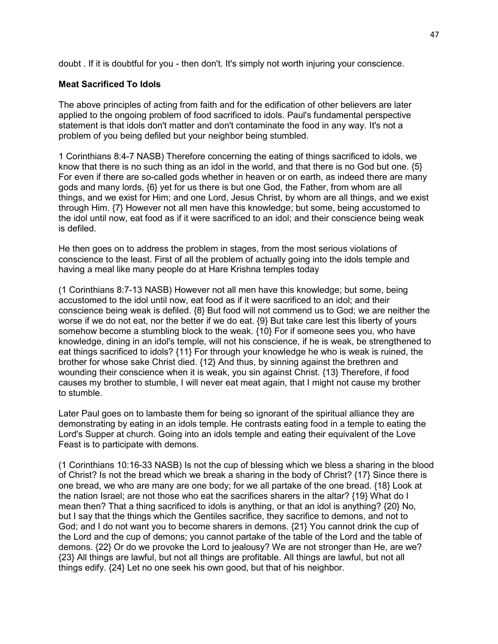doubt . If it is doubtful for you - then don't. It's simply not worth injuring your conscience.

### **Meat Sacrificed To Idols**

The above principles of acting from faith and for the edification of other believers are later applied to the ongoing problem of food sacrificed to idols. Paul's fundamental perspective statement is that idols don't matter and don't contaminate the food in any way. It's not a problem of you being defiled but your neighbor being stumbled.

1 Corinthians 8:4-7 NASB) Therefore concerning the eating of things sacrificed to idols, we know that there is no such thing as an idol in the world, and that there is no God but one. {5} For even if there are so-called gods whether in heaven or on earth, as indeed there are many gods and many lords, {6} yet for us there is but one God, the Father, from whom are all things, and we exist for Him; and one Lord, Jesus Christ, by whom are all things, and we exist through Him. {7} However not all men have this knowledge; but some, being accustomed to the idol until now, eat food as if it were sacrificed to an idol; and their conscience being weak is defiled.

He then goes on to address the problem in stages, from the most serious violations of conscience to the least. First of all the problem of actually going into the idols temple and having a meal like many people do at Hare Krishna temples today

(1 Corinthians 8:7-13 NASB) However not all men have this knowledge; but some, being accustomed to the idol until now, eat food as if it were sacrificed to an idol; and their conscience being weak is defiled. {8} But food will not commend us to God; we are neither the worse if we do not eat, nor the better if we do eat. {9} But take care lest this liberty of yours somehow become a stumbling block to the weak. {10} For if someone sees you, who have knowledge, dining in an idol's temple, will not his conscience, if he is weak, be strengthened to eat things sacrificed to idols? {11} For through your knowledge he who is weak is ruined, the brother for whose sake Christ died. {12} And thus, by sinning against the brethren and wounding their conscience when it is weak, you sin against Christ. {13} Therefore, if food causes my brother to stumble, I will never eat meat again, that I might not cause my brother to stumble.

Later Paul goes on to lambaste them for being so ignorant of the spiritual alliance they are demonstrating by eating in an idols temple. He contrasts eating food in a temple to eating the Lord's Supper at church. Going into an idols temple and eating their equivalent of the Love Feast is to participate with demons.

(1 Corinthians 10:16-33 NASB) Is not the cup of blessing which we bless a sharing in the blood of Christ? Is not the bread which we break a sharing in the body of Christ? {17} Since there is one bread, we who are many are one body; for we all partake of the one bread. {18} Look at the nation Israel; are not those who eat the sacrifices sharers in the altar? {19} What do I mean then? That a thing sacrificed to idols is anything, or that an idol is anything? {20} No, but I say that the things which the Gentiles sacrifice, they sacrifice to demons, and not to God; and I do not want you to become sharers in demons. {21} You cannot drink the cup of the Lord and the cup of demons; you cannot partake of the table of the Lord and the table of demons. {22} Or do we provoke the Lord to jealousy? We are not stronger than He, are we? {23} All things are lawful, but not all things are profitable. All things are lawful, but not all things edify. {24} Let no one seek his own good, but that of his neighbor.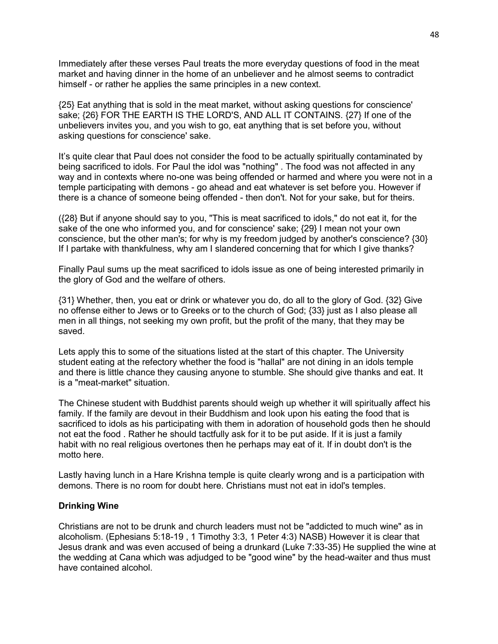Immediately after these verses Paul treats the more everyday questions of food in the meat market and having dinner in the home of an unbeliever and he almost seems to contradict himself - or rather he applies the same principles in a new context.

{25} Eat anything that is sold in the meat market, without asking questions for conscience' sake; {26} FOR THE EARTH IS THE LORD'S, AND ALL IT CONTAINS. {27} If one of the unbelievers invites you, and you wish to go, eat anything that is set before you, without asking questions for conscience' sake.

It's quite clear that Paul does not consider the food to be actually spiritually contaminated by being sacrificed to idols. For Paul the idol was "nothing" . The food was not affected in any way and in contexts where no-one was being offended or harmed and where you were not in a temple participating with demons - go ahead and eat whatever is set before you. However if there is a chance of someone being offended - then don't. Not for your sake, but for theirs.

({28} But if anyone should say to you, "This is meat sacrificed to idols," do not eat it, for the sake of the one who informed you, and for conscience' sake; {29} I mean not your own conscience, but the other man's; for why is my freedom judged by another's conscience? {30} If I partake with thankfulness, why am I slandered concerning that for which I give thanks?

Finally Paul sums up the meat sacrificed to idols issue as one of being interested primarily in the glory of God and the welfare of others.

{31} Whether, then, you eat or drink or whatever you do, do all to the glory of God. {32} Give no offense either to Jews or to Greeks or to the church of God; {33} just as I also please all men in all things, not seeking my own profit, but the profit of the many, that they may be saved.

Lets apply this to some of the situations listed at the start of this chapter. The University student eating at the refectory whether the food is "hallal" are not dining in an idols temple and there is little chance they causing anyone to stumble. She should give thanks and eat. It is a "meat-market" situation.

The Chinese student with Buddhist parents should weigh up whether it will spiritually affect his family. If the family are devout in their Buddhism and look upon his eating the food that is sacrificed to idols as his participating with them in adoration of household gods then he should not eat the food . Rather he should tactfully ask for it to be put aside. If it is just a family habit with no real religious overtones then he perhaps may eat of it. If in doubt don't is the motto here.

Lastly having lunch in a Hare Krishna temple is quite clearly wrong and is a participation with demons. There is no room for doubt here. Christians must not eat in idol's temples.

### **Drinking Wine**

Christians are not to be drunk and church leaders must not be "addicted to much wine" as in alcoholism. (Ephesians 5:18-19 , 1 Timothy 3:3, 1 Peter 4:3) NASB) However it is clear that Jesus drank and was even accused of being a drunkard (Luke 7:33-35) He supplied the wine at the wedding at Cana which was adjudged to be "good wine" by the head-waiter and thus must have contained alcohol.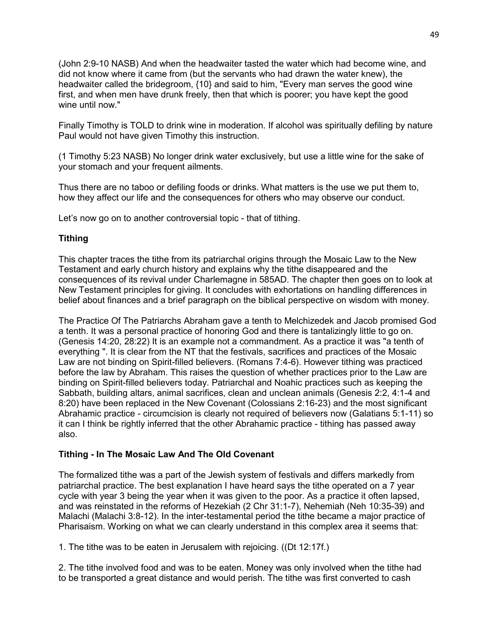(John 2:9-10 NASB) And when the headwaiter tasted the water which had become wine, and did not know where it came from (but the servants who had drawn the water knew), the headwaiter called the bridegroom, {10} and said to him, "Every man serves the good wine first, and when men have drunk freely, then that which is poorer; you have kept the good wine until now."

Finally Timothy is TOLD to drink wine in moderation. If alcohol was spiritually defiling by nature Paul would not have given Timothy this instruction.

(1 Timothy 5:23 NASB) No longer drink water exclusively, but use a little wine for the sake of your stomach and your frequent ailments.

Thus there are no taboo or defiling foods or drinks. What matters is the use we put them to, how they affect our life and the consequences for others who may observe our conduct.

Let's now go on to another controversial topic - that of tithing.

## **Tithing**

This chapter traces the tithe from its patriarchal origins through the Mosaic Law to the New Testament and early church history and explains why the tithe disappeared and the consequences of its revival under Charlemagne in 585AD. The chapter then goes on to look at New Testament principles for giving. It concludes with exhortations on handling differences in belief about finances and a brief paragraph on the biblical perspective on wisdom with money.

The Practice Of The Patriarchs Abraham gave a tenth to Melchizedek and Jacob promised God a tenth. It was a personal practice of honoring God and there is tantalizingly little to go on. (Genesis 14:20, 28:22) It is an example not a commandment. As a practice it was "a tenth of everything ". It is clear from the NT that the festivals, sacrifices and practices of the Mosaic Law are not binding on Spirit-filled believers. (Romans 7:4-6). However tithing was practiced before the law by Abraham. This raises the question of whether practices prior to the Law are binding on Spirit-filled believers today. Patriarchal and Noahic practices such as keeping the Sabbath, building altars, animal sacrifices, clean and unclean animals (Genesis 2:2, 4:1-4 and 8:20) have been replaced in the New Covenant (Colossians 2:16-23) and the most significant Abrahamic practice - circumcision is clearly not required of believers now (Galatians 5:1-11) so it can I think be rightly inferred that the other Abrahamic practice - tithing has passed away also.

## **Tithing - In The Mosaic Law And The Old Covenant**

The formalized tithe was a part of the Jewish system of festivals and differs markedly from patriarchal practice. The best explanation I have heard says the tithe operated on a 7 year cycle with year 3 being the year when it was given to the poor. As a practice it often lapsed, and was reinstated in the reforms of Hezekiah (2 Chr 31:1-7), Nehemiah (Neh 10:35-39) and Malachi (Malachi 3:8-12). In the inter-testamental period the tithe became a major practice of Pharisaism. Working on what we can clearly understand in this complex area it seems that:

1. The tithe was to be eaten in Jerusalem with rejoicing. ((Dt 12:17f.)

2. The tithe involved food and was to be eaten. Money was only involved when the tithe had to be transported a great distance and would perish. The tithe was first converted to cash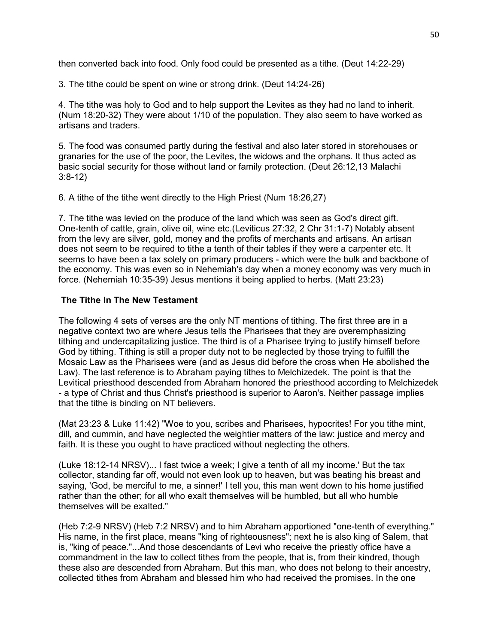then converted back into food. Only food could be presented as a tithe. (Deut 14:22-29)

3. The tithe could be spent on wine or strong drink. (Deut 14:24-26)

4. The tithe was holy to God and to help support the Levites as they had no land to inherit. (Num 18:20-32) They were about 1/10 of the population. They also seem to have worked as artisans and traders.

5. The food was consumed partly during the festival and also later stored in storehouses or granaries for the use of the poor, the Levites, the widows and the orphans. It thus acted as basic social security for those without land or family protection. (Deut 26:12,13 Malachi 3:8-12)

6. A tithe of the tithe went directly to the High Priest (Num 18:26,27)

7. The tithe was levied on the produce of the land which was seen as God's direct gift. One-tenth of cattle, grain, olive oil, wine etc.(Leviticus 27:32, 2 Chr 31:1-7) Notably absent from the levy are silver, gold, money and the profits of merchants and artisans. An artisan does not seem to be required to tithe a tenth of their tables if they were a carpenter etc. It seems to have been a tax solely on primary producers - which were the bulk and backbone of the economy. This was even so in Nehemiah's day when a money economy was very much in force. (Nehemiah 10:35-39) Jesus mentions it being applied to herbs. (Matt 23:23)

## **The Tithe In The New Testament**

The following 4 sets of verses are the only NT mentions of tithing. The first three are in a negative context two are where Jesus tells the Pharisees that they are overemphasizing tithing and undercapitalizing justice. The third is of a Pharisee trying to justify himself before God by tithing. Tithing is still a proper duty not to be neglected by those trying to fulfill the Mosaic Law as the Pharisees were (and as Jesus did before the cross when He abolished the Law). The last reference is to Abraham paying tithes to Melchizedek. The point is that the Levitical priesthood descended from Abraham honored the priesthood according to Melchizedek - a type of Christ and thus Christ's priesthood is superior to Aaron's. Neither passage implies that the tithe is binding on NT believers.

(Mat 23:23 & Luke 11:42) "Woe to you, scribes and Pharisees, hypocrites! For you tithe mint, dill, and cummin, and have neglected the weightier matters of the law: justice and mercy and faith. It is these you ought to have practiced without neglecting the others.

(Luke 18:12-14 NRSV)... I fast twice a week; I give a tenth of all my income.' But the tax collector, standing far off, would not even look up to heaven, but was beating his breast and saying, 'God, be merciful to me, a sinner!' I tell you, this man went down to his home justified rather than the other; for all who exalt themselves will be humbled, but all who humble themselves will be exalted."

(Heb 7:2-9 NRSV) (Heb 7:2 NRSV) and to him Abraham apportioned "one-tenth of everything." His name, in the first place, means "king of righteousness"; next he is also king of Salem, that is, "king of peace."...And those descendants of Levi who receive the priestly office have a commandment in the law to collect tithes from the people, that is, from their kindred, though these also are descended from Abraham. But this man, who does not belong to their ancestry, collected tithes from Abraham and blessed him who had received the promises. In the one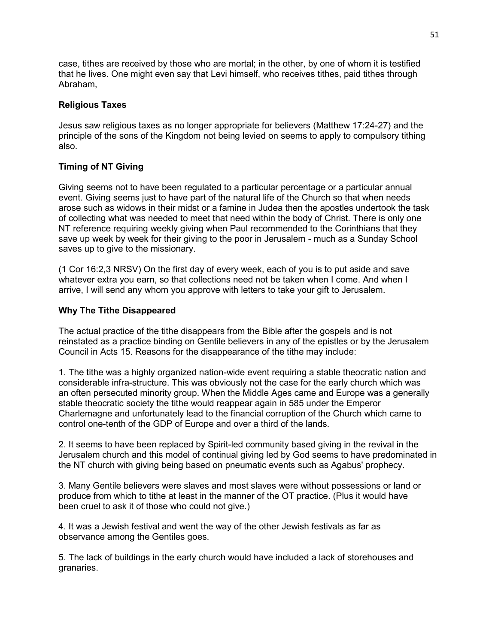case, tithes are received by those who are mortal; in the other, by one of whom it is testified that he lives. One might even say that Levi himself, who receives tithes, paid tithes through Abraham,

## **Religious Taxes**

Jesus saw religious taxes as no longer appropriate for believers (Matthew 17:24-27) and the principle of the sons of the Kingdom not being levied on seems to apply to compulsory tithing also.

## **Timing of NT Giving**

Giving seems not to have been regulated to a particular percentage or a particular annual event. Giving seems just to have part of the natural life of the Church so that when needs arose such as widows in their midst or a famine in Judea then the apostles undertook the task of collecting what was needed to meet that need within the body of Christ. There is only one NT reference requiring weekly giving when Paul recommended to the Corinthians that they save up week by week for their giving to the poor in Jerusalem - much as a Sunday School saves up to give to the missionary.

(1 Cor 16:2,3 NRSV) On the first day of every week, each of you is to put aside and save whatever extra you earn, so that collections need not be taken when I come. And when I arrive, I will send any whom you approve with letters to take your gift to Jerusalem.

## **Why The Tithe Disappeared**

The actual practice of the tithe disappears from the Bible after the gospels and is not reinstated as a practice binding on Gentile believers in any of the epistles or by the Jerusalem Council in Acts 15. Reasons for the disappearance of the tithe may include:

1. The tithe was a highly organized nation-wide event requiring a stable theocratic nation and considerable infra-structure. This was obviously not the case for the early church which was an often persecuted minority group. When the Middle Ages came and Europe was a generally stable theocratic society the tithe would reappear again in 585 under the Emperor Charlemagne and unfortunately lead to the financial corruption of the Church which came to control one-tenth of the GDP of Europe and over a third of the lands.

2. It seems to have been replaced by Spirit-led community based giving in the revival in the Jerusalem church and this model of continual giving led by God seems to have predominated in the NT church with giving being based on pneumatic events such as Agabus' prophecy.

3. Many Gentile believers were slaves and most slaves were without possessions or land or produce from which to tithe at least in the manner of the OT practice. (Plus it would have been cruel to ask it of those who could not give.)

4. It was a Jewish festival and went the way of the other Jewish festivals as far as observance among the Gentiles goes.

5. The lack of buildings in the early church would have included a lack of storehouses and granaries.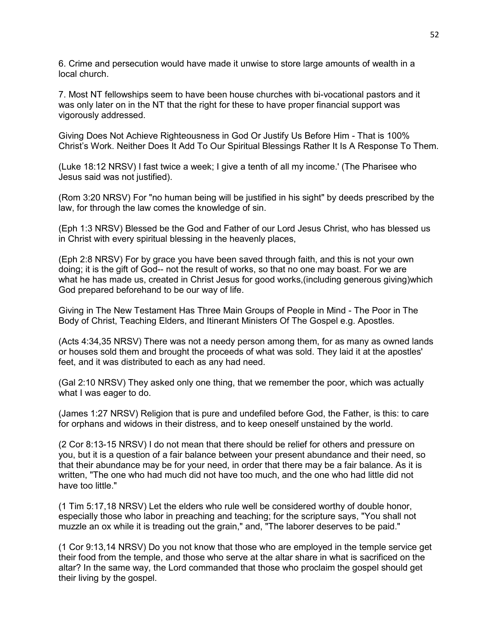6. Crime and persecution would have made it unwise to store large amounts of wealth in a local church.

7. Most NT fellowships seem to have been house churches with bi-vocational pastors and it was only later on in the NT that the right for these to have proper financial support was vigorously addressed.

Giving Does Not Achieve Righteousness in God Or Justify Us Before Him - That is 100% Christ's Work. Neither Does It Add To Our Spiritual Blessings Rather It Is A Response To Them.

(Luke 18:12 NRSV) I fast twice a week; I give a tenth of all my income.' (The Pharisee who Jesus said was not justified).

(Rom 3:20 NRSV) For "no human being will be justified in his sight" by deeds prescribed by the law, for through the law comes the knowledge of sin.

(Eph 1:3 NRSV) Blessed be the God and Father of our Lord Jesus Christ, who has blessed us in Christ with every spiritual blessing in the heavenly places,

(Eph 2:8 NRSV) For by grace you have been saved through faith, and this is not your own doing; it is the gift of God-- not the result of works, so that no one may boast. For we are what he has made us, created in Christ Jesus for good works,(including generous giving)which God prepared beforehand to be our way of life.

Giving in The New Testament Has Three Main Groups of People in Mind - The Poor in The Body of Christ, Teaching Elders, and Itinerant Ministers Of The Gospel e.g. Apostles.

(Acts 4:34,35 NRSV) There was not a needy person among them, for as many as owned lands or houses sold them and brought the proceeds of what was sold. They laid it at the apostles' feet, and it was distributed to each as any had need.

(Gal 2:10 NRSV) They asked only one thing, that we remember the poor, which was actually what I was eager to do.

(James 1:27 NRSV) Religion that is pure and undefiled before God, the Father, is this: to care for orphans and widows in their distress, and to keep oneself unstained by the world.

(2 Cor 8:13-15 NRSV) I do not mean that there should be relief for others and pressure on you, but it is a question of a fair balance between your present abundance and their need, so that their abundance may be for your need, in order that there may be a fair balance. As it is written, "The one who had much did not have too much, and the one who had little did not have too little."

(1 Tim 5:17,18 NRSV) Let the elders who rule well be considered worthy of double honor, especially those who labor in preaching and teaching; for the scripture says, "You shall not muzzle an ox while it is treading out the grain," and, "The laborer deserves to be paid."

(1 Cor 9:13,14 NRSV) Do you not know that those who are employed in the temple service get their food from the temple, and those who serve at the altar share in what is sacrificed on the altar? In the same way, the Lord commanded that those who proclaim the gospel should get their living by the gospel.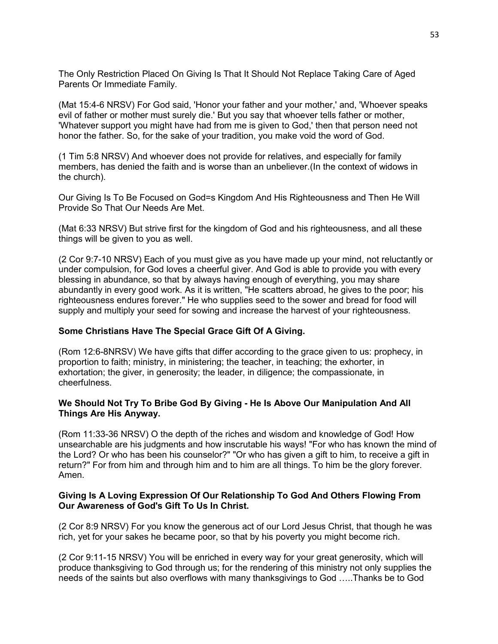The Only Restriction Placed On Giving Is That It Should Not Replace Taking Care of Aged Parents Or Immediate Family.

(Mat 15:4-6 NRSV) For God said, 'Honor your father and your mother,' and, 'Whoever speaks evil of father or mother must surely die.' But you say that whoever tells father or mother, 'Whatever support you might have had from me is given to God,' then that person need not honor the father. So, for the sake of your tradition, you make void the word of God.

(1 Tim 5:8 NRSV) And whoever does not provide for relatives, and especially for family members, has denied the faith and is worse than an unbeliever.(In the context of widows in the church).

Our Giving Is To Be Focused on God=s Kingdom And His Righteousness and Then He Will Provide So That Our Needs Are Met.

(Mat 6:33 NRSV) But strive first for the kingdom of God and his righteousness, and all these things will be given to you as well.

(2 Cor 9:7-10 NRSV) Each of you must give as you have made up your mind, not reluctantly or under compulsion, for God loves a cheerful giver. And God is able to provide you with every blessing in abundance, so that by always having enough of everything, you may share abundantly in every good work. As it is written, "He scatters abroad, he gives to the poor; his righteousness endures forever." He who supplies seed to the sower and bread for food will supply and multiply your seed for sowing and increase the harvest of your righteousness.

### **Some Christians Have The Special Grace Gift Of A Giving.**

(Rom 12:6-8NRSV) We have gifts that differ according to the grace given to us: prophecy, in proportion to faith; ministry, in ministering; the teacher, in teaching; the exhorter, in exhortation; the giver, in generosity; the leader, in diligence; the compassionate, in cheerfulness.

### **We Should Not Try To Bribe God By Giving - He Is Above Our Manipulation And All Things Are His Anyway.**

(Rom 11:33-36 NRSV) O the depth of the riches and wisdom and knowledge of God! How unsearchable are his judgments and how inscrutable his ways! "For who has known the mind of the Lord? Or who has been his counselor?" "Or who has given a gift to him, to receive a gift in return?" For from him and through him and to him are all things. To him be the glory forever. Amen.

### **Giving Is A Loving Expression Of Our Relationship To God And Others Flowing From Our Awareness of God's Gift To Us In Christ.**

(2 Cor 8:9 NRSV) For you know the generous act of our Lord Jesus Christ, that though he was rich, yet for your sakes he became poor, so that by his poverty you might become rich.

(2 Cor 9:11-15 NRSV) You will be enriched in every way for your great generosity, which will produce thanksgiving to God through us; for the rendering of this ministry not only supplies the needs of the saints but also overflows with many thanksgivings to God …..Thanks be to God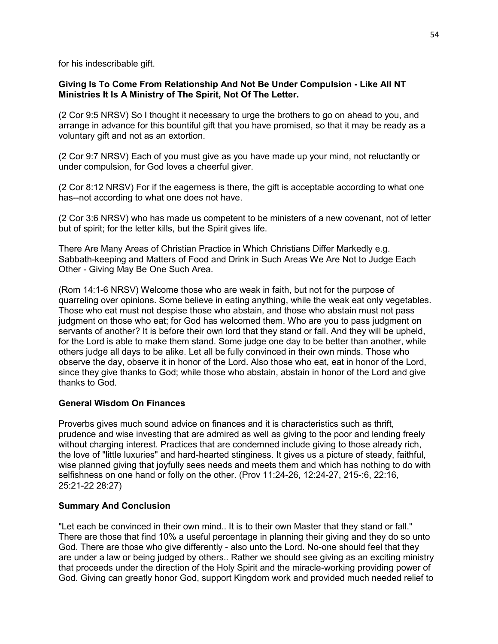for his indescribable gift.

## **Giving Is To Come From Relationship And Not Be Under Compulsion - Like All NT Ministries It Is A Ministry of The Spirit, Not Of The Letter.**

(2 Cor 9:5 NRSV) So I thought it necessary to urge the brothers to go on ahead to you, and arrange in advance for this bountiful gift that you have promised, so that it may be ready as a voluntary gift and not as an extortion.

(2 Cor 9:7 NRSV) Each of you must give as you have made up your mind, not reluctantly or under compulsion, for God loves a cheerful giver.

(2 Cor 8:12 NRSV) For if the eagerness is there, the gift is acceptable according to what one has--not according to what one does not have.

(2 Cor 3:6 NRSV) who has made us competent to be ministers of a new covenant, not of letter but of spirit; for the letter kills, but the Spirit gives life.

There Are Many Areas of Christian Practice in Which Christians Differ Markedly e.g. Sabbath-keeping and Matters of Food and Drink in Such Areas We Are Not to Judge Each Other - Giving May Be One Such Area.

(Rom 14:1-6 NRSV) Welcome those who are weak in faith, but not for the purpose of quarreling over opinions. Some believe in eating anything, while the weak eat only vegetables. Those who eat must not despise those who abstain, and those who abstain must not pass judgment on those who eat; for God has welcomed them. Who are you to pass judgment on servants of another? It is before their own lord that they stand or fall. And they will be upheld, for the Lord is able to make them stand. Some judge one day to be better than another, while others judge all days to be alike. Let all be fully convinced in their own minds. Those who observe the day, observe it in honor of the Lord. Also those who eat, eat in honor of the Lord, since they give thanks to God; while those who abstain, abstain in honor of the Lord and give thanks to God.

## **General Wisdom On Finances**

Proverbs gives much sound advice on finances and it is characteristics such as thrift, prudence and wise investing that are admired as well as giving to the poor and lending freely without charging interest. Practices that are condemned include giving to those already rich, the love of "little luxuries" and hard-hearted stinginess. It gives us a picture of steady, faithful, wise planned giving that joyfully sees needs and meets them and which has nothing to do with selfishness on one hand or folly on the other. (Prov 11:24-26, 12:24-27, 215-:6, 22:16, 25:21-22 28:27)

## **Summary And Conclusion**

"Let each be convinced in their own mind.. It is to their own Master that they stand or fall." There are those that find 10% a useful percentage in planning their giving and they do so unto God. There are those who give differently - also unto the Lord. No-one should feel that they are under a law or being judged by others.. Rather we should see giving as an exciting ministry that proceeds under the direction of the Holy Spirit and the miracle-working providing power of God. Giving can greatly honor God, support Kingdom work and provided much needed relief to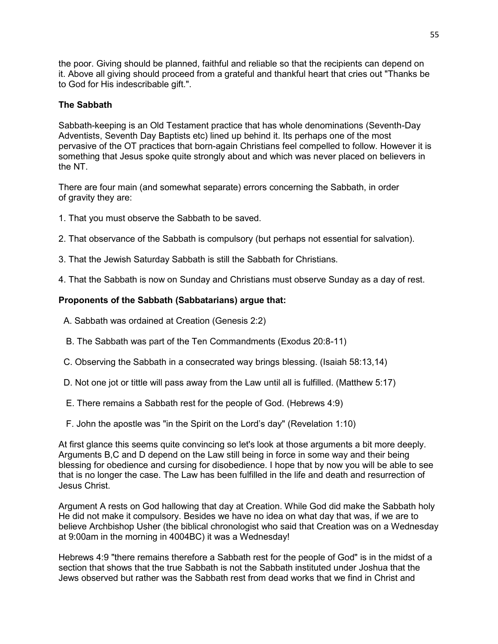the poor. Giving should be planned, faithful and reliable so that the recipients can depend on it. Above all giving should proceed from a grateful and thankful heart that cries out "Thanks be to God for His indescribable gift.".

## **The Sabbath**

Sabbath-keeping is an Old Testament practice that has whole denominations (Seventh-Day Adventists, Seventh Day Baptists etc) lined up behind it. Its perhaps one of the most pervasive of the OT practices that born-again Christians feel compelled to follow. However it is something that Jesus spoke quite strongly about and which was never placed on believers in the NT.

There are four main (and somewhat separate) errors concerning the Sabbath, in order of gravity they are:

- 1. That you must observe the Sabbath to be saved.
- 2. That observance of the Sabbath is compulsory (but perhaps not essential for salvation).
- 3. That the Jewish Saturday Sabbath is still the Sabbath for Christians.
- 4. That the Sabbath is now on Sunday and Christians must observe Sunday as a day of rest.

## **Proponents of the Sabbath (Sabbatarians) argue that:**

- A. Sabbath was ordained at Creation (Genesis 2:2)
- B. The Sabbath was part of the Ten Commandments (Exodus 20:8-11)
- C. Observing the Sabbath in a consecrated way brings blessing. (Isaiah 58:13,14)
- D. Not one jot or tittle will pass away from the Law until all is fulfilled. (Matthew 5:17)
- E. There remains a Sabbath rest for the people of God. (Hebrews 4:9)
- F. John the apostle was "in the Spirit on the Lord's day" (Revelation 1:10)

At first glance this seems quite convincing so let's look at those arguments a bit more deeply. Arguments B,C and D depend on the Law still being in force in some way and their being blessing for obedience and cursing for disobedience. I hope that by now you will be able to see that is no longer the case. The Law has been fulfilled in the life and death and resurrection of Jesus Christ.

Argument A rests on God hallowing that day at Creation. While God did make the Sabbath holy He did not make it compulsory. Besides we have no idea on what day that was, if we are to believe Archbishop Usher (the biblical chronologist who said that Creation was on a Wednesday at 9:00am in the morning in 4004BC) it was a Wednesday!

Hebrews 4:9 "there remains therefore a Sabbath rest for the people of God" is in the midst of a section that shows that the true Sabbath is not the Sabbath instituted under Joshua that the Jews observed but rather was the Sabbath rest from dead works that we find in Christ and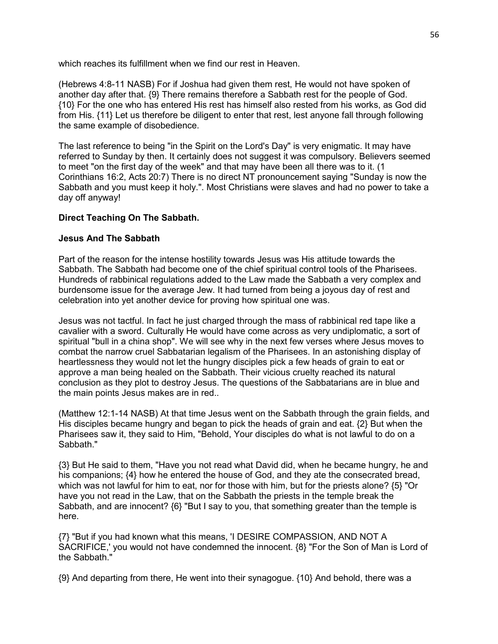which reaches its fulfillment when we find our rest in Heaven.

(Hebrews 4:8-11 NASB) For if Joshua had given them rest, He would not have spoken of another day after that. {9} There remains therefore a Sabbath rest for the people of God. {10} For the one who has entered His rest has himself also rested from his works, as God did from His. {11} Let us therefore be diligent to enter that rest, lest anyone fall through following the same example of disobedience.

The last reference to being "in the Spirit on the Lord's Day" is very enigmatic. It may have referred to Sunday by then. It certainly does not suggest it was compulsory. Believers seemed to meet "on the first day of the week" and that may have been all there was to it. (1 Corinthians 16:2, Acts 20:7) There is no direct NT pronouncement saying "Sunday is now the Sabbath and you must keep it holy.". Most Christians were slaves and had no power to take a day off anyway!

# **Direct Teaching On The Sabbath.**

## **Jesus And The Sabbath**

Part of the reason for the intense hostility towards Jesus was His attitude towards the Sabbath. The Sabbath had become one of the chief spiritual control tools of the Pharisees. Hundreds of rabbinical regulations added to the Law made the Sabbath a very complex and burdensome issue for the average Jew. It had turned from being a joyous day of rest and celebration into yet another device for proving how spiritual one was.

Jesus was not tactful. In fact he just charged through the mass of rabbinical red tape like a cavalier with a sword. Culturally He would have come across as very undiplomatic, a sort of spiritual "bull in a china shop". We will see why in the next few verses where Jesus moves to combat the narrow cruel Sabbatarian legalism of the Pharisees. In an astonishing display of heartlessness they would not let the hungry disciples pick a few heads of grain to eat or approve a man being healed on the Sabbath. Their vicious cruelty reached its natural conclusion as they plot to destroy Jesus. The questions of the Sabbatarians are in blue and the main points Jesus makes are in red..

(Matthew 12:1-14 NASB) At that time Jesus went on the Sabbath through the grain fields, and His disciples became hungry and began to pick the heads of grain and eat. {2} But when the Pharisees saw it, they said to Him, "Behold, Your disciples do what is not lawful to do on a Sabbath."

{3} But He said to them, "Have you not read what David did, when he became hungry, he and his companions; {4} how he entered the house of God, and they ate the consecrated bread, which was not lawful for him to eat, nor for those with him, but for the priests alone? {5} "Or have you not read in the Law, that on the Sabbath the priests in the temple break the Sabbath, and are innocent? {6} "But I say to you, that something greater than the temple is here.

{7} "But if you had known what this means, 'I DESIRE COMPASSION, AND NOT A SACRIFICE,' you would not have condemned the innocent. {8} "For the Son of Man is Lord of the Sabbath."

{9} And departing from there, He went into their synagogue. {10} And behold, there was a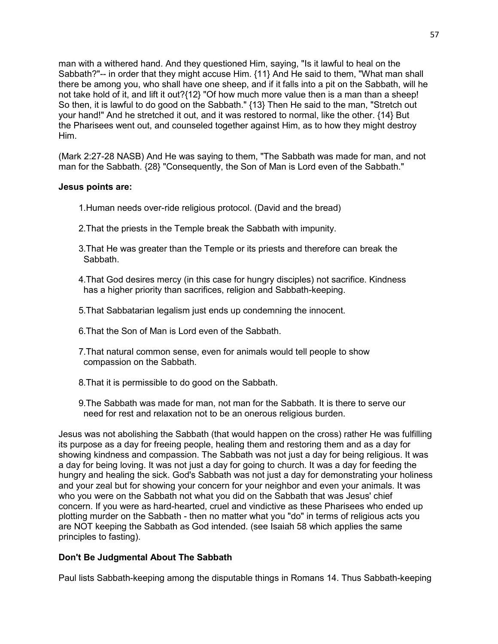man with a withered hand. And they questioned Him, saying, "Is it lawful to heal on the Sabbath?"-- in order that they might accuse Him. {11} And He said to them, "What man shall there be among you, who shall have one sheep, and if it falls into a pit on the Sabbath, will he not take hold of it, and lift it out?{12} "Of how much more value then is a man than a sheep! So then, it is lawful to do good on the Sabbath." {13} Then He said to the man, "Stretch out your hand!" And he stretched it out, and it was restored to normal, like the other. {14} But the Pharisees went out, and counseled together against Him, as to how they might destroy Him.

(Mark 2:27-28 NASB) And He was saying to them, "The Sabbath was made for man, and not man for the Sabbath. {28} "Consequently, the Son of Man is Lord even of the Sabbath."

### **Jesus points are:**

1.Human needs over-ride religious protocol. (David and the bread)

- 2.That the priests in the Temple break the Sabbath with impunity.
- 3.That He was greater than the Temple or its priests and therefore can break the Sabbath.
- 4.That God desires mercy (in this case for hungry disciples) not sacrifice. Kindness has a higher priority than sacrifices, religion and Sabbath-keeping.
- 5.That Sabbatarian legalism just ends up condemning the innocent.
- 6.That the Son of Man is Lord even of the Sabbath.
- 7.That natural common sense, even for animals would tell people to show compassion on the Sabbath.
- 8.That it is permissible to do good on the Sabbath.
- 9.The Sabbath was made for man, not man for the Sabbath. It is there to serve our need for rest and relaxation not to be an onerous religious burden.

Jesus was not abolishing the Sabbath (that would happen on the cross) rather He was fulfilling its purpose as a day for freeing people, healing them and restoring them and as a day for showing kindness and compassion. The Sabbath was not just a day for being religious. It was a day for being loving. It was not just a day for going to church. It was a day for feeding the hungry and healing the sick. God's Sabbath was not just a day for demonstrating your holiness and your zeal but for showing your concern for your neighbor and even your animals. It was who you were on the Sabbath not what you did on the Sabbath that was Jesus' chief concern. If you were as hard-hearted, cruel and vindictive as these Pharisees who ended up plotting murder on the Sabbath - then no matter what you "do" in terms of religious acts you are NOT keeping the Sabbath as God intended. (see Isaiah 58 which applies the same principles to fasting).

## **Don't Be Judgmental About The Sabbath**

Paul lists Sabbath-keeping among the disputable things in Romans 14. Thus Sabbath-keeping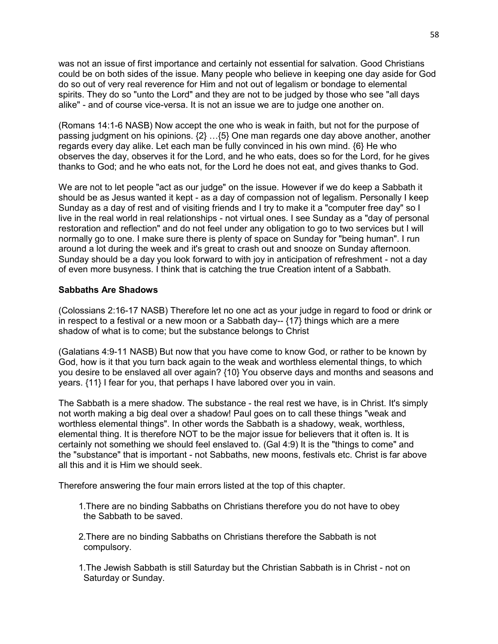was not an issue of first importance and certainly not essential for salvation. Good Christians could be on both sides of the issue. Many people who believe in keeping one day aside for God do so out of very real reverence for Him and not out of legalism or bondage to elemental spirits. They do so "unto the Lord" and they are not to be judged by those who see "all days alike" - and of course vice-versa. It is not an issue we are to judge one another on.

(Romans 14:1-6 NASB) Now accept the one who is weak in faith, but not for the purpose of passing judgment on his opinions. {2} …{5} One man regards one day above another, another regards every day alike. Let each man be fully convinced in his own mind. {6} He who observes the day, observes it for the Lord, and he who eats, does so for the Lord, for he gives thanks to God; and he who eats not, for the Lord he does not eat, and gives thanks to God.

We are not to let people "act as our judge" on the issue. However if we do keep a Sabbath it should be as Jesus wanted it kept - as a day of compassion not of legalism. Personally I keep Sunday as a day of rest and of visiting friends and I try to make it a "computer free day" so I live in the real world in real relationships - not virtual ones. I see Sunday as a "day of personal restoration and reflection" and do not feel under any obligation to go to two services but I will normally go to one. I make sure there is plenty of space on Sunday for "being human". I run around a lot during the week and it's great to crash out and snooze on Sunday afternoon. Sunday should be a day you look forward to with joy in anticipation of refreshment - not a day of even more busyness. I think that is catching the true Creation intent of a Sabbath.

### **Sabbaths Are Shadows**

(Colossians 2:16-17 NASB) Therefore let no one act as your judge in regard to food or drink or in respect to a festival or a new moon or a Sabbath day-- {17} things which are a mere shadow of what is to come; but the substance belongs to Christ

(Galatians 4:9-11 NASB) But now that you have come to know God, or rather to be known by God, how is it that you turn back again to the weak and worthless elemental things, to which you desire to be enslaved all over again? {10} You observe days and months and seasons and years. {11} I fear for you, that perhaps I have labored over you in vain.

The Sabbath is a mere shadow. The substance - the real rest we have, is in Christ. It's simply not worth making a big deal over a shadow! Paul goes on to call these things "weak and worthless elemental things". In other words the Sabbath is a shadowy, weak, worthless, elemental thing. It is therefore NOT to be the major issue for believers that it often is. It is certainly not something we should feel enslaved to. (Gal 4:9) It is the "things to come" and the "substance" that is important - not Sabbaths, new moons, festivals etc. Christ is far above all this and it is Him we should seek.

Therefore answering the four main errors listed at the top of this chapter.

- 1.There are no binding Sabbaths on Christians therefore you do not have to obey the Sabbath to be saved.
- 2.There are no binding Sabbaths on Christians therefore the Sabbath is not compulsory.
- 1.The Jewish Sabbath is still Saturday but the Christian Sabbath is in Christ not on Saturday or Sunday.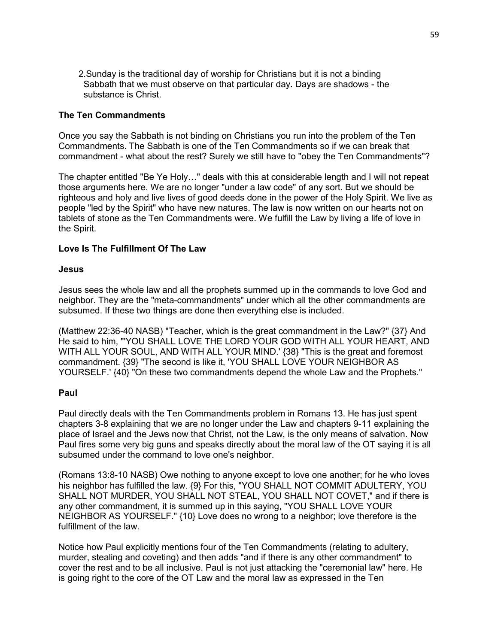2.Sunday is the traditional day of worship for Christians but it is not a binding Sabbath that we must observe on that particular day. Days are shadows - the substance is Christ.

### **The Ten Commandments**

Once you say the Sabbath is not binding on Christians you run into the problem of the Ten Commandments. The Sabbath is one of the Ten Commandments so if we can break that commandment - what about the rest? Surely we still have to "obey the Ten Commandments"?

The chapter entitled "Be Ye Holy…" deals with this at considerable length and I will not repeat those arguments here. We are no longer "under a law code" of any sort. But we should be righteous and holy and live lives of good deeds done in the power of the Holy Spirit. We live as people "led by the Spirit" who have new natures. The law is now written on our hearts not on tablets of stone as the Ten Commandments were. We fulfill the Law by living a life of love in the Spirit.

### **Love Is The Fulfillment Of The Law**

### **Jesus**

Jesus sees the whole law and all the prophets summed up in the commands to love God and neighbor. They are the "meta-commandments" under which all the other commandments are subsumed. If these two things are done then everything else is included.

(Matthew 22:36-40 NASB) "Teacher, which is the great commandment in the Law?" {37} And He said to him, "'YOU SHALL LOVE THE LORD YOUR GOD WITH ALL YOUR HEART, AND WITH ALL YOUR SOUL, AND WITH ALL YOUR MIND.' {38} "This is the great and foremost commandment. {39} "The second is like it, 'YOU SHALL LOVE YOUR NEIGHBOR AS YOURSELF.' {40} "On these two commandments depend the whole Law and the Prophets."

### **Paul**

Paul directly deals with the Ten Commandments problem in Romans 13. He has just spent chapters 3-8 explaining that we are no longer under the Law and chapters 9-11 explaining the place of Israel and the Jews now that Christ, not the Law, is the only means of salvation. Now Paul fires some very big guns and speaks directly about the moral law of the OT saying it is all subsumed under the command to love one's neighbor.

(Romans 13:8-10 NASB) Owe nothing to anyone except to love one another; for he who loves his neighbor has fulfilled the law. {9} For this, "YOU SHALL NOT COMMIT ADULTERY, YOU SHALL NOT MURDER, YOU SHALL NOT STEAL, YOU SHALL NOT COVET," and if there is any other commandment, it is summed up in this saying, "YOU SHALL LOVE YOUR NEIGHBOR AS YOURSELF." {10} Love does no wrong to a neighbor; love therefore is the fulfillment of the law.

Notice how Paul explicitly mentions four of the Ten Commandments (relating to adultery, murder, stealing and coveting) and then adds "and if there is any other commandment" to cover the rest and to be all inclusive. Paul is not just attacking the "ceremonial law" here. He is going right to the core of the OT Law and the moral law as expressed in the Ten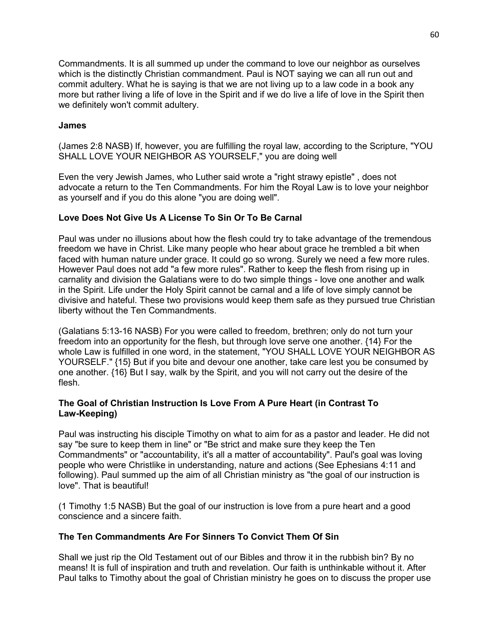Commandments. It is all summed up under the command to love our neighbor as ourselves which is the distinctly Christian commandment. Paul is NOT saying we can all run out and commit adultery. What he is saying is that we are not living up to a law code in a book any more but rather living a life of love in the Spirit and if we do live a life of love in the Spirit then we definitely won't commit adultery.

### **James**

(James 2:8 NASB) If, however, you are fulfilling the royal law, according to the Scripture, "YOU SHALL LOVE YOUR NEIGHBOR AS YOURSELF," you are doing well

Even the very Jewish James, who Luther said wrote a "right strawy epistle" , does not advocate a return to the Ten Commandments. For him the Royal Law is to love your neighbor as yourself and if you do this alone "you are doing well".

### **Love Does Not Give Us A License To Sin Or To Be Carnal**

Paul was under no illusions about how the flesh could try to take advantage of the tremendous freedom we have in Christ. Like many people who hear about grace he trembled a bit when faced with human nature under grace. It could go so wrong. Surely we need a few more rules. However Paul does not add "a few more rules". Rather to keep the flesh from rising up in carnality and division the Galatians were to do two simple things - love one another and walk in the Spirit. Life under the Holy Spirit cannot be carnal and a life of love simply cannot be divisive and hateful. These two provisions would keep them safe as they pursued true Christian liberty without the Ten Commandments.

(Galatians 5:13-16 NASB) For you were called to freedom, brethren; only do not turn your freedom into an opportunity for the flesh, but through love serve one another. {14} For the whole Law is fulfilled in one word, in the statement, "YOU SHALL LOVE YOUR NEIGHBOR AS YOURSELF." {15} But if you bite and devour one another, take care lest you be consumed by one another. {16} But I say, walk by the Spirit, and you will not carry out the desire of the flesh.

### **The Goal of Christian Instruction Is Love From A Pure Heart (in Contrast To Law-Keeping)**

Paul was instructing his disciple Timothy on what to aim for as a pastor and leader. He did not say "be sure to keep them in line" or "Be strict and make sure they keep the Ten Commandments" or "accountability, it's all a matter of accountability". Paul's goal was loving people who were Christlike in understanding, nature and actions (See Ephesians 4:11 and following). Paul summed up the aim of all Christian ministry as "the goal of our instruction is love". That is beautiful!

(1 Timothy 1:5 NASB) But the goal of our instruction is love from a pure heart and a good conscience and a sincere faith.

### **The Ten Commandments Are For Sinners To Convict Them Of Sin**

Shall we just rip the Old Testament out of our Bibles and throw it in the rubbish bin? By no means! It is full of inspiration and truth and revelation. Our faith is unthinkable without it. After Paul talks to Timothy about the goal of Christian ministry he goes on to discuss the proper use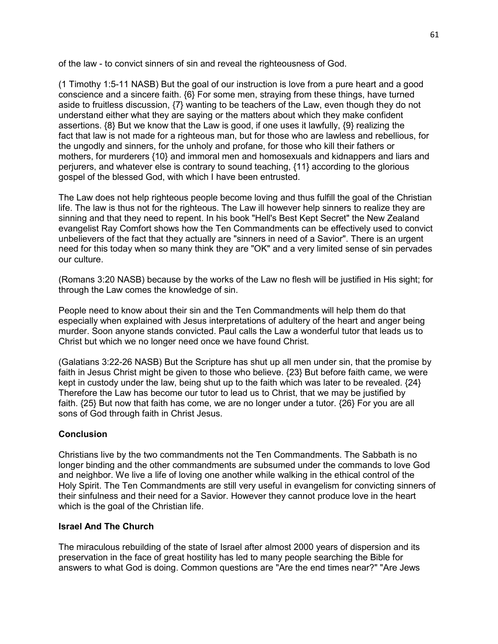of the law - to convict sinners of sin and reveal the righteousness of God.

(1 Timothy 1:5-11 NASB) But the goal of our instruction is love from a pure heart and a good conscience and a sincere faith. {6} For some men, straying from these things, have turned aside to fruitless discussion, {7} wanting to be teachers of the Law, even though they do not understand either what they are saying or the matters about which they make confident assertions. {8} But we know that the Law is good, if one uses it lawfully, {9} realizing the fact that law is not made for a righteous man, but for those who are lawless and rebellious, for the ungodly and sinners, for the unholy and profane, for those who kill their fathers or mothers, for murderers {10} and immoral men and homosexuals and kidnappers and liars and perjurers, and whatever else is contrary to sound teaching, {11} according to the glorious gospel of the blessed God, with which I have been entrusted.

The Law does not help righteous people become loving and thus fulfill the goal of the Christian life. The law is thus not for the righteous. The Law ill however help sinners to realize they are sinning and that they need to repent. In his book "Hell's Best Kept Secret" the New Zealand evangelist Ray Comfort shows how the Ten Commandments can be effectively used to convict unbelievers of the fact that they actually are "sinners in need of a Savior". There is an urgent need for this today when so many think they are "OK" and a very limited sense of sin pervades our culture.

(Romans 3:20 NASB) because by the works of the Law no flesh will be justified in His sight; for through the Law comes the knowledge of sin.

People need to know about their sin and the Ten Commandments will help them do that especially when explained with Jesus interpretations of adultery of the heart and anger being murder. Soon anyone stands convicted. Paul calls the Law a wonderful tutor that leads us to Christ but which we no longer need once we have found Christ.

(Galatians 3:22-26 NASB) But the Scripture has shut up all men under sin, that the promise by faith in Jesus Christ might be given to those who believe. {23} But before faith came, we were kept in custody under the law, being shut up to the faith which was later to be revealed. {24} Therefore the Law has become our tutor to lead us to Christ, that we may be justified by faith. {25} But now that faith has come, we are no longer under a tutor. {26} For you are all sons of God through faith in Christ Jesus.

# **Conclusion**

Christians live by the two commandments not the Ten Commandments. The Sabbath is no longer binding and the other commandments are subsumed under the commands to love God and neighbor. We live a life of loving one another while walking in the ethical control of the Holy Spirit. The Ten Commandments are still very useful in evangelism for convicting sinners of their sinfulness and their need for a Savior. However they cannot produce love in the heart which is the goal of the Christian life.

## **Israel And The Church**

The miraculous rebuilding of the state of Israel after almost 2000 years of dispersion and its preservation in the face of great hostility has led to many people searching the Bible for answers to what God is doing. Common questions are "Are the end times near?" "Are Jews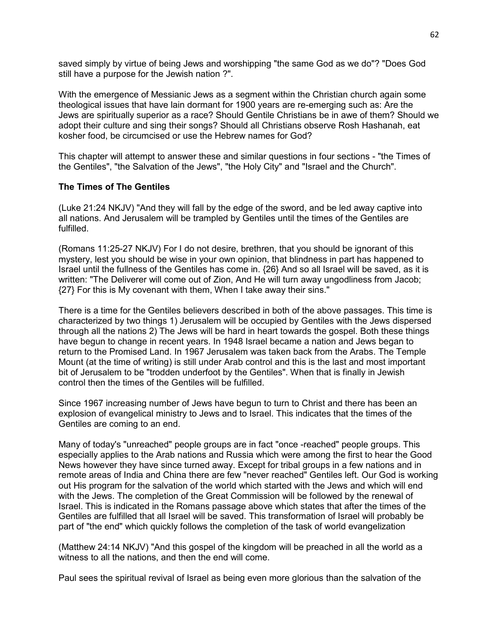saved simply by virtue of being Jews and worshipping "the same God as we do"? "Does God still have a purpose for the Jewish nation ?".

With the emergence of Messianic Jews as a segment within the Christian church again some theological issues that have lain dormant for 1900 years are re-emerging such as: Are the Jews are spiritually superior as a race? Should Gentile Christians be in awe of them? Should we adopt their culture and sing their songs? Should all Christians observe Rosh Hashanah, eat kosher food, be circumcised or use the Hebrew names for God?

This chapter will attempt to answer these and similar questions in four sections - "the Times of the Gentiles", "the Salvation of the Jews", "the Holy City" and "Israel and the Church".

### **The Times of The Gentiles**

(Luke 21:24 NKJV) "And they will fall by the edge of the sword, and be led away captive into all nations. And Jerusalem will be trampled by Gentiles until the times of the Gentiles are fulfilled.

(Romans 11:25-27 NKJV) For I do not desire, brethren, that you should be ignorant of this mystery, lest you should be wise in your own opinion, that blindness in part has happened to Israel until the fullness of the Gentiles has come in. {26} And so all Israel will be saved, as it is written: "The Deliverer will come out of Zion, And He will turn away ungodliness from Jacob; {27} For this is My covenant with them, When I take away their sins."

There is a time for the Gentiles believers described in both of the above passages. This time is characterized by two things 1) Jerusalem will be occupied by Gentiles with the Jews dispersed through all the nations 2) The Jews will be hard in heart towards the gospel. Both these things have begun to change in recent years. In 1948 Israel became a nation and Jews began to return to the Promised Land. In 1967 Jerusalem was taken back from the Arabs. The Temple Mount (at the time of writing) is still under Arab control and this is the last and most important bit of Jerusalem to be "trodden underfoot by the Gentiles". When that is finally in Jewish control then the times of the Gentiles will be fulfilled.

Since 1967 increasing number of Jews have begun to turn to Christ and there has been an explosion of evangelical ministry to Jews and to Israel. This indicates that the times of the Gentiles are coming to an end.

Many of today's "unreached" people groups are in fact "once -reached" people groups. This especially applies to the Arab nations and Russia which were among the first to hear the Good News however they have since turned away. Except for tribal groups in a few nations and in remote areas of India and China there are few "never reached" Gentiles left. Our God is working out His program for the salvation of the world which started with the Jews and which will end with the Jews. The completion of the Great Commission will be followed by the renewal of Israel. This is indicated in the Romans passage above which states that after the times of the Gentiles are fulfilled that all Israel will be saved. This transformation of Israel will probably be part of "the end" which quickly follows the completion of the task of world evangelization

(Matthew 24:14 NKJV) "And this gospel of the kingdom will be preached in all the world as a witness to all the nations, and then the end will come.

Paul sees the spiritual revival of Israel as being even more glorious than the salvation of the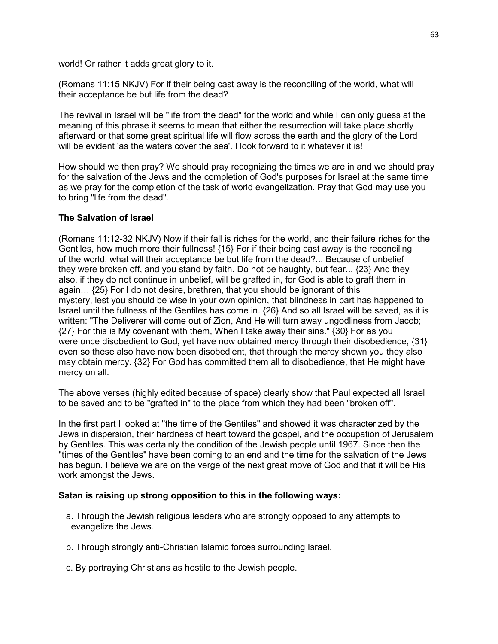world! Or rather it adds great glory to it.

(Romans 11:15 NKJV) For if their being cast away is the reconciling of the world, what will their acceptance be but life from the dead?

The revival in Israel will be "life from the dead" for the world and while I can only guess at the meaning of this phrase it seems to mean that either the resurrection will take place shortly afterward or that some great spiritual life will flow across the earth and the glory of the Lord will be evident 'as the waters cover the sea'. I look forward to it whatever it is!

How should we then pray? We should pray recognizing the times we are in and we should pray for the salvation of the Jews and the completion of God's purposes for Israel at the same time as we pray for the completion of the task of world evangelization. Pray that God may use you to bring "life from the dead".

### **The Salvation of Israel**

(Romans 11:12-32 NKJV) Now if their fall is riches for the world, and their failure riches for the Gentiles, how much more their fullness! {15} For if their being cast away is the reconciling of the world, what will their acceptance be but life from the dead?... Because of unbelief they were broken off, and you stand by faith. Do not be haughty, but fear... {23} And they also, if they do not continue in unbelief, will be grafted in, for God is able to graft them in again… {25} For I do not desire, brethren, that you should be ignorant of this mystery, lest you should be wise in your own opinion, that blindness in part has happened to Israel until the fullness of the Gentiles has come in. {26} And so all Israel will be saved, as it is written: "The Deliverer will come out of Zion, And He will turn away ungodliness from Jacob; {27} For this is My covenant with them, When I take away their sins." {30} For as you were once disobedient to God, yet have now obtained mercy through their disobedience, {31} even so these also have now been disobedient, that through the mercy shown you they also may obtain mercy. {32} For God has committed them all to disobedience, that He might have mercy on all.

The above verses (highly edited because of space) clearly show that Paul expected all Israel to be saved and to be "grafted in" to the place from which they had been "broken off".

In the first part I looked at "the time of the Gentiles" and showed it was characterized by the Jews in dispersion, their hardness of heart toward the gospel, and the occupation of Jerusalem by Gentiles. This was certainly the condition of the Jewish people until 1967. Since then the "times of the Gentiles" have been coming to an end and the time for the salvation of the Jews has begun. I believe we are on the verge of the next great move of God and that it will be His work amongst the Jews.

### **Satan is raising up strong opposition to this in the following ways:**

- a. Through the Jewish religious leaders who are strongly opposed to any attempts to evangelize the Jews.
- b. Through strongly anti-Christian Islamic forces surrounding Israel.
- c. By portraying Christians as hostile to the Jewish people.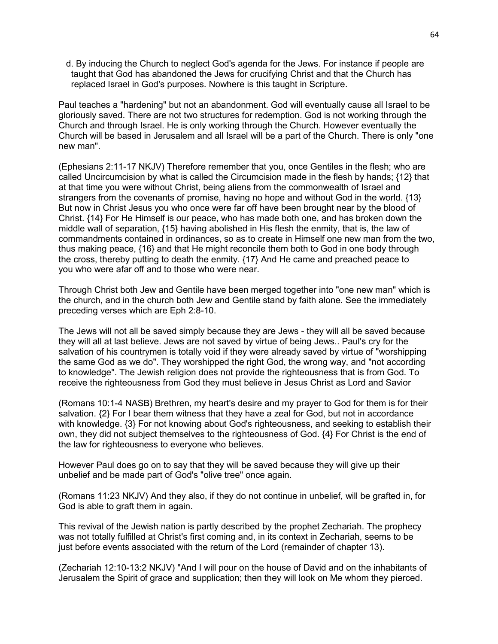d. By inducing the Church to neglect God's agenda for the Jews. For instance if people are taught that God has abandoned the Jews for crucifying Christ and that the Church has replaced Israel in God's purposes. Nowhere is this taught in Scripture.

Paul teaches a "hardening" but not an abandonment. God will eventually cause all Israel to be gloriously saved. There are not two structures for redemption. God is not working through the Church and through Israel. He is only working through the Church. However eventually the Church will be based in Jerusalem and all Israel will be a part of the Church. There is only "one new man".

(Ephesians 2:11-17 NKJV) Therefore remember that you, once Gentiles in the flesh; who are called Uncircumcision by what is called the Circumcision made in the flesh by hands; {12} that at that time you were without Christ, being aliens from the commonwealth of Israel and strangers from the covenants of promise, having no hope and without God in the world. {13} But now in Christ Jesus you who once were far off have been brought near by the blood of Christ. {14} For He Himself is our peace, who has made both one, and has broken down the middle wall of separation, {15} having abolished in His flesh the enmity, that is, the law of commandments contained in ordinances, so as to create in Himself one new man from the two, thus making peace, {16} and that He might reconcile them both to God in one body through the cross, thereby putting to death the enmity. {17} And He came and preached peace to you who were afar off and to those who were near.

Through Christ both Jew and Gentile have been merged together into "one new man" which is the church, and in the church both Jew and Gentile stand by faith alone. See the immediately preceding verses which are Eph 2:8-10.

The Jews will not all be saved simply because they are Jews - they will all be saved because they will all at last believe. Jews are not saved by virtue of being Jews.. Paul's cry for the salvation of his countrymen is totally void if they were already saved by virtue of "worshipping the same God as we do". They worshipped the right God, the wrong way, and "not according to knowledge". The Jewish religion does not provide the righteousness that is from God. To receive the righteousness from God they must believe in Jesus Christ as Lord and Savior

(Romans 10:1-4 NASB) Brethren, my heart's desire and my prayer to God for them is for their salvation. {2} For I bear them witness that they have a zeal for God, but not in accordance with knowledge. {3} For not knowing about God's righteousness, and seeking to establish their own, they did not subject themselves to the righteousness of God. {4} For Christ is the end of the law for righteousness to everyone who believes.

However Paul does go on to say that they will be saved because they will give up their unbelief and be made part of God's "olive tree" once again.

(Romans 11:23 NKJV) And they also, if they do not continue in unbelief, will be grafted in, for God is able to graft them in again.

This revival of the Jewish nation is partly described by the prophet Zechariah. The prophecy was not totally fulfilled at Christ's first coming and, in its context in Zechariah, seems to be just before events associated with the return of the Lord (remainder of chapter 13).

(Zechariah 12:10-13:2 NKJV) "And I will pour on the house of David and on the inhabitants of Jerusalem the Spirit of grace and supplication; then they will look on Me whom they pierced.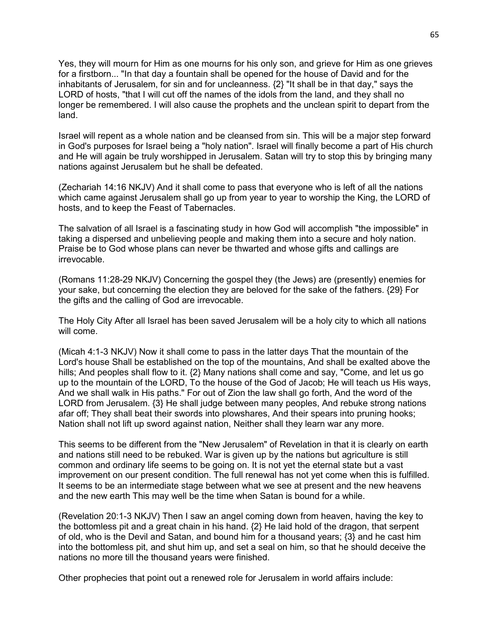Yes, they will mourn for Him as one mourns for his only son, and grieve for Him as one grieves for a firstborn... "In that day a fountain shall be opened for the house of David and for the inhabitants of Jerusalem, for sin and for uncleanness. {2} "It shall be in that day," says the LORD of hosts, "that I will cut off the names of the idols from the land, and they shall no longer be remembered. I will also cause the prophets and the unclean spirit to depart from the land.

Israel will repent as a whole nation and be cleansed from sin. This will be a major step forward in God's purposes for Israel being a "holy nation". Israel will finally become a part of His church and He will again be truly worshipped in Jerusalem. Satan will try to stop this by bringing many nations against Jerusalem but he shall be defeated.

(Zechariah 14:16 NKJV) And it shall come to pass that everyone who is left of all the nations which came against Jerusalem shall go up from year to year to worship the King, the LORD of hosts, and to keep the Feast of Tabernacles.

The salvation of all Israel is a fascinating study in how God will accomplish "the impossible" in taking a dispersed and unbelieving people and making them into a secure and holy nation. Praise be to God whose plans can never be thwarted and whose gifts and callings are irrevocable.

(Romans 11:28-29 NKJV) Concerning the gospel they (the Jews) are (presently) enemies for your sake, but concerning the election they are beloved for the sake of the fathers. {29} For the gifts and the calling of God are irrevocable.

The Holy City After all Israel has been saved Jerusalem will be a holy city to which all nations will come.

(Micah 4:1-3 NKJV) Now it shall come to pass in the latter days That the mountain of the Lord's house Shall be established on the top of the mountains, And shall be exalted above the hills; And peoples shall flow to it.  $\{2\}$  Many nations shall come and say, "Come, and let us go up to the mountain of the LORD, To the house of the God of Jacob; He will teach us His ways, And we shall walk in His paths." For out of Zion the law shall go forth, And the word of the LORD from Jerusalem. {3} He shall judge between many peoples, And rebuke strong nations afar off; They shall beat their swords into plowshares, And their spears into pruning hooks; Nation shall not lift up sword against nation, Neither shall they learn war any more.

This seems to be different from the "New Jerusalem" of Revelation in that it is clearly on earth and nations still need to be rebuked. War is given up by the nations but agriculture is still common and ordinary life seems to be going on. It is not yet the eternal state but a vast improvement on our present condition. The full renewal has not yet come when this is fulfilled. It seems to be an intermediate stage between what we see at present and the new heavens and the new earth This may well be the time when Satan is bound for a while.

(Revelation 20:1-3 NKJV) Then I saw an angel coming down from heaven, having the key to the bottomless pit and a great chain in his hand. {2} He laid hold of the dragon, that serpent of old, who is the Devil and Satan, and bound him for a thousand years; {3} and he cast him into the bottomless pit, and shut him up, and set a seal on him, so that he should deceive the nations no more till the thousand years were finished.

Other prophecies that point out a renewed role for Jerusalem in world affairs include: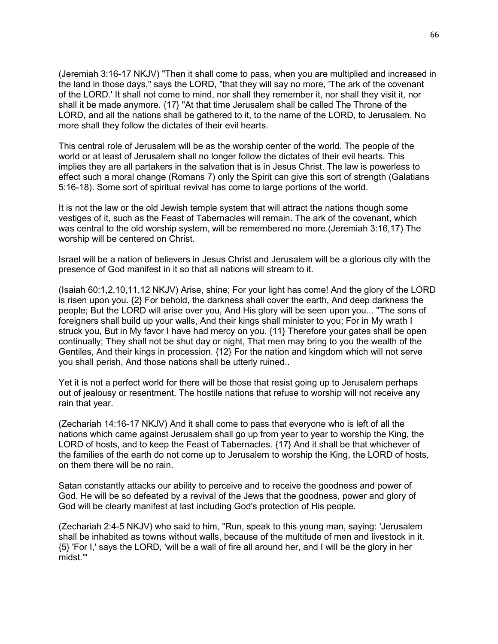(Jeremiah 3:16-17 NKJV) "Then it shall come to pass, when you are multiplied and increased in the land in those days," says the LORD, "that they will say no more, 'The ark of the covenant of the LORD.' It shall not come to mind, nor shall they remember it, nor shall they visit it, nor shall it be made anymore. {17} "At that time Jerusalem shall be called The Throne of the LORD, and all the nations shall be gathered to it, to the name of the LORD, to Jerusalem. No more shall they follow the dictates of their evil hearts.

This central role of Jerusalem will be as the worship center of the world. The people of the world or at least of Jerusalem shall no longer follow the dictates of their evil hearts. This implies they are all partakers in the salvation that is in Jesus Christ. The law is powerless to effect such a moral change (Romans 7) only the Spirit can give this sort of strength (Galatians 5:16-18). Some sort of spiritual revival has come to large portions of the world.

It is not the law or the old Jewish temple system that will attract the nations though some vestiges of it, such as the Feast of Tabernacles will remain. The ark of the covenant, which was central to the old worship system, will be remembered no more.(Jeremiah 3:16,17) The worship will be centered on Christ.

Israel will be a nation of believers in Jesus Christ and Jerusalem will be a glorious city with the presence of God manifest in it so that all nations will stream to it.

(Isaiah 60:1,2,10,11,12 NKJV) Arise, shine; For your light has come! And the glory of the LORD is risen upon you. {2} For behold, the darkness shall cover the earth, And deep darkness the people; But the LORD will arise over you, And His glory will be seen upon you... "The sons of foreigners shall build up your walls, And their kings shall minister to you; For in My wrath I struck you, But in My favor I have had mercy on you. {11} Therefore your gates shall be open continually; They shall not be shut day or night, That men may bring to you the wealth of the Gentiles, And their kings in procession. {12} For the nation and kingdom which will not serve you shall perish, And those nations shall be utterly ruined..

Yet it is not a perfect world for there will be those that resist going up to Jerusalem perhaps out of jealousy or resentment. The hostile nations that refuse to worship will not receive any rain that year.

(Zechariah 14:16-17 NKJV) And it shall come to pass that everyone who is left of all the nations which came against Jerusalem shall go up from year to year to worship the King, the LORD of hosts, and to keep the Feast of Tabernacles. {17} And it shall be that whichever of the families of the earth do not come up to Jerusalem to worship the King, the LORD of hosts, on them there will be no rain.

Satan constantly attacks our ability to perceive and to receive the goodness and power of God. He will be so defeated by a revival of the Jews that the goodness, power and glory of God will be clearly manifest at last including God's protection of His people.

(Zechariah 2:4-5 NKJV) who said to him, "Run, speak to this young man, saying: 'Jerusalem shall be inhabited as towns without walls, because of the multitude of men and livestock in it. {5} 'For I,' says the LORD, 'will be a wall of fire all around her, and I will be the glory in her midst.'"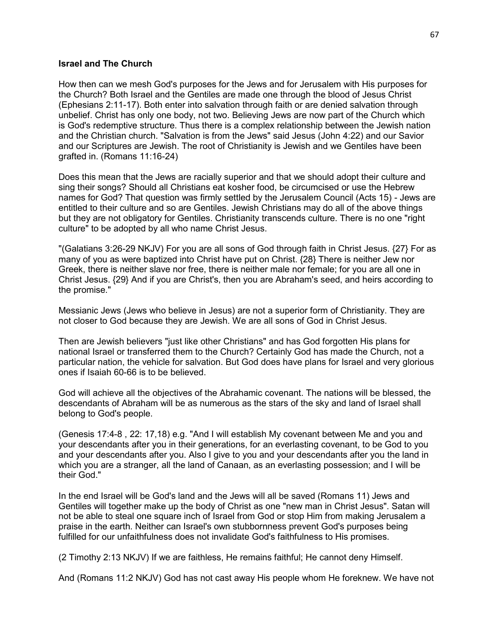#### **Israel and The Church**

How then can we mesh God's purposes for the Jews and for Jerusalem with His purposes for the Church? Both Israel and the Gentiles are made one through the blood of Jesus Christ (Ephesians 2:11-17). Both enter into salvation through faith or are denied salvation through unbelief. Christ has only one body, not two. Believing Jews are now part of the Church which is God's redemptive structure. Thus there is a complex relationship between the Jewish nation and the Christian church. "Salvation is from the Jews" said Jesus (John 4:22) and our Savior and our Scriptures are Jewish. The root of Christianity is Jewish and we Gentiles have been grafted in. (Romans 11:16-24)

Does this mean that the Jews are racially superior and that we should adopt their culture and sing their songs? Should all Christians eat kosher food, be circumcised or use the Hebrew names for God? That question was firmly settled by the Jerusalem Council (Acts 15) - Jews are entitled to their culture and so are Gentiles. Jewish Christians may do all of the above things but they are not obligatory for Gentiles. Christianity transcends culture. There is no one "right culture" to be adopted by all who name Christ Jesus.

"(Galatians 3:26-29 NKJV) For you are all sons of God through faith in Christ Jesus. {27} For as many of you as were baptized into Christ have put on Christ. {28} There is neither Jew nor Greek, there is neither slave nor free, there is neither male nor female; for you are all one in Christ Jesus. {29} And if you are Christ's, then you are Abraham's seed, and heirs according to the promise."

Messianic Jews (Jews who believe in Jesus) are not a superior form of Christianity. They are not closer to God because they are Jewish. We are all sons of God in Christ Jesus.

Then are Jewish believers "just like other Christians" and has God forgotten His plans for national Israel or transferred them to the Church? Certainly God has made the Church, not a particular nation, the vehicle for salvation. But God does have plans for Israel and very glorious ones if Isaiah 60-66 is to be believed.

God will achieve all the objectives of the Abrahamic covenant. The nations will be blessed, the descendants of Abraham will be as numerous as the stars of the sky and land of Israel shall belong to God's people.

(Genesis 17:4-8 , 22: 17,18) e.g. "And I will establish My covenant between Me and you and your descendants after you in their generations, for an everlasting covenant, to be God to you and your descendants after you. Also I give to you and your descendants after you the land in which you are a stranger, all the land of Canaan, as an everlasting possession; and I will be their God."

In the end Israel will be God's land and the Jews will all be saved (Romans 11) Jews and Gentiles will together make up the body of Christ as one "new man in Christ Jesus". Satan will not be able to steal one square inch of Israel from God or stop Him from making Jerusalem a praise in the earth. Neither can Israel's own stubbornness prevent God's purposes being fulfilled for our unfaithfulness does not invalidate God's faithfulness to His promises.

(2 Timothy 2:13 NKJV) If we are faithless, He remains faithful; He cannot deny Himself.

And (Romans 11:2 NKJV) God has not cast away His people whom He foreknew. We have not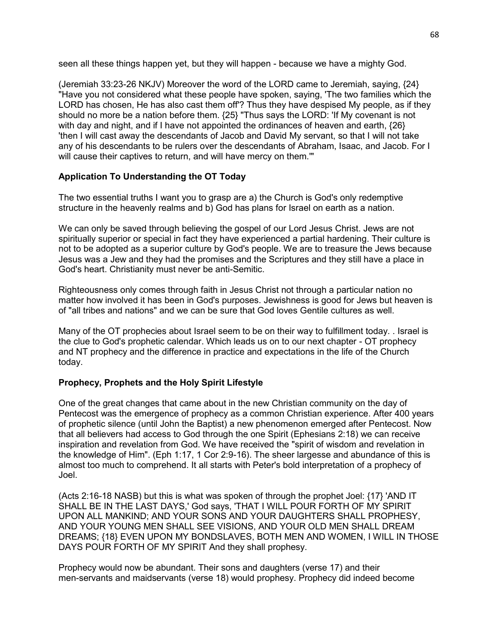seen all these things happen yet, but they will happen - because we have a mighty God.

(Jeremiah 33:23-26 NKJV) Moreover the word of the LORD came to Jeremiah, saying, {24} "Have you not considered what these people have spoken, saying, 'The two families which the LORD has chosen, He has also cast them off'? Thus they have despised My people, as if they should no more be a nation before them. {25} "Thus says the LORD: 'If My covenant is not with day and night, and if I have not appointed the ordinances of heaven and earth, {26} 'then I will cast away the descendants of Jacob and David My servant, so that I will not take any of his descendants to be rulers over the descendants of Abraham, Isaac, and Jacob. For I will cause their captives to return, and will have mercy on them.'"

# **Application To Understanding the OT Today**

The two essential truths I want you to grasp are a) the Church is God's only redemptive structure in the heavenly realms and b) God has plans for Israel on earth as a nation.

We can only be saved through believing the gospel of our Lord Jesus Christ. Jews are not spiritually superior or special in fact they have experienced a partial hardening. Their culture is not to be adopted as a superior culture by God's people. We are to treasure the Jews because Jesus was a Jew and they had the promises and the Scriptures and they still have a place in God's heart. Christianity must never be anti-Semitic.

Righteousness only comes through faith in Jesus Christ not through a particular nation no matter how involved it has been in God's purposes. Jewishness is good for Jews but heaven is of "all tribes and nations" and we can be sure that God loves Gentile cultures as well.

Many of the OT prophecies about Israel seem to be on their way to fulfillment today. . Israel is the clue to God's prophetic calendar. Which leads us on to our next chapter - OT prophecy and NT prophecy and the difference in practice and expectations in the life of the Church today.

## **Prophecy, Prophets and the Holy Spirit Lifestyle**

One of the great changes that came about in the new Christian community on the day of Pentecost was the emergence of prophecy as a common Christian experience. After 400 years of prophetic silence (until John the Baptist) a new phenomenon emerged after Pentecost. Now that all believers had access to God through the one Spirit (Ephesians 2:18) we can receive inspiration and revelation from God. We have received the "spirit of wisdom and revelation in the knowledge of Him". (Eph 1:17, 1 Cor 2:9-16). The sheer largesse and abundance of this is almost too much to comprehend. It all starts with Peter's bold interpretation of a prophecy of Joel.

(Acts 2:16-18 NASB) but this is what was spoken of through the prophet Joel: {17} 'AND IT SHALL BE IN THE LAST DAYS,' God says, 'THAT I WILL POUR FORTH OF MY SPIRIT UPON ALL MANKIND; AND YOUR SONS AND YOUR DAUGHTERS SHALL PROPHESY, AND YOUR YOUNG MEN SHALL SEE VISIONS, AND YOUR OLD MEN SHALL DREAM DREAMS; {18} EVEN UPON MY BONDSLAVES, BOTH MEN AND WOMEN, I WILL IN THOSE DAYS POUR FORTH OF MY SPIRIT And they shall prophesy.

Prophecy would now be abundant. Their sons and daughters (verse 17) and their men-servants and maidservants (verse 18) would prophesy. Prophecy did indeed become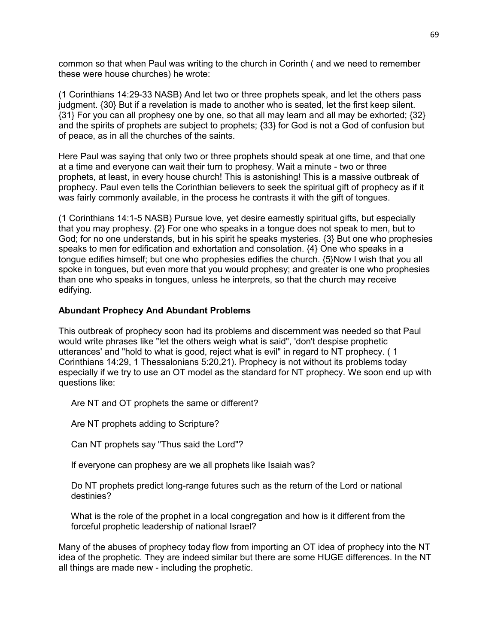common so that when Paul was writing to the church in Corinth ( and we need to remember these were house churches) he wrote:

(1 Corinthians 14:29-33 NASB) And let two or three prophets speak, and let the others pass judgment. {30} But if a revelation is made to another who is seated, let the first keep silent. {31} For you can all prophesy one by one, so that all may learn and all may be exhorted; {32} and the spirits of prophets are subject to prophets; {33} for God is not a God of confusion but of peace, as in all the churches of the saints.

Here Paul was saying that only two or three prophets should speak at one time, and that one at a time and everyone can wait their turn to prophesy. Wait a minute - two or three prophets, at least, in every house church! This is astonishing! This is a massive outbreak of prophecy. Paul even tells the Corinthian believers to seek the spiritual gift of prophecy as if it was fairly commonly available, in the process he contrasts it with the gift of tongues.

(1 Corinthians 14:1-5 NASB) Pursue love, yet desire earnestly spiritual gifts, but especially that you may prophesy. {2} For one who speaks in a tongue does not speak to men, but to God; for no one understands, but in his spirit he speaks mysteries. {3} But one who prophesies speaks to men for edification and exhortation and consolation. {4} One who speaks in a tongue edifies himself; but one who prophesies edifies the church. {5}Now I wish that you all spoke in tongues, but even more that you would prophesy; and greater is one who prophesies than one who speaks in tongues, unless he interprets, so that the church may receive edifying.

### **Abundant Prophecy And Abundant Problems**

This outbreak of prophecy soon had its problems and discernment was needed so that Paul would write phrases like "let the others weigh what is said", 'don't despise prophetic utterances' and "hold to what is good, reject what is evil" in regard to NT prophecy. ( 1 Corinthians 14:29, 1 Thessalonians 5:20,21). Prophecy is not without its problems today especially if we try to use an OT model as the standard for NT prophecy. We soon end up with questions like:

Are NT and OT prophets the same or different?

Are NT prophets adding to Scripture?

Can NT prophets say "Thus said the Lord"?

If everyone can prophesy are we all prophets like Isaiah was?

 Do NT prophets predict long-range futures such as the return of the Lord or national destinies?

 What is the role of the prophet in a local congregation and how is it different from the forceful prophetic leadership of national Israel?

Many of the abuses of prophecy today flow from importing an OT idea of prophecy into the NT idea of the prophetic. They are indeed similar but there are some HUGE differences. In the NT all things are made new - including the prophetic.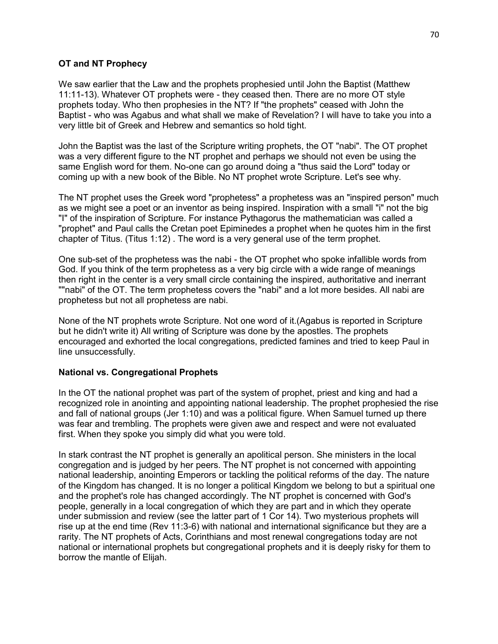## **OT and NT Prophecy**

We saw earlier that the Law and the prophets prophesied until John the Baptist (Matthew 11:11-13). Whatever OT prophets were - they ceased then. There are no more OT style prophets today. Who then prophesies in the NT? If "the prophets" ceased with John the Baptist - who was Agabus and what shall we make of Revelation? I will have to take you into a very little bit of Greek and Hebrew and semantics so hold tight.

John the Baptist was the last of the Scripture writing prophets, the OT "nabi". The OT prophet was a very different figure to the NT prophet and perhaps we should not even be using the same English word for them. No-one can go around doing a "thus said the Lord" today or coming up with a new book of the Bible. No NT prophet wrote Scripture. Let's see why.

The NT prophet uses the Greek word "prophetess" a prophetess was an "inspired person" much as we might see a poet or an inventor as being inspired. Inspiration with a small "i" not the big "I" of the inspiration of Scripture. For instance Pythagorus the mathematician was called a "prophet" and Paul calls the Cretan poet Epiminedes a prophet when he quotes him in the first chapter of Titus. (Titus 1:12) . The word is a very general use of the term prophet.

One sub-set of the prophetess was the nabi - the OT prophet who spoke infallible words from God. If you think of the term prophetess as a very big circle with a wide range of meanings then right in the center is a very small circle containing the inspired, authoritative and inerrant ""nabi" of the OT. The term prophetess covers the "nabi" and a lot more besides. All nabi are prophetess but not all prophetess are nabi.

None of the NT prophets wrote Scripture. Not one word of it.(Agabus is reported in Scripture but he didn't write it) All writing of Scripture was done by the apostles. The prophets encouraged and exhorted the local congregations, predicted famines and tried to keep Paul in line unsuccessfully.

## **National vs. Congregational Prophets**

In the OT the national prophet was part of the system of prophet, priest and king and had a recognized role in anointing and appointing national leadership. The prophet prophesied the rise and fall of national groups (Jer 1:10) and was a political figure. When Samuel turned up there was fear and trembling. The prophets were given awe and respect and were not evaluated first. When they spoke you simply did what you were told.

In stark contrast the NT prophet is generally an apolitical person. She ministers in the local congregation and is judged by her peers. The NT prophet is not concerned with appointing national leadership, anointing Emperors or tackling the political reforms of the day. The nature of the Kingdom has changed. It is no longer a political Kingdom we belong to but a spiritual one and the prophet's role has changed accordingly. The NT prophet is concerned with God's people, generally in a local congregation of which they are part and in which they operate under submission and review (see the latter part of 1 Cor 14). Two mysterious prophets will rise up at the end time (Rev 11:3-6) with national and international significance but they are a rarity. The NT prophets of Acts, Corinthians and most renewal congregations today are not national or international prophets but congregational prophets and it is deeply risky for them to borrow the mantle of Elijah.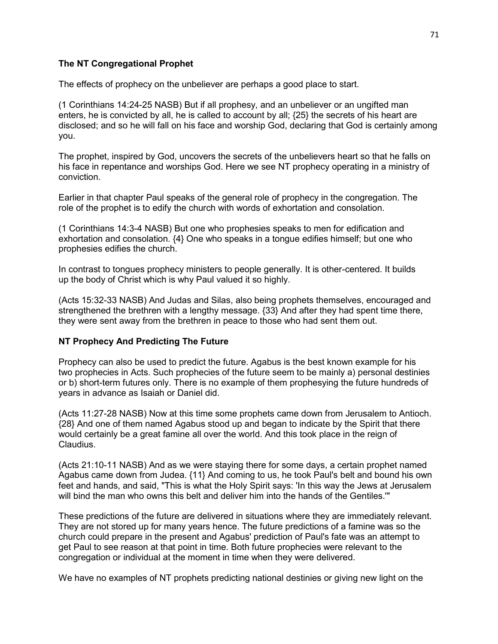### **The NT Congregational Prophet**

The effects of prophecy on the unbeliever are perhaps a good place to start.

(1 Corinthians 14:24-25 NASB) But if all prophesy, and an unbeliever or an ungifted man enters, he is convicted by all, he is called to account by all; {25} the secrets of his heart are disclosed; and so he will fall on his face and worship God, declaring that God is certainly among you.

The prophet, inspired by God, uncovers the secrets of the unbelievers heart so that he falls on his face in repentance and worships God. Here we see NT prophecy operating in a ministry of conviction.

Earlier in that chapter Paul speaks of the general role of prophecy in the congregation. The role of the prophet is to edify the church with words of exhortation and consolation.

(1 Corinthians 14:3-4 NASB) But one who prophesies speaks to men for edification and exhortation and consolation. {4} One who speaks in a tongue edifies himself; but one who prophesies edifies the church.

In contrast to tongues prophecy ministers to people generally. It is other-centered. It builds up the body of Christ which is why Paul valued it so highly.

(Acts 15:32-33 NASB) And Judas and Silas, also being prophets themselves, encouraged and strengthened the brethren with a lengthy message. {33} And after they had spent time there, they were sent away from the brethren in peace to those who had sent them out.

### **NT Prophecy And Predicting The Future**

Prophecy can also be used to predict the future. Agabus is the best known example for his two prophecies in Acts. Such prophecies of the future seem to be mainly a) personal destinies or b) short-term futures only. There is no example of them prophesying the future hundreds of years in advance as Isaiah or Daniel did.

(Acts 11:27-28 NASB) Now at this time some prophets came down from Jerusalem to Antioch. {28} And one of them named Agabus stood up and began to indicate by the Spirit that there would certainly be a great famine all over the world. And this took place in the reign of Claudius.

(Acts 21:10-11 NASB) And as we were staying there for some days, a certain prophet named Agabus came down from Judea. {11} And coming to us, he took Paul's belt and bound his own feet and hands, and said, "This is what the Holy Spirit says: 'In this way the Jews at Jerusalem will bind the man who owns this belt and deliver him into the hands of the Gentiles.'"

These predictions of the future are delivered in situations where they are immediately relevant. They are not stored up for many years hence. The future predictions of a famine was so the church could prepare in the present and Agabus' prediction of Paul's fate was an attempt to get Paul to see reason at that point in time. Both future prophecies were relevant to the congregation or individual at the moment in time when they were delivered.

We have no examples of NT prophets predicting national destinies or giving new light on the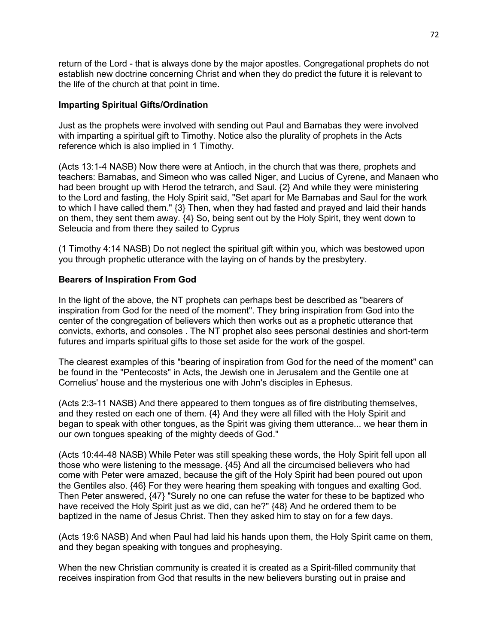return of the Lord - that is always done by the major apostles. Congregational prophets do not establish new doctrine concerning Christ and when they do predict the future it is relevant to the life of the church at that point in time.

### **Imparting Spiritual Gifts/Ordination**

Just as the prophets were involved with sending out Paul and Barnabas they were involved with imparting a spiritual gift to Timothy. Notice also the plurality of prophets in the Acts reference which is also implied in 1 Timothy.

(Acts 13:1-4 NASB) Now there were at Antioch, in the church that was there, prophets and teachers: Barnabas, and Simeon who was called Niger, and Lucius of Cyrene, and Manaen who had been brought up with Herod the tetrarch, and Saul. {2} And while they were ministering to the Lord and fasting, the Holy Spirit said, "Set apart for Me Barnabas and Saul for the work to which I have called them." {3} Then, when they had fasted and prayed and laid their hands on them, they sent them away. {4} So, being sent out by the Holy Spirit, they went down to Seleucia and from there they sailed to Cyprus

(1 Timothy 4:14 NASB) Do not neglect the spiritual gift within you, which was bestowed upon you through prophetic utterance with the laying on of hands by the presbytery.

## **Bearers of Inspiration From God**

In the light of the above, the NT prophets can perhaps best be described as "bearers of inspiration from God for the need of the moment". They bring inspiration from God into the center of the congregation of believers which then works out as a prophetic utterance that convicts, exhorts, and consoles . The NT prophet also sees personal destinies and short-term futures and imparts spiritual gifts to those set aside for the work of the gospel.

The clearest examples of this "bearing of inspiration from God for the need of the moment" can be found in the "Pentecosts" in Acts, the Jewish one in Jerusalem and the Gentile one at Cornelius' house and the mysterious one with John's disciples in Ephesus.

(Acts 2:3-11 NASB) And there appeared to them tongues as of fire distributing themselves, and they rested on each one of them. {4} And they were all filled with the Holy Spirit and began to speak with other tongues, as the Spirit was giving them utterance... we hear them in our own tongues speaking of the mighty deeds of God."

(Acts 10:44-48 NASB) While Peter was still speaking these words, the Holy Spirit fell upon all those who were listening to the message. {45} And all the circumcised believers who had come with Peter were amazed, because the gift of the Holy Spirit had been poured out upon the Gentiles also. {46} For they were hearing them speaking with tongues and exalting God. Then Peter answered, {47} "Surely no one can refuse the water for these to be baptized who have received the Holy Spirit just as we did, can he?" {48} And he ordered them to be baptized in the name of Jesus Christ. Then they asked him to stay on for a few days.

(Acts 19:6 NASB) And when Paul had laid his hands upon them, the Holy Spirit came on them, and they began speaking with tongues and prophesying.

When the new Christian community is created it is created as a Spirit-filled community that receives inspiration from God that results in the new believers bursting out in praise and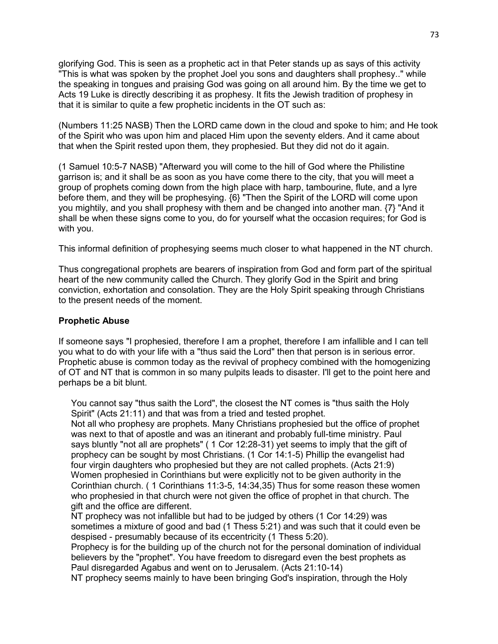glorifying God. This is seen as a prophetic act in that Peter stands up as says of this activity "This is what was spoken by the prophet Joel you sons and daughters shall prophesy.." while the speaking in tongues and praising God was going on all around him. By the time we get to Acts 19 Luke is directly describing it as prophesy. It fits the Jewish tradition of prophesy in that it is similar to quite a few prophetic incidents in the OT such as:

(Numbers 11:25 NASB) Then the LORD came down in the cloud and spoke to him; and He took of the Spirit who was upon him and placed Him upon the seventy elders. And it came about that when the Spirit rested upon them, they prophesied. But they did not do it again.

(1 Samuel 10:5-7 NASB) "Afterward you will come to the hill of God where the Philistine garrison is; and it shall be as soon as you have come there to the city, that you will meet a group of prophets coming down from the high place with harp, tambourine, flute, and a lyre before them, and they will be prophesying. {6} "Then the Spirit of the LORD will come upon you mightily, and you shall prophesy with them and be changed into another man. {7} "And it shall be when these signs come to you, do for yourself what the occasion requires; for God is with you.

This informal definition of prophesying seems much closer to what happened in the NT church.

Thus congregational prophets are bearers of inspiration from God and form part of the spiritual heart of the new community called the Church. They glorify God in the Spirit and bring conviction, exhortation and consolation. They are the Holy Spirit speaking through Christians to the present needs of the moment.

## **Prophetic Abuse**

If someone says "I prophesied, therefore I am a prophet, therefore I am infallible and I can tell you what to do with your life with a "thus said the Lord" then that person is in serious error. Prophetic abuse is common today as the revival of prophecy combined with the homogenizing of OT and NT that is common in so many pulpits leads to disaster. I'll get to the point here and perhaps be a bit blunt.

 You cannot say "thus saith the Lord", the closest the NT comes is "thus saith the Holy Spirit" (Acts 21:11) and that was from a tried and tested prophet.

 Not all who prophesy are prophets. Many Christians prophesied but the office of prophet was next to that of apostle and was an itinerant and probably full-time ministry. Paul says bluntly "not all are prophets" ( 1 Cor 12:28-31) yet seems to imply that the gift of prophecy can be sought by most Christians. (1 Cor 14:1-5) Phillip the evangelist had four virgin daughters who prophesied but they are not called prophets. (Acts 21:9) Women prophesied in Corinthians but were explicitly not to be given authority in the Corinthian church. ( 1 Corinthians 11:3-5, 14:34,35) Thus for some reason these women who prophesied in that church were not given the office of prophet in that church. The gift and the office are different.

 NT prophecy was not infallible but had to be judged by others (1 Cor 14:29) was sometimes a mixture of good and bad (1 Thess 5:21) and was such that it could even be despised - presumably because of its eccentricity (1 Thess 5:20).

 Prophecy is for the building up of the church not for the personal domination of individual believers by the "prophet". You have freedom to disregard even the best prophets as Paul disregarded Agabus and went on to Jerusalem. (Acts 21:10-14)

NT prophecy seems mainly to have been bringing God's inspiration, through the Holy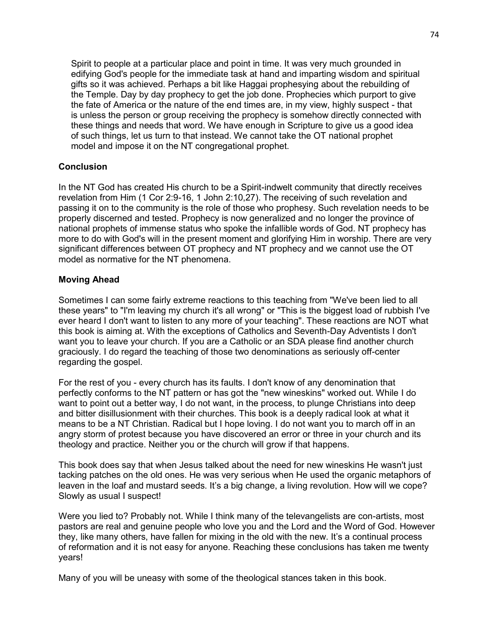Spirit to people at a particular place and point in time. It was very much grounded in edifying God's people for the immediate task at hand and imparting wisdom and spiritual gifts so it was achieved. Perhaps a bit like Haggai prophesying about the rebuilding of the Temple. Day by day prophecy to get the job done. Prophecies which purport to give the fate of America or the nature of the end times are, in my view, highly suspect - that is unless the person or group receiving the prophecy is somehow directly connected with these things and needs that word. We have enough in Scripture to give us a good idea of such things, let us turn to that instead. We cannot take the OT national prophet model and impose it on the NT congregational prophet.

## **Conclusion**

In the NT God has created His church to be a Spirit-indwelt community that directly receives revelation from Him (1 Cor 2:9-16, 1 John 2:10,27). The receiving of such revelation and passing it on to the community is the role of those who prophesy. Such revelation needs to be properly discerned and tested. Prophecy is now generalized and no longer the province of national prophets of immense status who spoke the infallible words of God. NT prophecy has more to do with God's will in the present moment and glorifying Him in worship. There are very significant differences between OT prophecy and NT prophecy and we cannot use the OT model as normative for the NT phenomena.

## **Moving Ahead**

Sometimes I can some fairly extreme reactions to this teaching from "We've been lied to all these years" to "I'm leaving my church it's all wrong" or "This is the biggest load of rubbish I've ever heard I don't want to listen to any more of your teaching". These reactions are NOT what this book is aiming at. With the exceptions of Catholics and Seventh-Day Adventists I don't want you to leave your church. If you are a Catholic or an SDA please find another church graciously. I do regard the teaching of those two denominations as seriously off-center regarding the gospel.

For the rest of you - every church has its faults. I don't know of any denomination that perfectly conforms to the NT pattern or has got the "new wineskins" worked out. While I do want to point out a better way, I do not want, in the process, to plunge Christians into deep and bitter disillusionment with their churches. This book is a deeply radical look at what it means to be a NT Christian. Radical but I hope loving. I do not want you to march off in an angry storm of protest because you have discovered an error or three in your church and its theology and practice. Neither you or the church will grow if that happens.

This book does say that when Jesus talked about the need for new wineskins He wasn't just tacking patches on the old ones. He was very serious when He used the organic metaphors of leaven in the loaf and mustard seeds. It's a big change, a living revolution. How will we cope? Slowly as usual I suspect!

Were you lied to? Probably not. While I think many of the televangelists are con-artists, most pastors are real and genuine people who love you and the Lord and the Word of God. However they, like many others, have fallen for mixing in the old with the new. It's a continual process of reformation and it is not easy for anyone. Reaching these conclusions has taken me twenty years!

Many of you will be uneasy with some of the theological stances taken in this book.